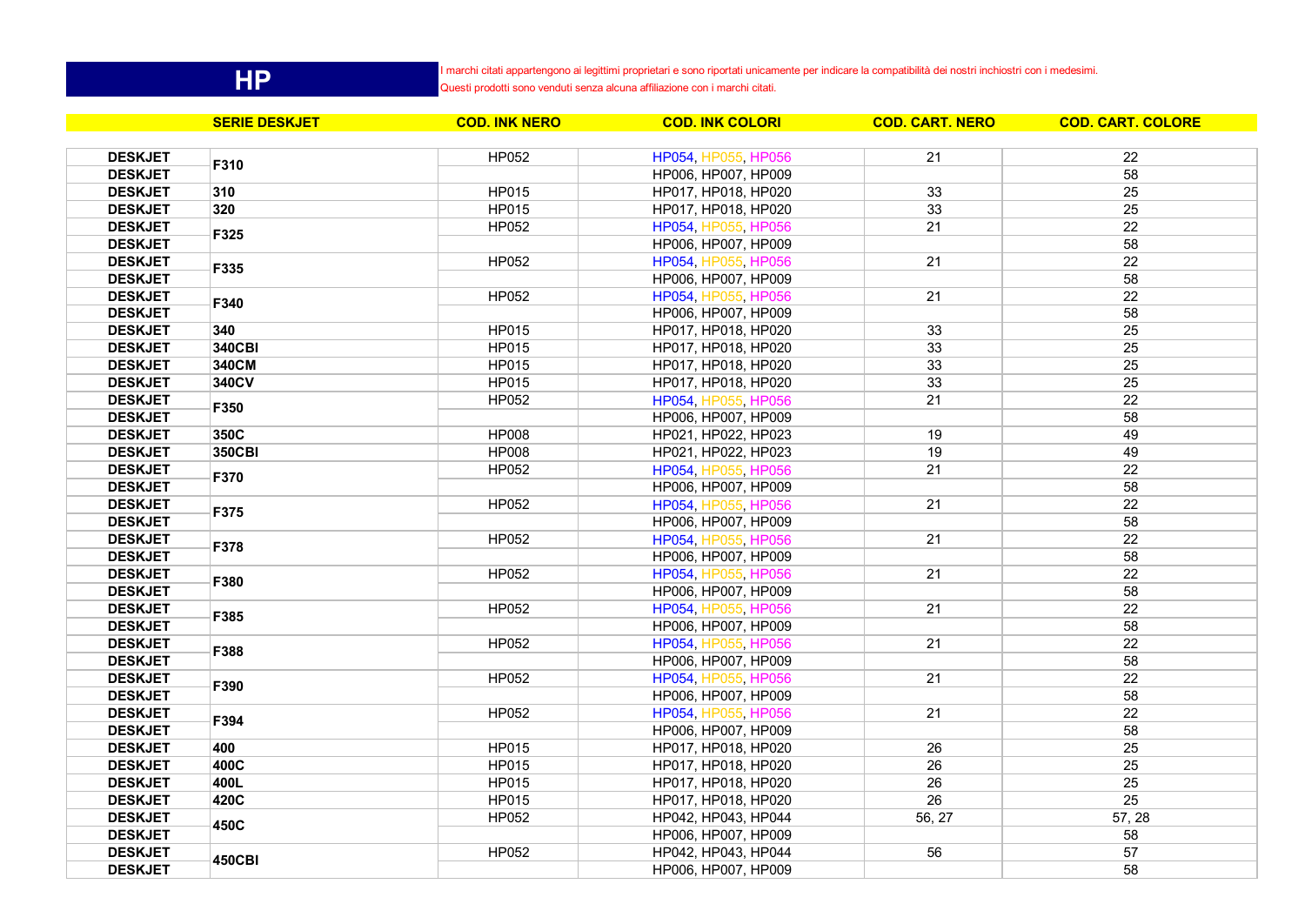**HP**

I marchi citati appartengono ai legittimi proprietari e sono riportati unicamente per indicare la compatibilità dei nostri inchiostri con i medesimi.

Questi prodotti sono venduti senza alcuna affiliazione con i marchi citati.

|                | <b>SERIE DESKJET</b> | <b>COD. INK NERO</b> | <b>COD. INK COLORI</b> | <b>COD. CART. NERO</b> | <b>COD. CART. COLORE</b> |
|----------------|----------------------|----------------------|------------------------|------------------------|--------------------------|
| <b>DESKJET</b> |                      | <b>HP052</b>         | HP054, HP055, HP056    | 21                     | 22                       |
| <b>DESKJET</b> | F310                 |                      | HP006, HP007, HP009    |                        | 58                       |
| <b>DESKJET</b> | 310                  | <b>HP015</b>         | HP017, HP018, HP020    | 33                     | 25                       |
| <b>DESKJET</b> | 320                  | HP015                | HP017, HP018, HP020    | 33                     | 25                       |
| <b>DESKJET</b> |                      | <b>HP052</b>         | HP054, HP055, HP056    | 21                     | $\overline{22}$          |
| <b>DESKJET</b> | F325                 |                      | HP006, HP007, HP009    |                        | 58                       |
| <b>DESKJET</b> |                      | HP052                | HP054, HP055, HP056    | 21                     | 22                       |
| <b>DESKJET</b> | F335                 |                      | HP006, HP007, HP009    |                        | 58                       |
| <b>DESKJET</b> |                      | <b>HP052</b>         | HP054, HP055, HP056    | 21                     | 22                       |
| <b>DESKJET</b> | F340                 |                      | HP006, HP007, HP009    |                        | 58                       |
| <b>DESKJET</b> | 340                  | <b>HP015</b>         | HP017, HP018, HP020    | 33                     | 25                       |
| <b>DESKJET</b> | 340CBI               | <b>HP015</b>         | HP017, HP018, HP020    | 33                     | 25                       |
| <b>DESKJET</b> | 340CM                | HP015                | HP017, HP018, HP020    | 33                     | 25                       |
| <b>DESKJET</b> | 340CV                | <b>HP015</b>         | HP017, HP018, HP020    | 33                     | 25                       |
| <b>DESKJET</b> |                      | <b>HP052</b>         | HP054, HP055, HP056    | 21                     | $\overline{22}$          |
| <b>DESKJET</b> | F350                 |                      | HP006, HP007, HP009    |                        | 58                       |
| <b>DESKJET</b> | 350C                 | <b>HP008</b>         | HP021, HP022, HP023    | 19                     | 49                       |
| <b>DESKJET</b> | 350CBI               | <b>HP008</b>         | HP021, HP022, HP023    | 19                     | 49                       |
| <b>DESKJET</b> |                      | HP052                | HP054, HP055, HP056    | 21                     | 22                       |
| <b>DESKJET</b> | F370                 |                      | HP006, HP007, HP009    |                        | 58                       |
| <b>DESKJET</b> |                      | HP052                | HP054, HP055, HP056    | 21                     | 22                       |
| <b>DESKJET</b> | F375                 |                      | HP006, HP007, HP009    |                        | 58                       |
| <b>DESKJET</b> |                      | HP052                | HP054, HP055, HP056    | 21                     | 22                       |
| <b>DESKJET</b> | F378                 |                      | HP006, HP007, HP009    |                        | 58                       |
| <b>DESKJET</b> |                      | <b>HP052</b>         | HP054, HP055, HP056    | 21                     | 22                       |
| <b>DESKJET</b> | F380                 |                      | HP006, HP007, HP009    |                        | 58                       |
| <b>DESKJET</b> |                      | <b>HP052</b>         | HP054, HP055, HP056    | 21                     | 22                       |
| <b>DESKJET</b> | F385                 |                      | HP006, HP007, HP009    |                        | 58                       |
| <b>DESKJET</b> |                      | <b>HP052</b>         | HP054, HP055, HP056    | 21                     | $\overline{22}$          |
| <b>DESKJET</b> | F388                 |                      | HP006, HP007, HP009    |                        | 58                       |
| <b>DESKJET</b> |                      | <b>HP052</b>         | HP054, HP055, HP056    | 21                     | 22                       |
| <b>DESKJET</b> | F390                 |                      | HP006, HP007, HP009    |                        | 58                       |
| <b>DESKJET</b> |                      | <b>HP052</b>         | HP054, HP055, HP056    | 21                     | 22                       |
| <b>DESKJET</b> | F394                 |                      | HP006, HP007, HP009    |                        | 58                       |
| <b>DESKJET</b> | 400                  | HP015                | HP017, HP018, HP020    | 26                     | 25                       |
| <b>DESKJET</b> | 400C                 | HP015                | HP017, HP018, HP020    | 26                     | $\overline{25}$          |
| <b>DESKJET</b> | 400L                 | <b>HP015</b>         | HP017, HP018, HP020    | 26                     | 25                       |
| <b>DESKJET</b> | 420C                 | HP015                | HP017, HP018, HP020    | 26                     | 25                       |
| <b>DESKJET</b> |                      | HP052                | HP042, HP043, HP044    | 56, 27                 | 57, 28                   |
| <b>DESKJET</b> | 450C                 |                      | HP006, HP007, HP009    |                        | 58                       |
| <b>DESKJET</b> |                      | HP052                | HP042, HP043, HP044    | 56                     | 57                       |
| <b>DESKJET</b> | <b>450CBI</b>        |                      | HP006, HP007, HP009    |                        | 58                       |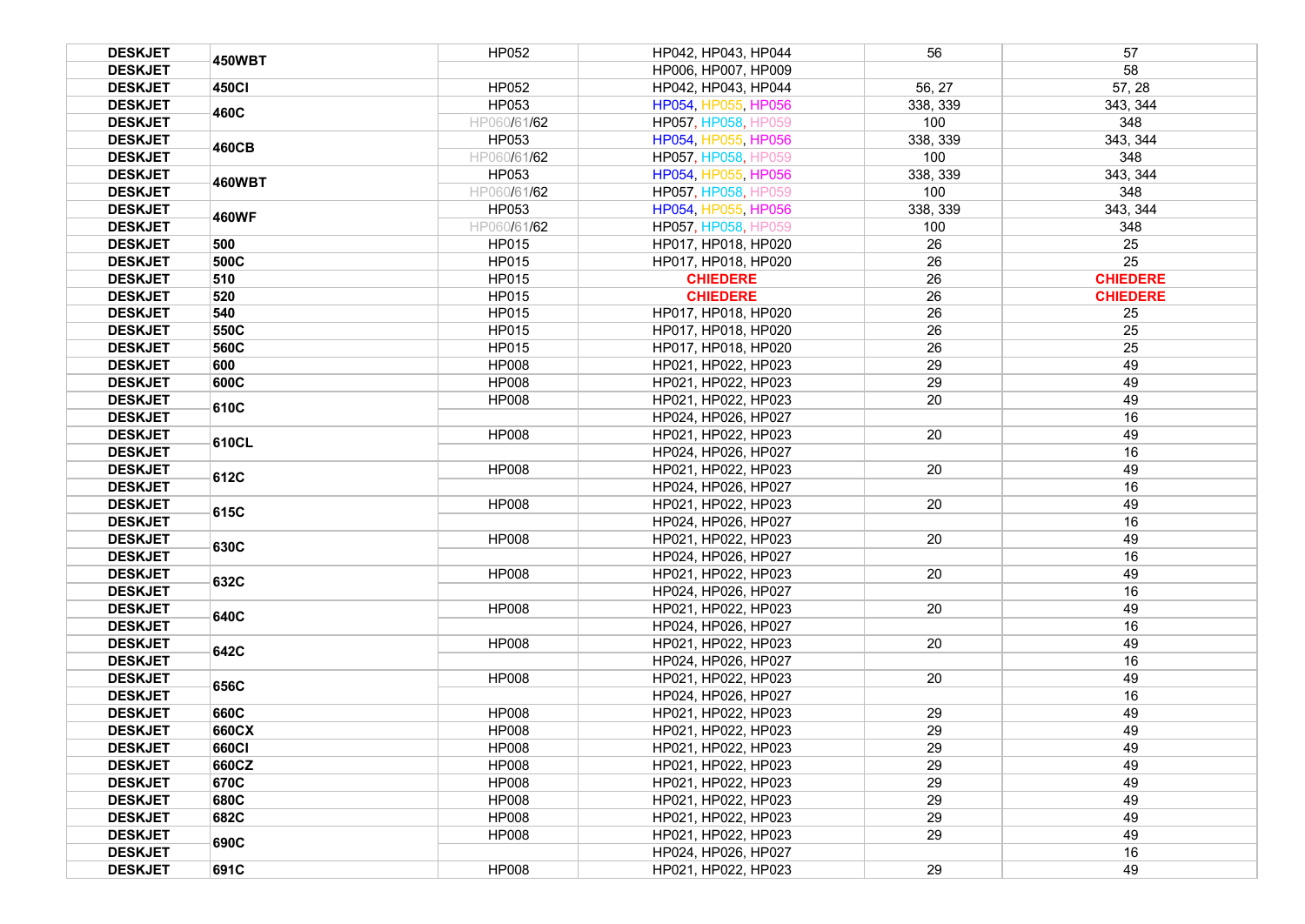| <b>DESKJET</b> | <b>450WBT</b> | HP052        | HP042, HP043, HP044        | 56       | 57              |
|----------------|---------------|--------------|----------------------------|----------|-----------------|
| <b>DESKJET</b> |               |              | HP006, HP007, HP009        |          | 58              |
| <b>DESKJET</b> | 450CI         | HP052        | HP042, HP043, HP044        | 56, 27   | 57, 28          |
| <b>DESKJET</b> | 460C          | HP053        | HP054, HP055, HP056        | 338, 339 | 343, 344        |
| <b>DESKJET</b> |               | HP060/61/62  | <b>HP057, HP058, HP059</b> | 100      | 348             |
| <b>DESKJET</b> |               | HP053        | HP054, HP055, HP056        | 338, 339 | 343, 344        |
| <b>DESKJET</b> | 460CB         | HP060/61/62  | HP057, HP058, HP059        | 100      | 348             |
| <b>DESKJET</b> |               | HP053        | HP054, HP055, HP056        | 338, 339 | 343, 344        |
| <b>DESKJET</b> | <b>460WBT</b> | HP060/61/62  | <b>HP057, HP058, HP059</b> | 100      | 348             |
| <b>DESKJET</b> | <b>460WF</b>  | HP053        | HP054, HP055, HP056        | 338, 339 | 343, 344        |
| <b>DESKJET</b> |               | HP060/61/62  | HP057, HP058, HP059        | 100      | 348             |
| <b>DESKJET</b> | 500           | <b>HP015</b> | HP017, HP018, HP020        | 26       | 25              |
| <b>DESKJET</b> | 500C          | HP015        | HP017, HP018, HP020        | 26       | 25              |
| <b>DESKJET</b> | 510           | HP015        | <b>CHIEDERE</b>            | 26       | <b>CHIEDERE</b> |
| <b>DESKJET</b> | 520           | HP015        | <b>CHIEDERE</b>            | 26       | <b>CHIEDERE</b> |
| <b>DESKJET</b> | 540           | <b>HP015</b> | HP017, HP018, HP020        | 26       | 25              |
| <b>DESKJET</b> | 550C          | <b>HP015</b> | HP017, HP018, HP020        | 26       | 25              |
| <b>DESKJET</b> | 560C          | <b>HP015</b> | HP017, HP018, HP020        | 26       | 25              |
| <b>DESKJET</b> | 600           | <b>HP008</b> | HP021, HP022, HP023        | 29       | 49              |
| <b>DESKJET</b> | 600C          | <b>HP008</b> | HP021, HP022, HP023        | 29       | 49              |
| <b>DESKJET</b> | 610C          | <b>HP008</b> | HP021, HP022, HP023        | 20       | 49              |
| <b>DESKJET</b> |               |              | HP024, HP026, HP027        |          | 16              |
| <b>DESKJET</b> | 610CL         | <b>HP008</b> | HP021, HP022, HP023        | 20       | 49              |
| <b>DESKJET</b> |               |              | HP024, HP026, HP027        |          | 16              |
| <b>DESKJET</b> | 612C          | <b>HP008</b> | HP021, HP022, HP023        | 20       | 49              |
| <b>DESKJET</b> |               |              | HP024, HP026, HP027        |          | 16              |
| <b>DESKJET</b> | 615C          | <b>HP008</b> | HP021, HP022, HP023        | 20       | 49              |
| <b>DESKJET</b> |               |              | HP024, HP026, HP027        |          | 16              |
| <b>DESKJET</b> | 630C          | <b>HP008</b> | HP021, HP022, HP023        | 20       | 49              |
| <b>DESKJET</b> |               |              | HP024, HP026, HP027        |          | 16              |
| <b>DESKJET</b> | 632C          | <b>HP008</b> | HP021, HP022, HP023        | 20       | 49              |
| <b>DESKJET</b> |               |              | HP024, HP026, HP027        |          | 16              |
| <b>DESKJET</b> | 640C          | <b>HP008</b> | HP021, HP022, HP023        | 20       | 49              |
| <b>DESKJET</b> |               |              | HP024, HP026, HP027        |          | 16              |
| <b>DESKJET</b> | 642C          | <b>HP008</b> | HP021, HP022, HP023        | 20       | 49              |
| <b>DESKJET</b> |               |              | HP024, HP026, HP027        |          | 16              |
| <b>DESKJET</b> | 656C          | <b>HP008</b> | HP021, HP022, HP023        | 20       | 49              |
| <b>DESKJET</b> |               |              | HP024, HP026, HP027        |          | 16              |
| <b>DESKJET</b> | 660C          | <b>HP008</b> | HP021, HP022, HP023        | 29       | 49              |
| <b>DESKJET</b> | 660CX         | <b>HP008</b> | HP021, HP022, HP023        | 29       | 49              |
| <b>DESKJET</b> | 660CI         | <b>HP008</b> | HP021, HP022, HP023        | 29       | 49              |
| <b>DESKJET</b> | 660CZ         | <b>HP008</b> | HP021, HP022, HP023        | 29       | 49              |
| <b>DESKJET</b> | 670C          | <b>HP008</b> | HP021, HP022, HP023        | 29       | 49              |
| <b>DESKJET</b> | 680C          | <b>HP008</b> | HP021, HP022, HP023        | 29       | 49              |
| <b>DESKJET</b> | 682C          | <b>HP008</b> | HP021, HP022, HP023        | 29       | 49              |
| <b>DESKJET</b> | 690C          | <b>HP008</b> | HP021, HP022, HP023        | 29       | 49              |
| <b>DESKJET</b> |               |              | HP024, HP026, HP027        |          | 16              |
| <b>DESKJET</b> | 691C          | <b>HP008</b> | HP021, HP022, HP023        | 29       | 49              |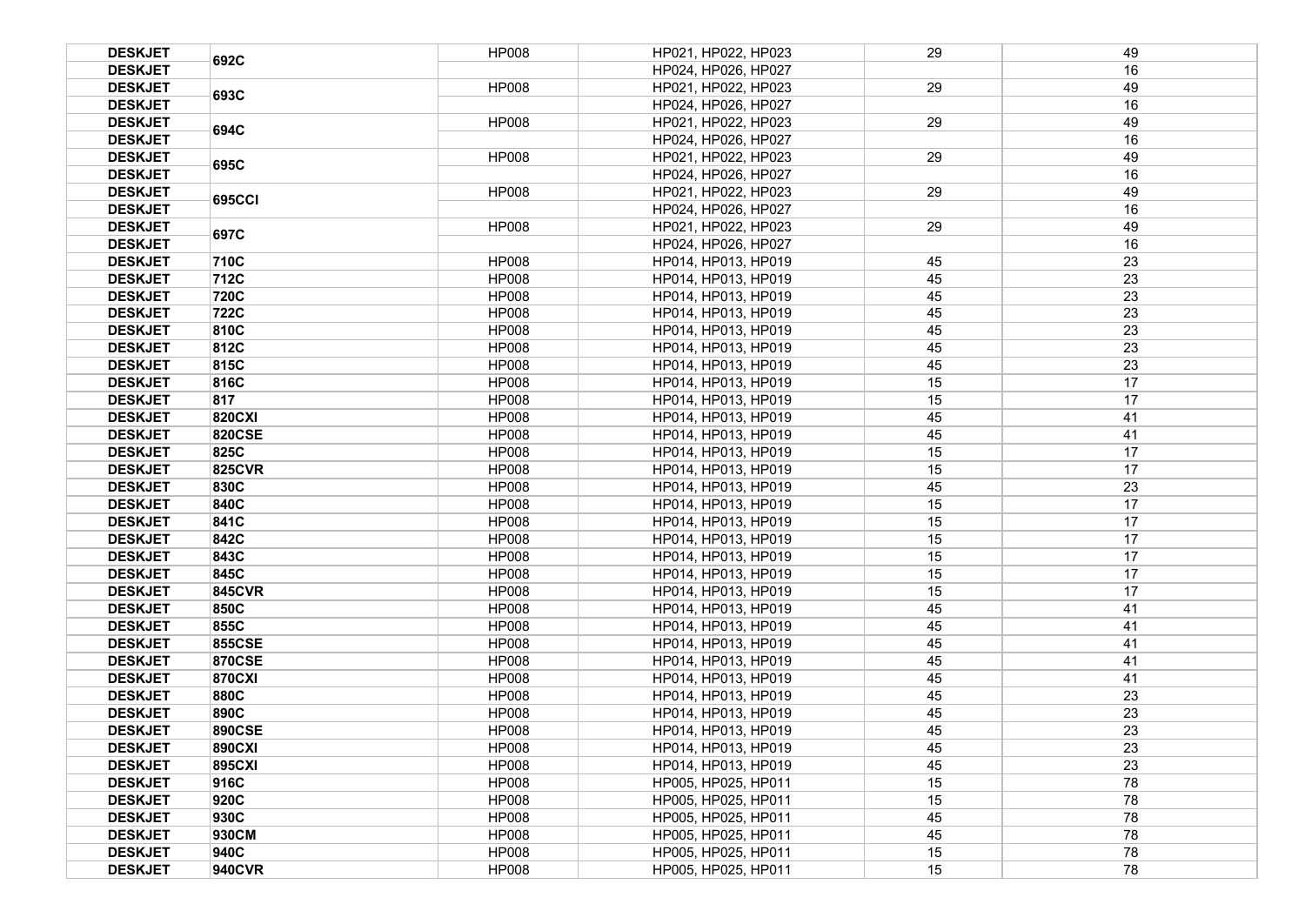| <b>DESKJET</b> | 692C          | <b>HP008</b> | HP021, HP022, HP023 | 29 | 49 |
|----------------|---------------|--------------|---------------------|----|----|
| <b>DESKJET</b> |               |              | HP024, HP026, HP027 |    | 16 |
| <b>DESKJET</b> |               | <b>HP008</b> | HP021, HP022, HP023 | 29 | 49 |
| <b>DESKJET</b> | 693C          |              | HP024, HP026, HP027 |    | 16 |
| <b>DESKJET</b> |               | <b>HP008</b> | HP021, HP022, HP023 | 29 | 49 |
| <b>DESKJET</b> | 694C          |              | HP024, HP026, HP027 |    | 16 |
| <b>DESKJET</b> |               | <b>HP008</b> | HP021, HP022, HP023 | 29 | 49 |
| <b>DESKJET</b> | 695C          |              | HP024, HP026, HP027 |    | 16 |
| <b>DESKJET</b> |               | <b>HP008</b> | HP021, HP022, HP023 | 29 | 49 |
| <b>DESKJET</b> | <b>695CCI</b> |              | HP024, HP026, HP027 |    | 16 |
| <b>DESKJET</b> | 697C          | <b>HP008</b> | HP021. HP022. HP023 | 29 | 49 |
| <b>DESKJET</b> |               |              | HP024, HP026, HP027 |    | 16 |
| <b>DESKJET</b> | 710C          | <b>HP008</b> | HP014, HP013, HP019 | 45 | 23 |
| <b>DESKJET</b> | 712C          | <b>HP008</b> | HP014, HP013, HP019 | 45 | 23 |
| <b>DESKJET</b> | 720C          | <b>HP008</b> | HP014, HP013, HP019 | 45 | 23 |
| <b>DESKJET</b> | 722C          | <b>HP008</b> | HP014, HP013, HP019 | 45 | 23 |
| <b>DESKJET</b> | 810C          | <b>HP008</b> | HP014, HP013, HP019 | 45 | 23 |
| <b>DESKJET</b> | 812C          | <b>HP008</b> | HP014, HP013, HP019 | 45 | 23 |
| <b>DESKJET</b> | 815C          | <b>HP008</b> | HP014, HP013, HP019 | 45 | 23 |
| <b>DESKJET</b> | 816C          | <b>HP008</b> | HP014, HP013, HP019 | 15 | 17 |
| <b>DESKJET</b> | 817           | <b>HP008</b> | HP014, HP013, HP019 | 15 | 17 |
| <b>DESKJET</b> | <b>820CXI</b> | <b>HP008</b> | HP014, HP013, HP019 | 45 | 41 |
| <b>DESKJET</b> | <b>820CSE</b> | <b>HP008</b> | HP014, HP013, HP019 | 45 | 41 |
| <b>DESKJET</b> | 825C          | <b>HP008</b> | HP014, HP013, HP019 | 15 | 17 |
| <b>DESKJET</b> | <b>825CVR</b> | <b>HP008</b> | HP014, HP013, HP019 | 15 | 17 |
| <b>DESKJET</b> | 830C          | <b>HP008</b> | HP014, HP013, HP019 | 45 | 23 |
| <b>DESKJET</b> | 840C          | <b>HP008</b> | HP014, HP013, HP019 | 15 | 17 |
| <b>DESKJET</b> | 841C          | <b>HP008</b> | HP014, HP013, HP019 | 15 | 17 |
| <b>DESKJET</b> | 842C          | <b>HP008</b> | HP014, HP013, HP019 | 15 | 17 |
| <b>DESKJET</b> | 843C          | <b>HP008</b> | HP014, HP013, HP019 | 15 | 17 |
| <b>DESKJET</b> | 845C          | <b>HP008</b> | HP014, HP013, HP019 | 15 | 17 |
| <b>DESKJET</b> | <b>845CVR</b> | <b>HP008</b> | HP014, HP013, HP019 | 15 | 17 |
| <b>DESKJET</b> | 850C          | <b>HP008</b> | HP014, HP013, HP019 | 45 | 41 |
| <b>DESKJET</b> | 855C          | <b>HP008</b> | HP014, HP013, HP019 | 45 | 41 |
| <b>DESKJET</b> | <b>855CSE</b> | <b>HP008</b> | HP014, HP013, HP019 | 45 | 41 |
| <b>DESKJET</b> | <b>870CSE</b> | <b>HP008</b> | HP014, HP013, HP019 | 45 | 41 |
| <b>DESKJET</b> | <b>870CXI</b> | <b>HP008</b> | HP014, HP013, HP019 | 45 | 41 |
| <b>DESKJET</b> | 880C          | <b>HP008</b> | HP014, HP013, HP019 | 45 | 23 |
| <b>DESKJET</b> | 890C          | <b>HP008</b> | HP014, HP013, HP019 | 45 | 23 |
| <b>DESKJET</b> | <b>890CSE</b> | <b>HP008</b> | HP014, HP013, HP019 | 45 | 23 |
| <b>DESKJET</b> | <b>890CXI</b> | <b>HP008</b> | HP014, HP013, HP019 | 45 | 23 |
| <b>DESKJET</b> | <b>895CXI</b> | <b>HP008</b> | HP014, HP013, HP019 | 45 | 23 |
| <b>DESKJET</b> | 916C          | <b>HP008</b> | HP005, HP025, HP011 | 15 | 78 |
| <b>DESKJET</b> | 920C          | <b>HP008</b> | HP005, HP025, HP011 | 15 | 78 |
| <b>DESKJET</b> | 930C          | <b>HP008</b> | HP005, HP025, HP011 | 45 | 78 |
| <b>DESKJET</b> | 930CM         | <b>HP008</b> | HP005, HP025, HP011 | 45 | 78 |
| <b>DESKJET</b> | 940C          | <b>HP008</b> | HP005, HP025, HP011 | 15 | 78 |
| <b>DESKJET</b> | 940CVR        | <b>HP008</b> | HP005, HP025, HP011 | 15 | 78 |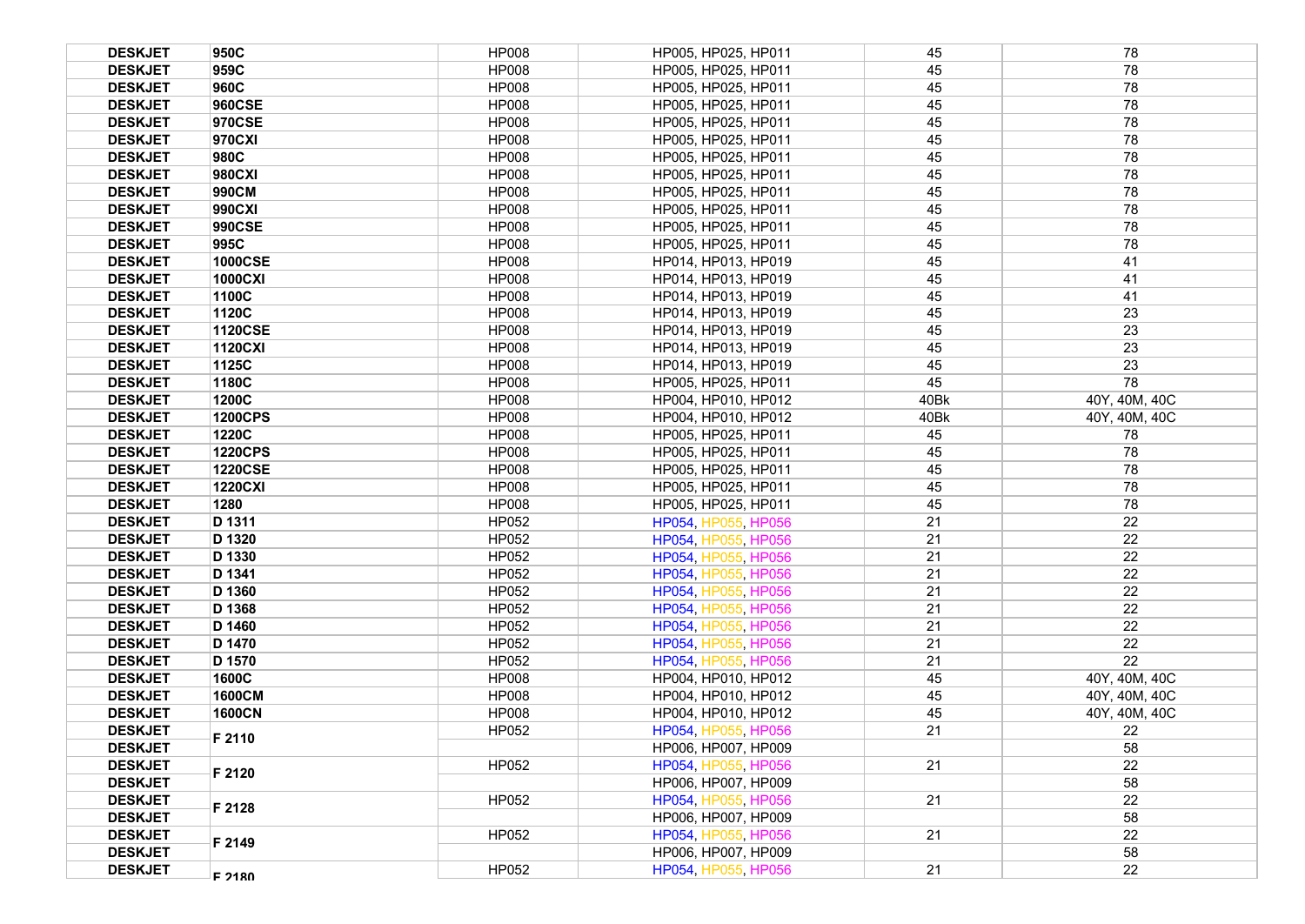| <b>DESKJET</b> | 950C           | <b>HP008</b> | HP005, HP025, HP011 | 45   | 78            |
|----------------|----------------|--------------|---------------------|------|---------------|
| <b>DESKJET</b> | 959C           | <b>HP008</b> | HP005, HP025, HP011 | 45   | 78            |
| <b>DESKJET</b> | 960C           | <b>HP008</b> | HP005, HP025, HP011 | 45   | 78            |
| <b>DESKJET</b> | 960CSE         | <b>HP008</b> | HP005, HP025, HP011 | 45   | 78            |
| <b>DESKJET</b> | 970CSE         | <b>HP008</b> | HP005, HP025, HP011 | 45   | 78            |
| <b>DESKJET</b> | 970CXI         | <b>HP008</b> | HP005, HP025, HP011 | 45   | 78            |
| <b>DESKJET</b> | 980C           | <b>HP008</b> | HP005, HP025, HP011 | 45   | 78            |
| <b>DESKJET</b> | 980CXI         | <b>HP008</b> | HP005, HP025, HP011 | 45   | 78            |
| <b>DESKJET</b> | 990CM          | <b>HP008</b> | HP005, HP025, HP011 | 45   | 78            |
| <b>DESKJET</b> | 990CXI         | <b>HP008</b> | HP005, HP025, HP011 | 45   | 78            |
| <b>DESKJET</b> | <b>990CSE</b>  | <b>HP008</b> | HP005, HP025, HP011 | 45   | 78            |
| <b>DESKJET</b> | 995C           | <b>HP008</b> | HP005, HP025, HP011 | 45   | 78            |
| <b>DESKJET</b> | <b>1000CSE</b> | <b>HP008</b> | HP014, HP013, HP019 | 45   | 41            |
| <b>DESKJET</b> | 1000CXI        | <b>HP008</b> | HP014, HP013, HP019 | 45   | 41            |
| <b>DESKJET</b> | 1100C          | <b>HP008</b> | HP014, HP013, HP019 | 45   | 41            |
| <b>DESKJET</b> | 1120C          | <b>HP008</b> | HP014, HP013, HP019 | 45   | 23            |
| <b>DESKJET</b> | <b>1120CSE</b> | <b>HP008</b> | HP014, HP013, HP019 | 45   | 23            |
| <b>DESKJET</b> | <b>1120CXI</b> | <b>HP008</b> | HP014, HP013, HP019 | 45   | 23            |
| <b>DESKJET</b> | 1125C          | <b>HP008</b> | HP014, HP013, HP019 | 45   | 23            |
| <b>DESKJET</b> | 1180C          | <b>HP008</b> | HP005, HP025, HP011 | 45   | 78            |
| <b>DESKJET</b> | 1200C          | <b>HP008</b> | HP004, HP010, HP012 | 40Bk | 40Y, 40M, 40C |
| <b>DESKJET</b> | <b>1200CPS</b> | <b>HP008</b> | HP004, HP010, HP012 | 40Bk | 40Y, 40M, 40C |
| <b>DESKJET</b> | 1220C          | <b>HP008</b> | HP005, HP025, HP011 | 45   | 78            |
| <b>DESKJET</b> | <b>1220CPS</b> | <b>HP008</b> | HP005, HP025, HP011 | 45   | 78            |
| <b>DESKJET</b> | <b>1220CSE</b> | <b>HP008</b> | HP005, HP025, HP011 | 45   | 78            |
| <b>DESKJET</b> | <b>1220CXI</b> | <b>HP008</b> | HP005, HP025, HP011 | 45   | 78            |
| <b>DESKJET</b> | 1280           | <b>HP008</b> | HP005, HP025, HP011 | 45   | 78            |
| <b>DESKJET</b> | D 1311         | HP052        | HP054, HP055, HP056 | 21   | 22            |
| <b>DESKJET</b> | D 1320         | HP052        | HP054, HP055, HP056 | 21   | 22            |
| <b>DESKJET</b> | D 1330         | HP052        | HP054, HP055, HP056 | 21   | 22            |
| <b>DESKJET</b> | D 1341         | HP052        | HP054, HP055, HP056 | 21   | 22            |
| <b>DESKJET</b> | D 1360         | HP052        | HP054, HP055, HP056 | 21   | 22            |
| <b>DESKJET</b> | D 1368         | <b>HP052</b> | HP054, HP055, HP056 | 21   | 22            |
| <b>DESKJET</b> | D 1460         | HP052        | HP054, HP055, HP056 | 21   | 22            |
| <b>DESKJET</b> | D 1470         | HP052        | HP054, HP055, HP056 | 21   | 22            |
| <b>DESKJET</b> | D 1570         | HP052        | HP054, HP055, HP056 | 21   | 22            |
| <b>DESKJET</b> | 1600C          | <b>HP008</b> | HP004, HP010, HP012 | 45   | 40Y, 40M, 40C |
| <b>DESKJET</b> | 1600CM         | <b>HP008</b> | HP004, HP010, HP012 | 45   | 40Y, 40M, 40C |
| <b>DESKJET</b> | <b>1600CN</b>  | <b>HP008</b> | HP004, HP010, HP012 | 45   | 40Y, 40M, 40C |
| <b>DESKJET</b> | F 2110         | HP052        | HP054, HP055, HP056 | 21   | 22            |
| <b>DESKJET</b> |                |              | HP006, HP007, HP009 |      | 58            |
| <b>DESKJET</b> | F 2120         | HP052        | HP054, HP055, HP056 | 21   | 22            |
| <b>DESKJET</b> |                |              | HP006, HP007, HP009 |      | 58            |
| <b>DESKJET</b> | F 2128         | HP052        | HP054, HP055, HP056 | 21   | 22            |
| <b>DESKJET</b> |                |              | HP006, HP007, HP009 |      | 58            |
| <b>DESKJET</b> | F 2149         | HP052        | HP054, HP055, HP056 | 21   | 22            |
| <b>DESKJET</b> |                |              | HP006, HP007, HP009 |      | 58            |
| <b>DESKJET</b> | F 2180         | HP052        | HP054, HP055, HP056 | 21   | 22            |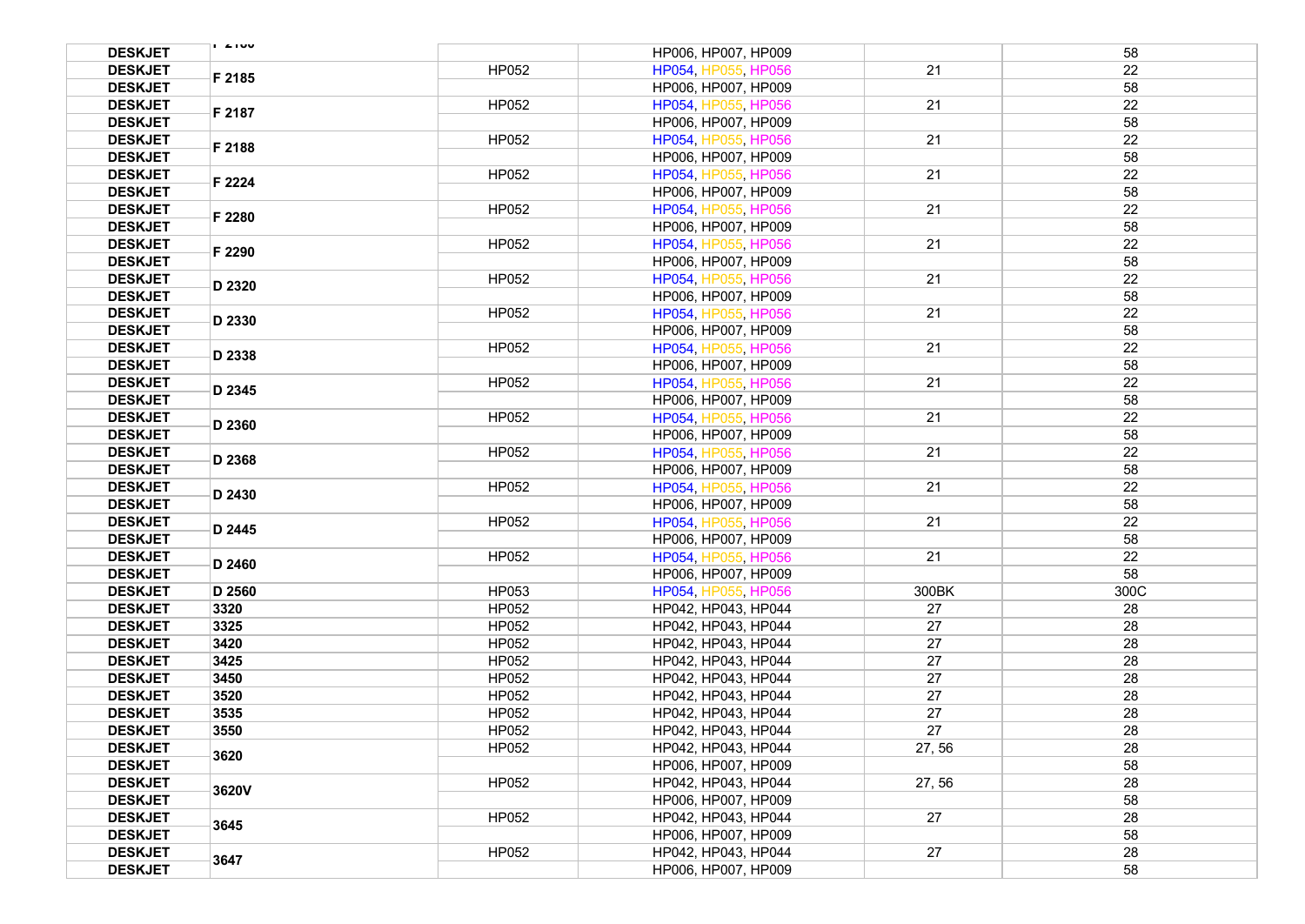| <b>DESKJET</b>                   | $\sqrt{2}$ |                | HP006, HP007, HP009 |        | 58   |
|----------------------------------|------------|----------------|---------------------|--------|------|
| <b>DESKJET</b>                   |            | HP052          | HP054, HP055, HP056 | 21     | 22   |
| <b>DESKJET</b>                   | F 2185     |                | HP006, HP007, HP009 |        | 58   |
| <b>DESKJET</b>                   |            | HP052          | HP054, HP055, HP056 | 21     | 22   |
| <b>DESKJET</b>                   | F 2187     |                | HP006, HP007, HP009 |        | 58   |
| <b>DESKJET</b>                   |            | HP052          | HP054, HP055, HP056 | 21     | 22   |
| <b>DESKJET</b>                   | F 2188     |                | HP006, HP007, HP009 |        | 58   |
| <b>DESKJET</b>                   |            | HP052          | HP054, HP055, HP056 | 21     | 22   |
| <b>DESKJET</b>                   | F 2224     |                | HP006, HP007, HP009 |        | 58   |
| <b>DESKJET</b>                   |            | HP052          | HP054, HP055, HP056 | 21     | 22   |
|                                  | F 2280     |                |                     |        | 58   |
| <b>DESKJET</b>                   |            |                | HP006, HP007, HP009 |        |      |
| <b>DESKJET</b>                   | F 2290     | HP052          | HP054, HP055, HP056 | 21     | 22   |
| <b>DESKJET</b>                   |            |                | HP006, HP007, HP009 |        | 58   |
| <b>DESKJET</b>                   | D 2320     | HP052          | HP054, HP055, HP056 | 21     | 22   |
| <b>DESKJET</b>                   |            |                | HP006, HP007, HP009 |        | 58   |
| <b>DESKJET</b>                   | D 2330     | HP052          | HP054, HP055, HP056 | 21     | 22   |
| <b>DESKJET</b>                   |            |                | HP006, HP007, HP009 |        | 58   |
| <b>DESKJET</b>                   | D 2338     | HP052          | HP054, HP055, HP056 | 21     | 22   |
| <b>DESKJET</b>                   |            |                | HP006, HP007, HP009 |        | 58   |
| <b>DESKJET</b>                   | D 2345     | HP052          | HP054, HP055, HP056 | 21     | 22   |
| <b>DESKJET</b>                   |            |                | HP006, HP007, HP009 |        | 58   |
| <b>DESKJET</b>                   |            | HP052          | HP054, HP055, HP056 | 21     | 22   |
| <b>DESKJET</b>                   | D 2360     |                | HP006, HP007, HP009 |        | 58   |
| <b>DESKJET</b>                   |            | HP052          | HP054, HP055, HP056 | 21     | 22   |
| <b>DESKJET</b>                   | D 2368     |                | HP006, HP007, HP009 |        | 58   |
| <b>DESKJET</b>                   |            | HP052          | HP054, HP055, HP056 | 21     | 22   |
| <b>DESKJET</b>                   | D 2430     |                | HP006, HP007, HP009 |        | 58   |
| <b>DESKJET</b>                   |            | HP052          | HP054, HP055, HP056 | 21     | 22   |
| <b>DESKJET</b>                   | D 2445     |                | HP006, HP007, HP009 |        | 58   |
| <b>DESKJET</b>                   |            | HP052          | HP054, HP055, HP056 | 21     | 22   |
| <b>DESKJET</b>                   | D 2460     |                | HP006, HP007, HP009 |        | 58   |
| <b>DESKJET</b>                   | D 2560     | HP053          | HP054, HP055, HP056 | 300BK  | 300C |
| <b>DESKJET</b>                   | 3320       | HP052          | HP042, HP043, HP044 | 27     | 28   |
| <b>DESKJET</b>                   | 3325       | HP052          | HP042, HP043, HP044 | 27     | 28   |
|                                  |            |                |                     | 27     | 28   |
| <b>DESKJET</b><br><b>DESKJET</b> | 3420       | HP052<br>HP052 | HP042, HP043, HP044 | 27     | 28   |
|                                  | 3425       |                | HP042, HP043, HP044 |        |      |
| <b>DESKJET</b>                   | 3450       | HP052          | HP042, HP043, HP044 | 27     | 28   |
| <b>DESKJET</b>                   | 3520       | HP052          | HP042, HP043, HP044 | 27     | 28   |
| <b>DESKJET</b>                   | 3535       | HP052          | HP042, HP043, HP044 | 27     | 28   |
| <b>DESKJET</b>                   | 3550       | HP052          | HP042, HP043, HP044 | 27     | 28   |
| <b>DESKJET</b>                   | 3620       | <b>HP052</b>   | HP042, HP043, HP044 | 27, 56 | 28   |
| <b>DESKJET</b>                   |            |                | HP006, HP007, HP009 |        | 58   |
| <b>DESKJET</b>                   | 3620V      | HP052          | HP042, HP043, HP044 | 27, 56 | 28   |
| <b>DESKJET</b>                   |            |                | HP006, HP007, HP009 |        | 58   |
| <b>DESKJET</b>                   | 3645       | HP052          | HP042, HP043, HP044 | 27     | 28   |
| <b>DESKJET</b>                   |            |                | HP006, HP007, HP009 |        | 58   |
| <b>DESKJET</b>                   |            | HP052          | HP042, HP043, HP044 | 27     | 28   |
| <b>DESKJET</b>                   | 3647       |                | HP006, HP007, HP009 |        | 58   |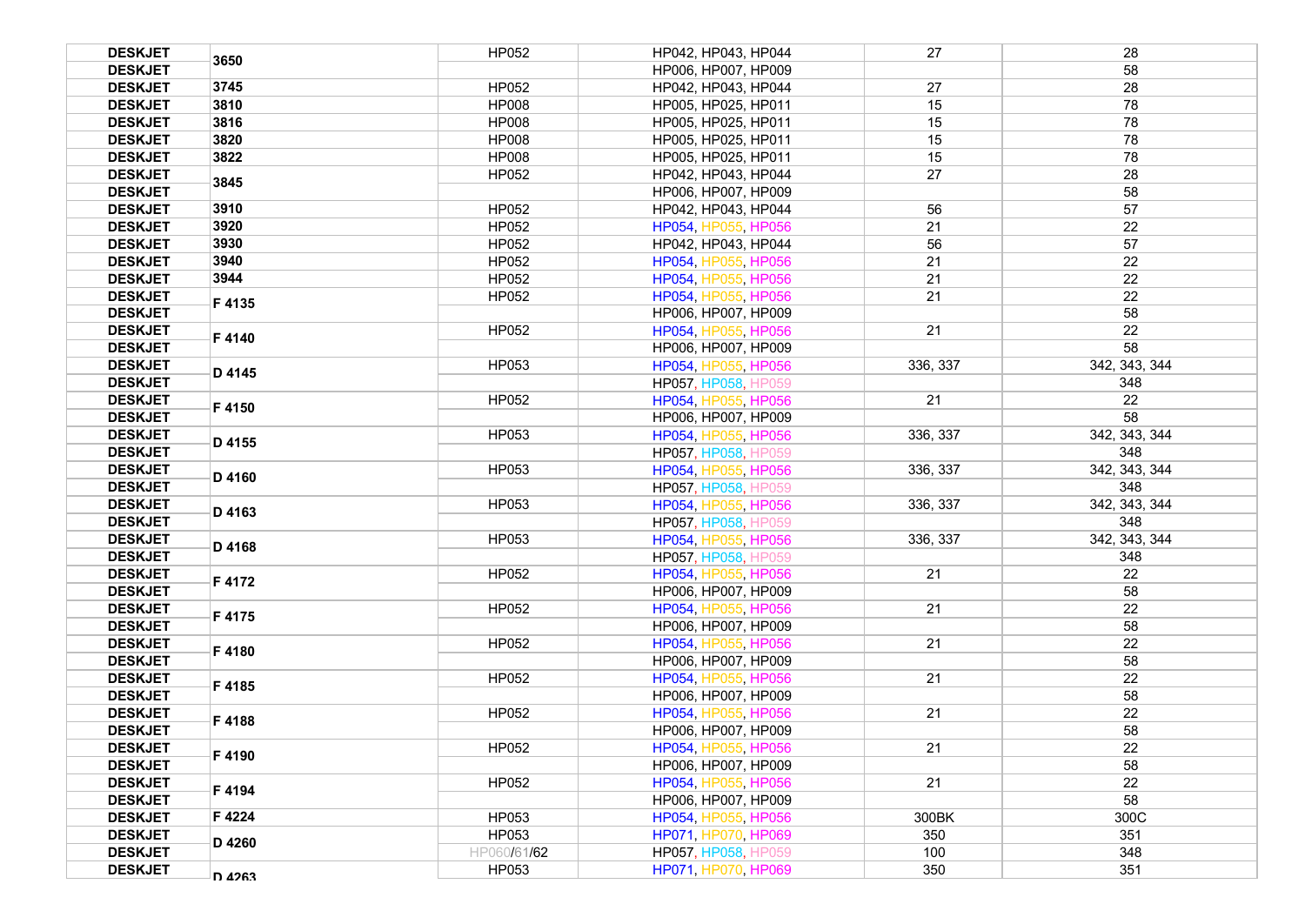| <b>DESKJET</b> | 3650   | HP052        | HP042, HP043, HP044        | 27       | 28            |
|----------------|--------|--------------|----------------------------|----------|---------------|
| <b>DESKJET</b> |        |              | HP006, HP007, HP009        |          | 58            |
| <b>DESKJET</b> | 3745   | HP052        | HP042, HP043, HP044        | 27       | 28            |
| <b>DESKJET</b> | 3810   | <b>HP008</b> | HP005, HP025, HP011        | 15       | 78            |
| <b>DESKJET</b> | 3816   | <b>HP008</b> | HP005, HP025, HP011        | 15       | 78            |
| <b>DESKJET</b> | 3820   | <b>HP008</b> | HP005, HP025, HP011        | 15       | 78            |
| <b>DESKJET</b> | 3822   | <b>HP008</b> | HP005, HP025, HP011        | 15       | 78            |
| <b>DESKJET</b> |        | HP052        | HP042, HP043, HP044        | 27       | 28            |
| <b>DESKJET</b> | 3845   |              | HP006, HP007, HP009        |          | 58            |
| <b>DESKJET</b> | 3910   | HP052        | HP042, HP043, HP044        | 56       | 57            |
| <b>DESKJET</b> | 3920   | HP052        | HP054, HP055, HP056        | 21       | 22            |
| <b>DESKJET</b> | 3930   | HP052        | HP042, HP043, HP044        | 56       | 57            |
| <b>DESKJET</b> | 3940   | HP052        | HP054, HP055, HP056        | 21       | 22            |
| <b>DESKJET</b> | 3944   | HP052        | HP054, HP055, HP056        | 21       | 22            |
| <b>DESKJET</b> |        | HP052        | HP054, HP055, HP056        | 21       | 22            |
| <b>DESKJET</b> | F4135  |              | HP006, HP007, HP009        |          | 58            |
| <b>DESKJET</b> |        | HP052        | HP054, HP055, HP056        | 21       | 22            |
| <b>DESKJET</b> | F4140  |              | HP006, HP007, HP009        |          | 58            |
| <b>DESKJET</b> |        | HP053        | HP054, HP055, HP056        | 336, 337 | 342, 343, 344 |
| <b>DESKJET</b> | D 4145 |              | HP057, HP058, HP059        |          | 348           |
| <b>DESKJET</b> |        | HP052        | HP054, HP055, HP056        | 21       | 22            |
| <b>DESKJET</b> | F4150  |              | HP006, HP007, HP009        |          | 58            |
| <b>DESKJET</b> |        | HP053        | HP054, HP055, HP056        | 336, 337 | 342, 343, 344 |
| <b>DESKJET</b> | D 4155 |              | HP057, HP058, HP059        |          | 348           |
| <b>DESKJET</b> |        | HP053        | HP054, HP055, HP056        | 336, 337 | 342, 343, 344 |
| <b>DESKJET</b> | D 4160 |              | HP057, HP058, HP059        |          | 348           |
| <b>DESKJET</b> |        | HP053        | HP054, HP055, HP056        | 336, 337 | 342, 343, 344 |
| <b>DESKJET</b> | D 4163 |              | <b>HP057, HP058, HP059</b> |          | 348           |
| <b>DESKJET</b> |        | HP053        | HP054, HP055, HP056        | 336, 337 | 342, 343, 344 |
| <b>DESKJET</b> | D 4168 |              | HP057, HP058, HP059        |          | 348           |
| <b>DESKJET</b> |        | HP052        | HP054, HP055, HP056        | 21       | 22            |
| <b>DESKJET</b> | F 4172 |              | HP006, HP007, HP009        |          | 58            |
| <b>DESKJET</b> |        | HP052        | HP054, HP055, HP056        | 21       | 22            |
| <b>DESKJET</b> | F4175  |              | HP006, HP007, HP009        |          | 58            |
| <b>DESKJET</b> |        | HP052        | HP054, HP055, HP056        | 21       | 22            |
| <b>DESKJET</b> | F4180  |              | HP006. HP007. HP009        |          | 58            |
| <b>DESKJET</b> |        | <b>HP052</b> | HP054, HP055, HP056        | 21       | 22            |
| <b>DESKJET</b> | F4185  |              | HP006, HP007, HP009        |          | 58            |
| <b>DESKJET</b> |        | HP052        | HP054, HP055, HP056        | 21       | 22            |
| <b>DESKJET</b> | F4188  |              | HP006, HP007, HP009        |          | 58            |
| <b>DESKJET</b> | F 4190 | HP052        | HP054, HP055, HP056        | 21       | 22            |
| <b>DESKJET</b> |        |              | HP006, HP007, HP009        |          | 58            |
| <b>DESKJET</b> | F 4194 | HP052        | HP054, HP055, HP056        | 21       | 22            |
| <b>DESKJET</b> |        |              | HP006, HP007, HP009        |          | 58            |
| <b>DESKJET</b> | F 4224 | HP053        | HP054, HP055, HP056        | 300BK    | 300C          |
| <b>DESKJET</b> |        | HP053        | HP071, HP070, HP069        | 350      | 351           |
| <b>DESKJET</b> | D 4260 | HP060/61/62  | <b>HP057, HP058, HP059</b> | 100      | 348           |
| <b>DESKJET</b> | D 4263 | HP053        | HP071, HP070, HP069        | 350      | 351           |
|                |        |              |                            |          |               |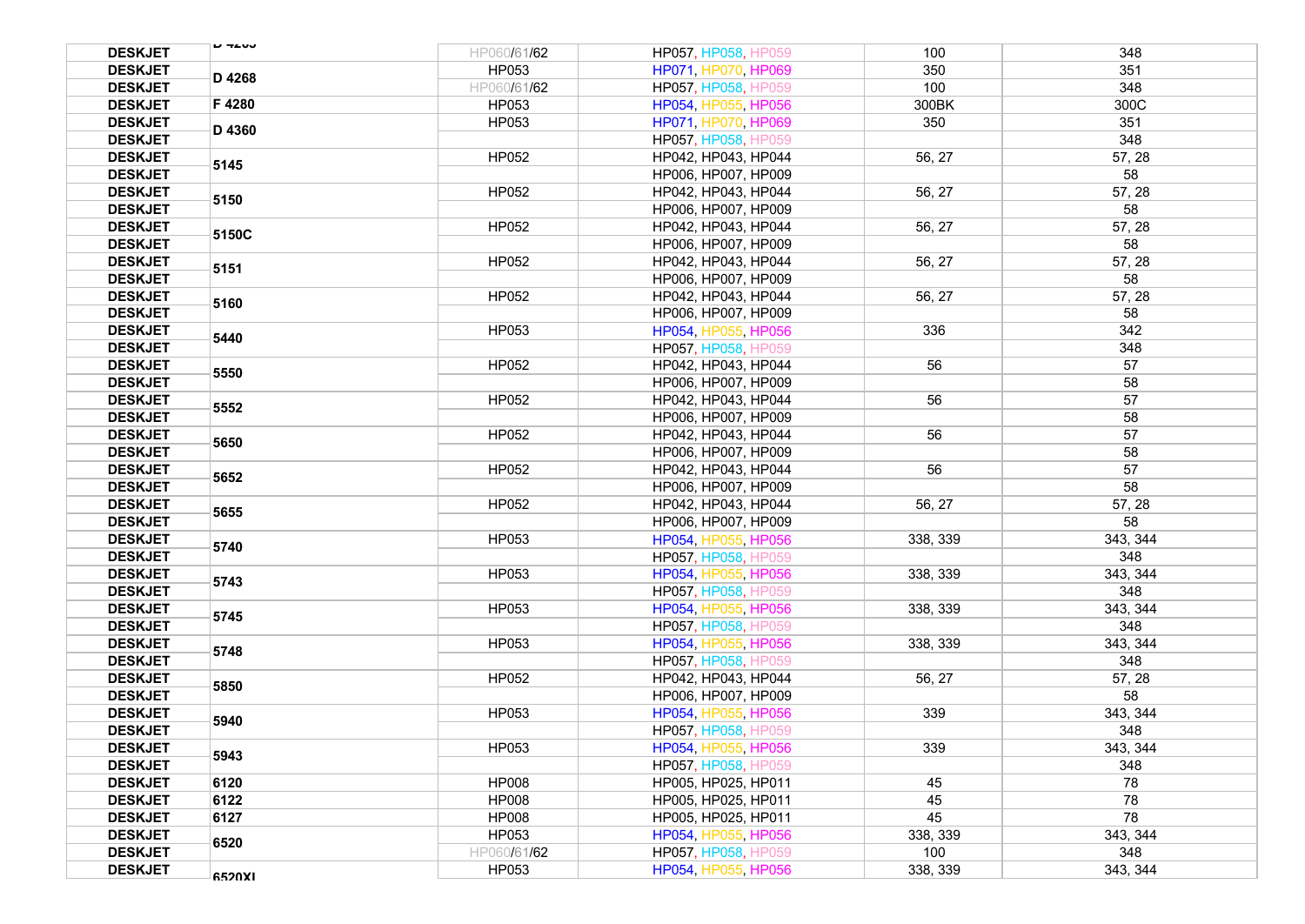| <b>DESKJET</b> | <b>U TAUJ</b> | HP060/61/62  | HP057, HP058, HP059        | 100      | 348      |
|----------------|---------------|--------------|----------------------------|----------|----------|
| <b>DESKJET</b> |               | HP053        | HP071, HP070, HP069        | 350      | 351      |
| <b>DESKJET</b> | D 4268        | HP060/61/62  | HP057, HP058, HP059        | 100      | 348      |
| <b>DESKJET</b> | F 4280        | HP053        | HP054, HP055, HP056        | 300BK    | 300C     |
| <b>DESKJET</b> |               | HP053        | HP071, HP070, HP069        | 350      | 351      |
| <b>DESKJET</b> | D 4360        |              | HP057, HP058, HP059        |          | 348      |
| <b>DESKJET</b> |               | HP052        | HP042, HP043, HP044        | 56, 27   | 57, 28   |
| <b>DESKJET</b> | 5145          |              | HP006, HP007, HP009        |          | 58       |
| <b>DESKJET</b> |               | HP052        | HP042, HP043, HP044        | 56, 27   | 57, 28   |
| <b>DESKJET</b> | 5150          |              | HP006, HP007, HP009        |          | 58       |
| <b>DESKJET</b> |               | HP052        | HP042, HP043, HP044        | 56, 27   | 57, 28   |
| <b>DESKJET</b> | 5150C         |              | HP006, HP007, HP009        |          | 58       |
| <b>DESKJET</b> |               | HP052        | HP042, HP043, HP044        | 56, 27   | 57, 28   |
| <b>DESKJET</b> | 5151          |              | HP006, HP007, HP009        |          | 58       |
| <b>DESKJET</b> |               | HP052        | HP042, HP043, HP044        | 56, 27   | 57, 28   |
| <b>DESKJET</b> | 5160          |              | HP006, HP007, HP009        |          | 58       |
| <b>DESKJET</b> |               | HP053        | HP054, HP055, HP056        | 336      | 342      |
| <b>DESKJET</b> | 5440          |              | HP057, HP058, HP059        |          | 348      |
| <b>DESKJET</b> |               | HP052        | HP042, HP043, HP044        | 56       | 57       |
| <b>DESKJET</b> | 5550          |              | HP006, HP007, HP009        |          | 58       |
| <b>DESKJET</b> |               | HP052        | HP042, HP043, HP044        | 56       | 57       |
| <b>DESKJET</b> | 5552          |              | HP006, HP007, HP009        |          | 58       |
| <b>DESKJET</b> |               | HP052        | HP042, HP043, HP044        | 56       | 57       |
| <b>DESKJET</b> | 5650          |              | HP006, HP007, HP009        |          | 58       |
| <b>DESKJET</b> |               | HP052        | HP042, HP043, HP044        | 56       | 57       |
| <b>DESKJET</b> | 5652          |              | HP006, HP007, HP009        |          | 58       |
| <b>DESKJET</b> |               | HP052        | HP042, HP043, HP044        | 56, 27   | 57, 28   |
| <b>DESKJET</b> | 5655          |              | HP006, HP007, HP009        |          | 58       |
| <b>DESKJET</b> |               | HP053        | HP054, HP055, HP056        | 338, 339 | 343, 344 |
| <b>DESKJET</b> | 5740          |              | HP057, HP058, HP059        |          | 348      |
| <b>DESKJET</b> |               | HP053        | HP054, HP055, HP056        | 338, 339 | 343, 344 |
| <b>DESKJET</b> | 5743          |              | HP057, HP058, HP059        |          | 348      |
| <b>DESKJET</b> |               | HP053        | HP054, HP055, HP056        | 338, 339 | 343, 344 |
| <b>DESKJET</b> | 5745          |              | HP057, HP058, HP059        |          | 348      |
| <b>DESKJET</b> |               | HP053        | HP054, HP055, HP056        | 338.339  | 343, 344 |
| <b>DESKJET</b> | 5748          |              | HP057, HP058, HP059        |          | 348      |
| <b>DESKJET</b> |               | HP052        | HP042, HP043, HP044        | 56, 27   | 57, 28   |
| <b>DESKJET</b> | 5850          |              | HP006, HP007, HP009        |          | 58       |
| <b>DESKJET</b> |               | HP053        | HP054, HP055, HP056        | 339      | 343.344  |
| <b>DESKJET</b> | 5940          |              | <b>HP057. HP058. HP059</b> |          | 348      |
| <b>DESKJET</b> |               | HP053        | HP054, HP055, HP056        | 339      | 343, 344 |
| <b>DESKJET</b> | 5943          |              | HP057, HP058, HP059        |          | 348      |
| <b>DESKJET</b> | 6120          | <b>HP008</b> | HP005, HP025, HP011        | 45       | 78       |
| <b>DESKJET</b> | 6122          | <b>HP008</b> | HP005, HP025, HP011        | 45       | 78       |
| <b>DESKJET</b> | 6127          | <b>HP008</b> | HP005, HP025, HP011        | 45       | 78       |
| <b>DESKJET</b> |               | HP053        | HP054, HP055, HP056        | 338, 339 | 343, 344 |
| <b>DESKJET</b> | 6520          | HP060/61/62  | <b>HP057, HP058, HP059</b> | 100      | 348      |
| <b>DESKJET</b> |               | HP053        | HP054, HP055, HP056        | 338, 339 | 343, 344 |
|                | 6520XI        |              |                            |          |          |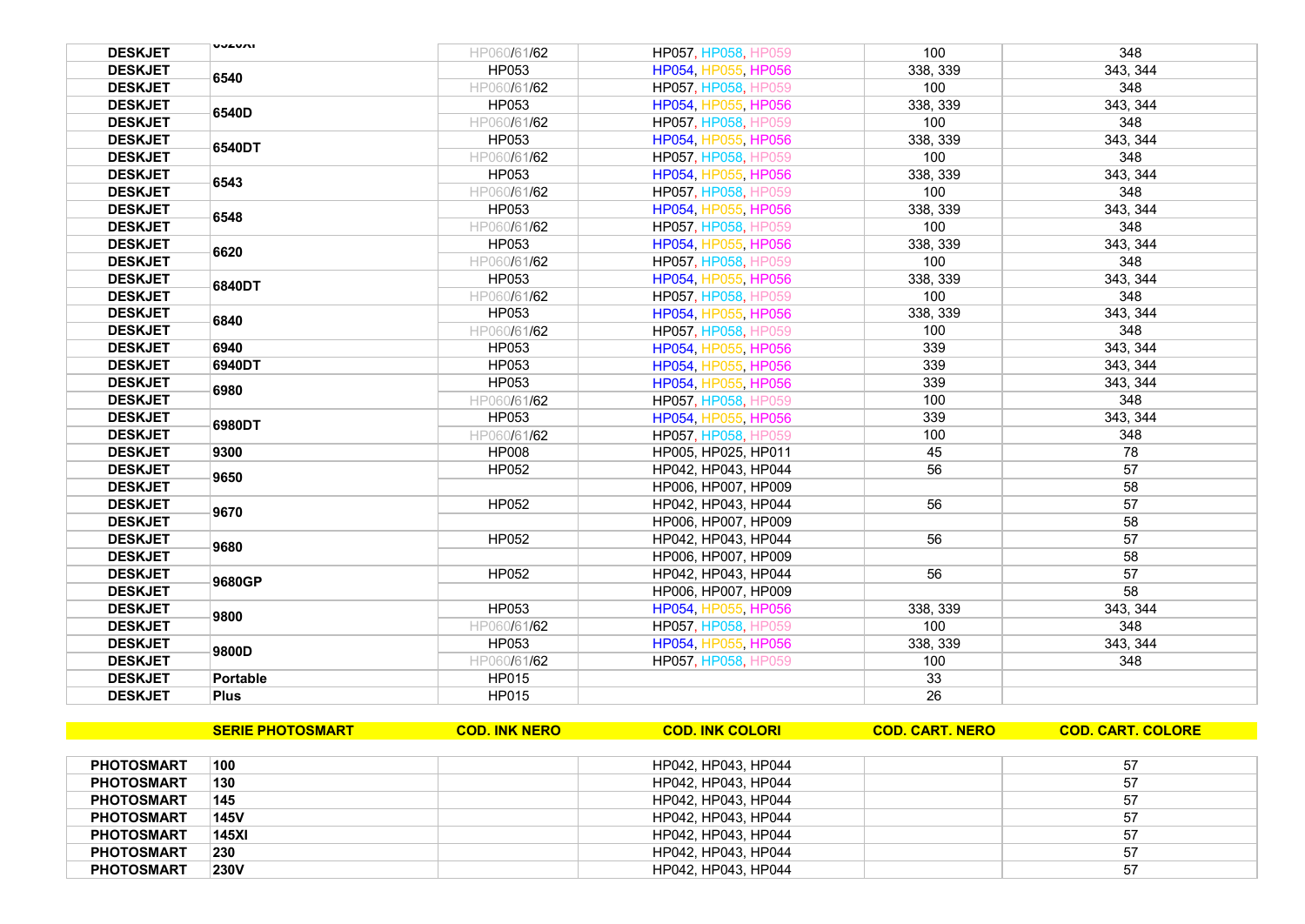| <b>DESKJET</b> | ותשבעט      | HP060/61/62  | HP057, HP058, HP059        | 100      | 348      |
|----------------|-------------|--------------|----------------------------|----------|----------|
| <b>DESKJET</b> |             | HP053        | HP054, HP055, HP056        | 338, 339 | 343.344  |
| <b>DESKJET</b> | 6540        | HP060/61/62  | HP057, HP058, HP059        | 100      | 348      |
| <b>DESKJET</b> | 6540D       | HP053        | HP054, HP055, HP056        | 338, 339 | 343, 344 |
| <b>DESKJET</b> |             | HP060/61/62  | HP057, HP058, HP059        | 100      | 348      |
| <b>DESKJET</b> |             | HP053        | HP054, HP055, HP056        | 338, 339 | 343, 344 |
| <b>DESKJET</b> | 6540DT      | HP060/61/62  | HP057, HP058, HP059        | 100      | 348      |
| <b>DESKJET</b> | 6543        | HP053        | HP054, HP055, HP056        | 338, 339 | 343, 344 |
| <b>DESKJET</b> |             | HP060/61/62  | HP057, HP058, HP059        | 100      | 348      |
| <b>DESKJET</b> | 6548        | HP053        | HP054, HP055, HP056        | 338, 339 | 343, 344 |
| <b>DESKJET</b> |             | HP060/61/62  | HP057, HP058, HP059        | 100      | 348      |
| <b>DESKJET</b> | 6620        | HP053        | HP054, HP055, HP056        | 338, 339 | 343, 344 |
| <b>DESKJET</b> |             | HP060/61/62  | HP057, HP058, HP059        | 100      | 348      |
| <b>DESKJET</b> | 6840DT      | HP053        | HP054, HP055, HP056        | 338, 339 | 343, 344 |
| <b>DESKJET</b> |             | HP060/61/62  | HP057, HP058, HP059        | 100      | 348      |
| <b>DESKJET</b> | 6840        | <b>HP053</b> | HP054, HP055, HP056        | 338, 339 | 343, 344 |
| <b>DESKJET</b> |             | HP060/61/62  | <b>HP057, HP058, HP059</b> | 100      | 348      |
| <b>DESKJET</b> | 6940        | HP053        | HP054, HP055, HP056        | 339      | 343, 344 |
| <b>DESKJET</b> | 6940DT      | HP053        | HP054, HP055, HP056        | 339      | 343, 344 |
| <b>DESKJET</b> | 6980        | HP053        | HP054, HP055, HP056        | 339      | 343, 344 |
| <b>DESKJET</b> |             | HP060/61/62  | HP057, HP058, HP059        | 100      | 348      |
| <b>DESKJET</b> | 6980DT      | <b>HP053</b> | HP054, HP055, HP056        | 339      | 343.344  |
| <b>DESKJET</b> |             | HP060/61/62  | <b>HP057, HP058, HP059</b> | 100      | 348      |
| <b>DESKJET</b> | 9300        | <b>HP008</b> | HP005, HP025, HP011        | 45       | 78       |
| <b>DESKJET</b> | 9650        | HP052        | HP042, HP043, HP044        | 56       | 57       |
| <b>DESKJET</b> |             |              | HP006, HP007, HP009        |          | 58       |
| <b>DESKJET</b> | 9670        | <b>HP052</b> | HP042, HP043, HP044        | 56       | 57       |
| <b>DESKJET</b> |             |              | HP006, HP007, HP009        |          | 58       |
| <b>DESKJET</b> | 9680        | HP052        | HP042, HP043, HP044        | 56       | 57       |
| <b>DESKJET</b> |             |              | HP006, HP007, HP009        |          | 58       |
| <b>DESKJET</b> | 9680GP      | HP052        | HP042, HP043, HP044        | 56       | 57       |
| <b>DESKJET</b> |             |              | HP006, HP007, HP009        |          | 58       |
| <b>DESKJET</b> | 9800        | HP053        | HP054, HP055, HP056        | 338, 339 | 343, 344 |
| <b>DESKJET</b> |             | HP060/61/62  | HP057, HP058, HP059        | 100      | 348      |
| <b>DESKJET</b> | 9800D       | HP053        | HP054, HP055, HP056        | 338, 339 | 343, 344 |
| <b>DESKJET</b> |             | HP060/61/62  | HP057, HP058, HP059        | 100      | 348      |
| <b>DESKJET</b> | Portable    | HP015        |                            | 33       |          |
| <b>DESKJET</b> | <b>Plus</b> | HP015        |                            | 26       |          |

|                   | <b>SERIE PHOTOSMART</b> | <b>COD. INK NERO</b> | <b>COD. INK COLORI</b> | <b>COD. CART. NERO</b> | <b>COD. CART. COLORE</b> |
|-------------------|-------------------------|----------------------|------------------------|------------------------|--------------------------|
|                   |                         |                      |                        |                        |                          |
| <b>PHOTOSMART</b> | 100                     |                      | HP042, HP043, HP044    |                        | 57                       |
| <b>PHOTOSMART</b> | 130                     |                      | HP042, HP043, HP044    |                        | 57                       |
| <b>PHOTOSMART</b> | 145                     |                      | HP042, HP043, HP044    |                        | 57                       |
| <b>PHOTOSMART</b> | <b>145V</b>             |                      | HP042, HP043, HP044    |                        | 57                       |
| <b>PHOTOSMART</b> | 145X                    |                      | HP042, HP043, HP044    |                        | 57                       |
| <b>PHOTOSMART</b> | 230                     |                      | HP042, HP043, HP044    |                        | 57                       |
| <b>PHOTOSMART</b> | <b>230V</b>             |                      | HP042, HP043, HP044    |                        | 57                       |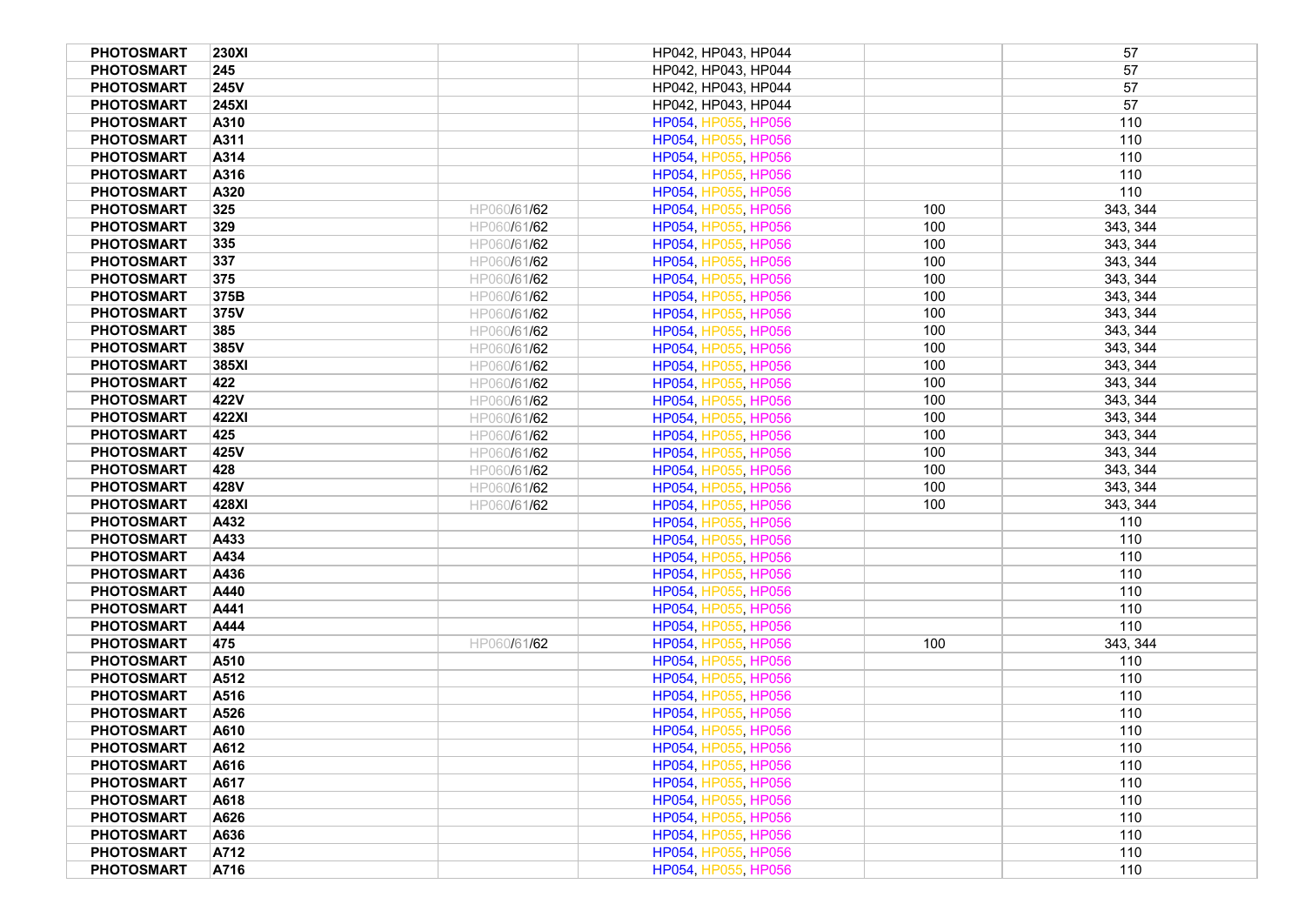| <b>PHOTOSMART</b><br><b>230XI</b> |             | HP042, HP043, HP044 |     | 57       |
|-----------------------------------|-------------|---------------------|-----|----------|
| <b>PHOTOSMART</b><br>245          |             | HP042, HP043, HP044 |     | 57       |
| <b>PHOTOSMART</b><br><b>245V</b>  |             | HP042, HP043, HP044 |     | 57       |
| <b>PHOTOSMART</b><br><b>245XI</b> |             | HP042, HP043, HP044 |     | 57       |
| <b>PHOTOSMART</b><br>A310         |             | HP054, HP055, HP056 |     | 110      |
| <b>PHOTOSMART</b><br>A311         |             | HP054, HP055, HP056 |     | 110      |
| <b>PHOTOSMART</b><br>A314         |             | HP054, HP055, HP056 |     | 110      |
| <b>PHOTOSMART</b><br>A316         |             | HP054, HP055, HP056 |     | 110      |
| <b>PHOTOSMART</b><br>A320         |             | HP054, HP055, HP056 |     | 110      |
| <b>PHOTOSMART</b><br>325          | HP060/61/62 | HP054, HP055, HP056 | 100 | 343, 344 |
| <b>PHOTOSMART</b><br>329          | HP060/61/62 | HP054, HP055, HP056 | 100 | 343, 344 |
| 335<br><b>PHOTOSMART</b>          | HP060/61/62 | HP054, HP055, HP056 | 100 | 343, 344 |
| <b>PHOTOSMART</b><br>337          | HP060/61/62 | HP054, HP055, HP056 | 100 | 343, 344 |
| <b>PHOTOSMART</b><br>375          | HP060/61/62 | HP054, HP055, HP056 | 100 | 343, 344 |
| <b>PHOTOSMART</b><br>375B         | HP060/61/62 | HP054, HP055, HP056 | 100 | 343, 344 |
| <b>PHOTOSMART</b><br>375V         | HP060/61/62 | HP054, HP055, HP056 | 100 | 343, 344 |
| <b>PHOTOSMART</b><br>385          | HP060/61/62 | HP054, HP055, HP056 | 100 | 343, 344 |
| <b>PHOTOSMART</b><br>385V         | HP060/61/62 | HP054, HP055, HP056 | 100 | 343, 344 |
| <b>PHOTOSMART</b><br>385XI        | HP060/61/62 | HP054, HP055, HP056 | 100 | 343, 344 |
| <b>PHOTOSMART</b><br>422          | HP060/61/62 | HP054, HP055, HP056 | 100 | 343, 344 |
| <b>PHOTOSMART</b><br>422V         | HP060/61/62 | HP054, HP055, HP056 | 100 | 343, 344 |
| <b>PHOTOSMART</b><br>422XI        | HP060/61/62 | HP054, HP055, HP056 | 100 | 343, 344 |
| <b>PHOTOSMART</b><br>425          | HP060/61/62 | HP054, HP055, HP056 | 100 | 343, 344 |
| <b>PHOTOSMART</b><br>425V         | HP060/61/62 | HP054, HP055, HP056 | 100 | 343, 344 |
| <b>PHOTOSMART</b><br>428          | HP060/61/62 | HP054, HP055, HP056 | 100 | 343, 344 |
| <b>PHOTOSMART</b><br>428V         | HP060/61/62 | HP054, HP055, HP056 | 100 | 343, 344 |
| <b>PHOTOSMART</b><br>428XI        | HP060/61/62 | HP054, HP055, HP056 | 100 | 343, 344 |
| <b>PHOTOSMART</b><br>A432         |             | HP054, HP055, HP056 |     | 110      |
| <b>PHOTOSMART</b><br>A433         |             | HP054, HP055, HP056 |     | 110      |
| <b>PHOTOSMART</b><br>A434         |             | HP054, HP055, HP056 |     | 110      |
| <b>PHOTOSMART</b><br>A436         |             | HP054, HP055, HP056 |     | 110      |
| <b>PHOTOSMART</b><br>A440         |             | HP054, HP055, HP056 |     | 110      |
| <b>PHOTOSMART</b><br>A441         |             | HP054, HP055, HP056 |     | 110      |
| <b>PHOTOSMART</b><br>A444         |             | HP054, HP055, HP056 |     | 110      |
| <b>PHOTOSMART</b><br>475          | HP060/61/62 | HP054, HP055, HP056 | 100 | 343, 344 |
| <b>PHOTOSMART</b><br>A510         |             | HP054, HP055, HP056 |     | 110      |
| <b>PHOTOSMART</b><br>A512         |             | HP054, HP055, HP056 |     | 110      |
| <b>PHOTOSMART</b><br>A516         |             | HP054, HP055, HP056 |     | 110      |
| <b>PHOTOSMART</b><br>A526         |             | HP054, HP055, HP056 |     | 110      |
| <b>PHOTOSMART</b><br>A610         |             | HP054, HP055, HP056 |     | 110      |
| <b>PHOTOSMART</b><br>A612         |             | HP054, HP055, HP056 |     | 110      |
| <b>PHOTOSMART</b><br>A616         |             | HP054, HP055, HP056 |     | 110      |
| <b>PHOTOSMART</b><br>A617         |             | HP054, HP055, HP056 |     | 110      |
| <b>PHOTOSMART</b><br>A618         |             | HP054, HP055, HP056 |     | 110      |
| <b>PHOTOSMART</b><br>A626         |             | HP054, HP055, HP056 |     | 110      |
| <b>PHOTOSMART</b><br>A636         |             | HP054, HP055, HP056 |     | 110      |
| <b>PHOTOSMART</b><br>A712         |             | HP054, HP055, HP056 |     | 110      |
| <b>PHOTOSMART</b><br>A716         |             | HP054, HP055, HP056 |     | 110      |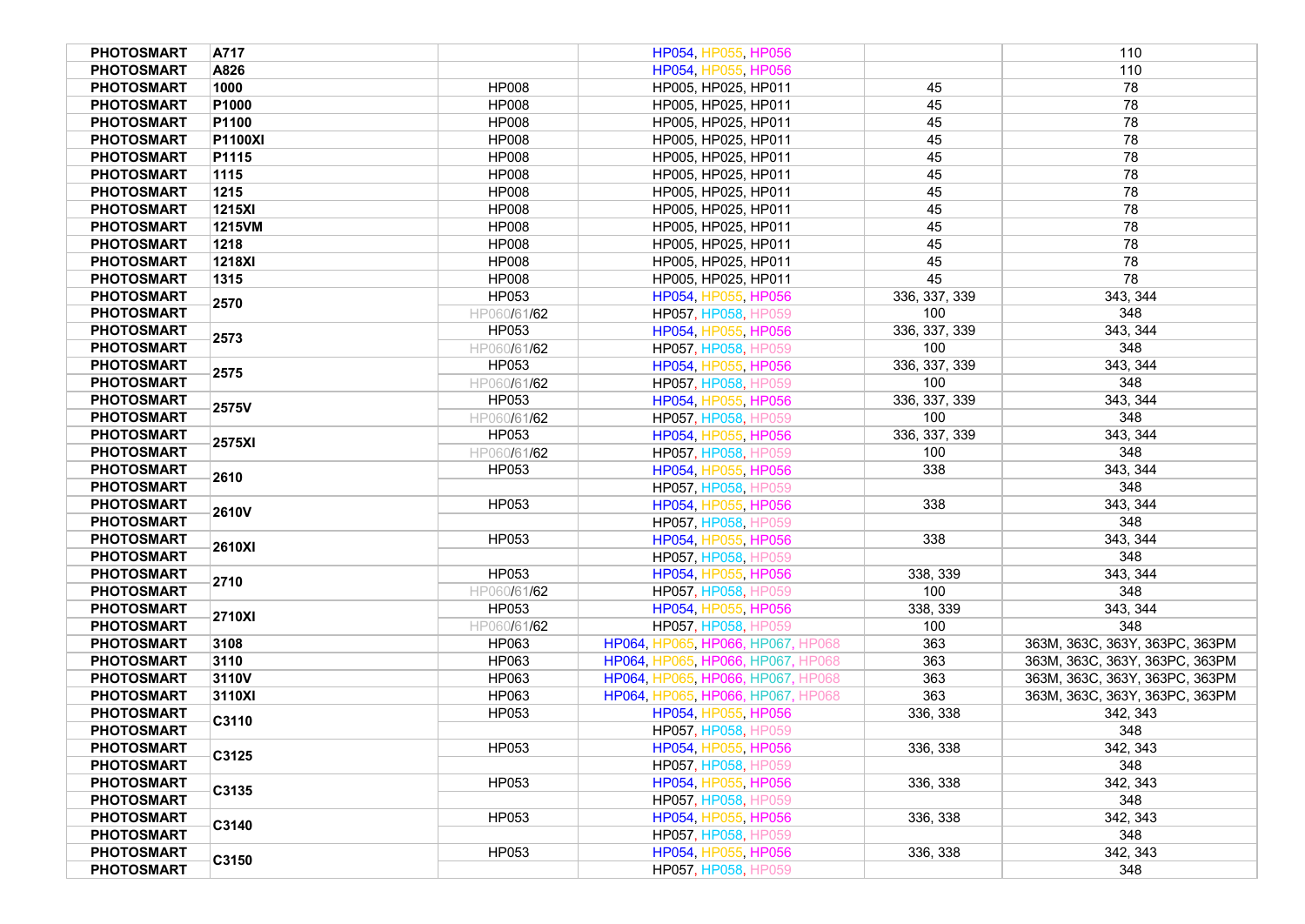| <b>PHOTOSMART</b> | A717              |              | HP054, HP055, HP056               |               | 110                            |
|-------------------|-------------------|--------------|-----------------------------------|---------------|--------------------------------|
| <b>PHOTOSMART</b> | A826              |              | HP054, HP055, HP056               |               | 110                            |
| <b>PHOTOSMART</b> | 1000              | <b>HP008</b> | HP005, HP025, HP011               | 45            | 78                             |
| <b>PHOTOSMART</b> | P <sub>1000</sub> | <b>HP008</b> | HP005, HP025, HP011               | 45            | 78                             |
| <b>PHOTOSMART</b> | P1100             | <b>HP008</b> | HP005, HP025, HP011               | 45            | 78                             |
| <b>PHOTOSMART</b> | <b>P1100XI</b>    | <b>HP008</b> | HP005, HP025, HP011               | 45            | 78                             |
| <b>PHOTOSMART</b> | P1115             | <b>HP008</b> | HP005, HP025, HP011               | 45            | 78                             |
| <b>PHOTOSMART</b> | 1115              | <b>HP008</b> | HP005, HP025, HP011               | 45            | 78                             |
| <b>PHOTOSMART</b> | 1215              | <b>HP008</b> | HP005, HP025, HP011               | 45            | 78                             |
| <b>PHOTOSMART</b> | <b>1215XI</b>     | <b>HP008</b> | HP005, HP025, HP011               | 45            | 78                             |
| <b>PHOTOSMART</b> | 1215VM            | <b>HP008</b> | HP005, HP025, HP011               | 45            | 78                             |
| <b>PHOTOSMART</b> | 1218              | <b>HP008</b> | HP005, HP025, HP011               | 45            | 78                             |
| <b>PHOTOSMART</b> | <b>1218XI</b>     | <b>HP008</b> | HP005, HP025, HP011               | 45            | 78                             |
| <b>PHOTOSMART</b> | 1315              | <b>HP008</b> | HP005, HP025, HP011               | 45            | 78                             |
| <b>PHOTOSMART</b> |                   | HP053        | HP054, HP055, HP056               | 336, 337, 339 | 343, 344                       |
| <b>PHOTOSMART</b> | 2570              | HP060/61/62  | HP057, HP058, HP059               | 100           | 348                            |
| <b>PHOTOSMART</b> |                   | HP053        | HP054, HP055, HP056               | 336, 337, 339 | 343, 344                       |
| <b>PHOTOSMART</b> | 2573              | HP060/61/62  | HP057, HP058, HP059               | 100           | 348                            |
| <b>PHOTOSMART</b> |                   | HP053        | HP054, HP055, HP056               | 336, 337, 339 | 343, 344                       |
| <b>PHOTOSMART</b> | 2575              | HP060/61/62  | HP057, HP058, HP059               | 100           | 348                            |
| <b>PHOTOSMART</b> |                   | HP053        | HP054, HP055, HP056               | 336, 337, 339 | 343, 344                       |
| <b>PHOTOSMART</b> | 2575V             | HP060/61/62  | HP057, HP058, HP059               | 100           | 348                            |
| <b>PHOTOSMART</b> |                   | HP053        | HP054, HP055, HP056               | 336, 337, 339 | 343, 344                       |
| <b>PHOTOSMART</b> | 2575XI            | HP060/61/62  | HP057, HP058, HP059               | 100           | 348                            |
| <b>PHOTOSMART</b> |                   | HP053        | HP054, HP055, HP056               | 338           | 343, 344                       |
| <b>PHOTOSMART</b> | 2610              |              | HP057, HP058, HP059               |               | 348                            |
| <b>PHOTOSMART</b> |                   | HP053        | HP054, HP055, HP056               | 338           | 343, 344                       |
| <b>PHOTOSMART</b> | 2610V             |              | HP057, HP058, HP059               |               | 348                            |
| <b>PHOTOSMART</b> |                   | HP053        | HP054, HP055, HP056               | 338           | 343, 344                       |
| <b>PHOTOSMART</b> | 2610XI            |              | HP057, HP058, HP059               |               | 348                            |
| <b>PHOTOSMART</b> |                   | HP053        | HP054, HP055, HP056               | 338, 339      | 343, 344                       |
| <b>PHOTOSMART</b> | 2710              | HP060/61/62  | HP057, HP058, HP059               | 100           | 348                            |
| <b>PHOTOSMART</b> |                   | HP053        | HP054, HP055, HP056               | 338, 339      | 343, 344                       |
| <b>PHOTOSMART</b> | 2710XI            | HP060/61/62  | HP057, HP058, HP059               | 100           | 348                            |
| <b>PHOTOSMART</b> | 3108              | HP063        | HP064, HP065, HP066, HP067, HP068 | 363           | 363M, 363C, 363Y, 363PC, 363PM |
| <b>PHOTOSMART</b> | 3110              | HP063        | HP064, HP065, HP066, HP067, HP068 | 363           | 363M, 363C, 363Y, 363PC, 363PM |
| <b>PHOTOSMART</b> | 3110V             | HP063        | HP064, HP065, HP066, HP067, HP068 | 363           | 363M, 363C, 363Y, 363PC, 363PM |
| <b>PHOTOSMART</b> | 3110XI            | HP063        | HP064, HP065, HP066, HP067, HP068 | 363           | 363M, 363C, 363Y, 363PC, 363PM |
| <b>PHOTOSMART</b> |                   | HP053        | HP054, HP055, HP056               | 336, 338      | 342, 343                       |
| <b>PHOTOSMART</b> | C3110             |              | HP057, HP058, HP059               |               | 348                            |
| <b>PHOTOSMART</b> |                   | HP053        | HP054, HP055, HP056               | 336, 338      | 342, 343                       |
| <b>PHOTOSMART</b> | C3125             |              | HP057, HP058, HP059               |               | 348                            |
| <b>PHOTOSMART</b> |                   | HP053        | HP054, HP055, HP056               | 336, 338      | 342, 343                       |
| <b>PHOTOSMART</b> | C3135             |              | HP057, HP058, HP059               |               | 348                            |
| <b>PHOTOSMART</b> |                   | HP053        | HP054, HP055, HP056               | 336, 338      | 342, 343                       |
| <b>PHOTOSMART</b> | C3140             |              | HP057, HP058, HP059               |               | 348                            |
| <b>PHOTOSMART</b> |                   | HP053        | HP054, HP055, HP056               | 336, 338      | 342, 343                       |
| <b>PHOTOSMART</b> | C3150             |              | HP057, HP058, HP059               |               | 348                            |
|                   |                   |              |                                   |               |                                |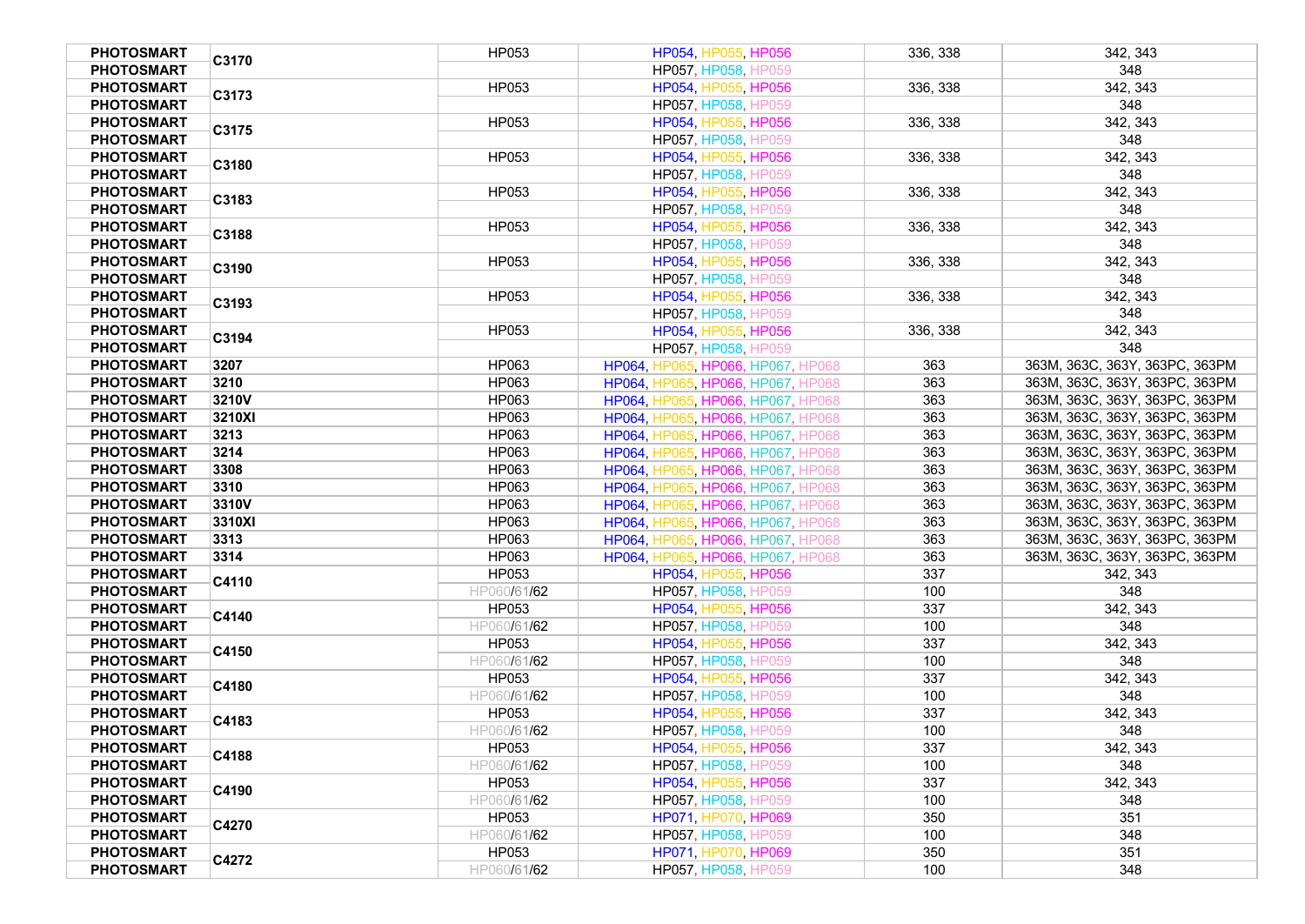| <b>PHOTOSMART</b> | C3170  | HP053        | HP054, HP055, HP056               | 336, 338 | 342, 343                       |
|-------------------|--------|--------------|-----------------------------------|----------|--------------------------------|
| <b>PHOTOSMART</b> |        |              | HP057, HP058, HP059               |          | 348                            |
| <b>PHOTOSMART</b> | C3173  | HP053        | HP054, HP055, HP056               | 336, 338 | 342, 343                       |
| <b>PHOTOSMART</b> |        |              | HP057, HP058, HP059               |          | 348                            |
| <b>PHOTOSMART</b> |        | HP053        | HP054, HP055, HP056               | 336, 338 | 342, 343                       |
| <b>PHOTOSMART</b> | C3175  |              | HP057, HP058, HP059               |          | 348                            |
| <b>PHOTOSMART</b> |        | HP053        | HP054, HP055, HP056               | 336, 338 | 342, 343                       |
| <b>PHOTOSMART</b> | C3180  |              | HP057, HP058, HP059               |          | 348                            |
| <b>PHOTOSMART</b> |        | <b>HP053</b> | HP054, HP055, HP056               | 336, 338 | 342, 343                       |
| <b>PHOTOSMART</b> | C3183  |              | HP057, HP058, HP059               |          | 348                            |
| <b>PHOTOSMART</b> |        | HP053        | HP054, HP055, HP056               | 336, 338 | 342, 343                       |
| <b>PHOTOSMART</b> | C3188  |              | HP057, HP058, HP059               |          | 348                            |
| PHOTOSMART        |        | HP053        | HP054, HP055, HP056               | 336.338  | 342, 343                       |
| <b>PHOTOSMART</b> | C3190  |              | HP057, HP058, HP059               |          | 348                            |
| <b>PHOTOSMART</b> |        | HP053        | HP054, HP055, HP056               | 336, 338 | 342, 343                       |
| <b>PHOTOSMART</b> | C3193  |              | HP057, HP058, HP059               |          | 348                            |
|                   |        |              |                                   |          |                                |
| <b>PHOTOSMART</b> | C3194  | HP053        | HP054, HP055, HP056               | 336, 338 | 342, 343                       |
| <b>PHOTOSMART</b> |        |              | HP057, HP058, HP059               |          | 348                            |
| <b>PHOTOSMART</b> | 3207   | HP063        | HP064, HP065, HP066, HP067, HP068 | 363      | 363M, 363C, 363Y, 363PC, 363PM |
| <b>PHOTOSMART</b> | 3210   | HP063        | HP064, HP065, HP066, HP067, HP068 | 363      | 363M, 363C, 363Y, 363PC, 363PM |
| <b>PHOTOSMART</b> | 3210V  | HP063        | HP064, HP065, HP066, HP067, HP068 | 363      | 363M, 363C, 363Y, 363PC, 363PM |
| <b>PHOTOSMART</b> | 3210XI | HP063        | HP064, HP065, HP066, HP067, HP068 | 363      | 363M, 363C, 363Y, 363PC, 363PM |
| <b>PHOTOSMART</b> | 3213   | HP063        | HP064, HP065, HP066, HP067, HP068 | 363      | 363M, 363C, 363Y, 363PC, 363PM |
| <b>PHOTOSMART</b> | 3214   | HP063        | HP064, HP065, HP066, HP067, HP068 | 363      | 363M, 363C, 363Y, 363PC, 363PM |
| <b>PHOTOSMART</b> | 3308   | HP063        | HP064, HP065, HP066, HP067, HP068 | 363      | 363M, 363C, 363Y, 363PC, 363PM |
| <b>PHOTOSMART</b> | 3310   | HP063        | HP064, HP065, HP066, HP067, HP068 | 363      | 363M, 363C, 363Y, 363PC, 363PM |
| <b>PHOTOSMART</b> | 3310V  | HP063        | HP064, HP065, HP066, HP067, HP068 | 363      | 363M, 363C, 363Y, 363PC, 363PM |
| <b>PHOTOSMART</b> | 3310XI | HP063        | HP064, HP065, HP066, HP067, HP068 | 363      | 363M, 363C, 363Y, 363PC, 363PM |
| <b>PHOTOSMART</b> | 3313   | HP063        | HP064, HP065, HP066, HP067, HP068 | 363      | 363M, 363C, 363Y, 363PC, 363PM |
| <b>PHOTOSMART</b> | 3314   | HP063        | HP064, HP065, HP066, HP067, HP068 | 363      | 363M, 363C, 363Y, 363PC, 363PM |
| <b>PHOTOSMART</b> | C4110  | HP053        | HP054, HP055, HP056               | 337      | 342, 343                       |
| <b>PHOTOSMART</b> |        | HP060/61/62  | HP057, HP058, HP059               | 100      | 348                            |
| <b>PHOTOSMART</b> | C4140  | HP053        | HP054, HP055, HP056               | 337      | 342, 343                       |
| <b>PHOTOSMART</b> |        | HP060/61/62  | HP057, HP058, HP059               | 100      | 348                            |
| <b>PHOTOSMART</b> |        | HP053        | HP054, HP055, HP056               | 337      | 342, 343                       |
| <b>PHOTOSMART</b> | C4150  | HP060/61/62  | HP057, HP058, HP059               | 100      | 348                            |
| <b>PHOTOSMART</b> |        | HP053        | HP054, HP055, HP056               | 337      | 342, 343                       |
| <b>PHOTOSMART</b> | C4180  | HP060/61/62  | HP057, HP058, HP059               | 100      | 348                            |
| <b>PHOTOSMART</b> |        | HP053        | HP054, HP055, HP056               | 337      | 342, 343                       |
| <b>PHOTOSMART</b> | C4183  | HP060/61/62  | HP057, HP058, HP059               | 100      | 348                            |
| <b>PHOTOSMART</b> |        | HP053        | HP054, HP055, HP056               | 337      | 342, 343                       |
| <b>PHOTOSMART</b> | C4188  | HP060/61/62  | HP057, HP058, HP059               | 100      | 348                            |
| <b>PHOTOSMART</b> |        | HP053        | HP054, HP055, HP056               | 337      | 342, 343                       |
| <b>PHOTOSMART</b> | C4190  | HP060/61/62  | <b>HP057, HP058, HP059</b>        | 100      | 348                            |
| <b>PHOTOSMART</b> |        | HP053        | HP071, HP070, HP069               | 350      | 351                            |
| <b>PHOTOSMART</b> | C4270  | HP060/61/62  | HP057, HP058, HP059               | 100      | 348                            |
| <b>PHOTOSMART</b> |        | HP053        | HP071, HP070, HP069               | 350      | 351                            |
| <b>PHOTOSMART</b> | C4272  |              |                                   | 100      | 348                            |
|                   |        | HP060/61/62  | HP057, HP058, HP059               |          |                                |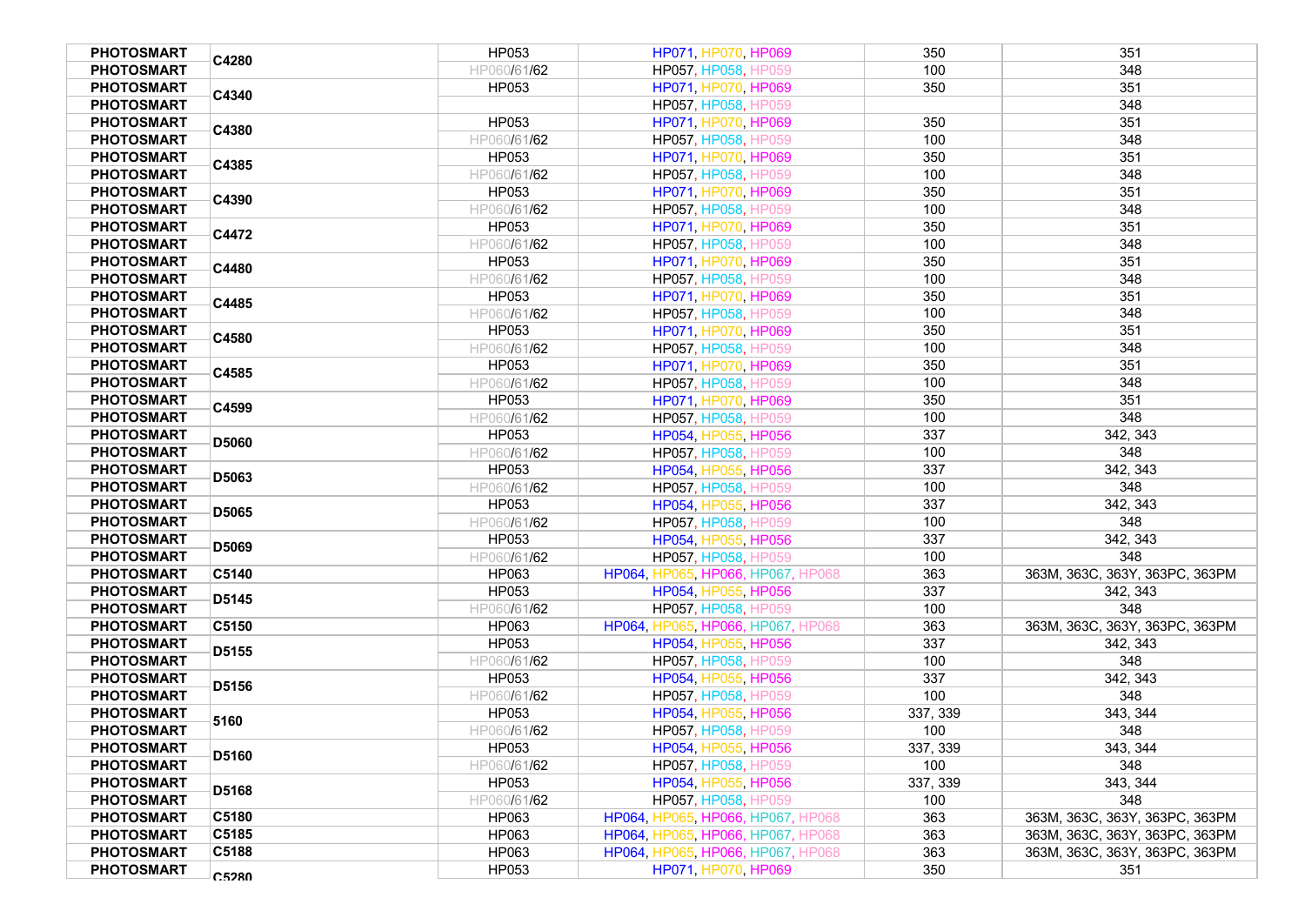| <b>PHOTOSMART</b> | C4280        | HP053       | HP071, HP070, HP069               | 350      | 351                            |
|-------------------|--------------|-------------|-----------------------------------|----------|--------------------------------|
| <b>PHOTOSMART</b> |              | HP060/61/62 | HP057, HP058, HP059               | 100      | 348                            |
| <b>PHOTOSMART</b> | C4340        | HP053       | HP071, HP070, HP069               | 350      | 351                            |
| <b>PHOTOSMART</b> |              |             | HP057, HP058, HP059               |          | 348                            |
| <b>PHOTOSMART</b> | C4380        | HP053       | HP071, HP070, HP069               | 350      | 351                            |
| <b>PHOTOSMART</b> |              | HP060/61/62 | HP057, HP058, HP059               | 100      | 348                            |
| <b>PHOTOSMART</b> |              | HP053       | HP071, HP070, HP069               | 350      | 351                            |
| <b>PHOTOSMART</b> | C4385        | HP060/61/62 | HP057, HP058, HP059               | 100      | 348                            |
| <b>PHOTOSMART</b> |              | HP053       | HP071, HP070, HP069               | 350      | 351                            |
| <b>PHOTOSMART</b> | C4390        | HP060/61/62 | HP057, HP058, HP059               | 100      | 348                            |
| <b>PHOTOSMART</b> |              | HP053       | HP071, HP070, HP069               | 350      | 351                            |
| <b>PHOTOSMART</b> | C4472        | HP060/61/62 | HP057, HP058, HP059               | 100      | 348                            |
| <b>PHOTOSMART</b> |              | HP053       | HP071, HP070, HP069               | 350      | 351                            |
| <b>PHOTOSMART</b> | C4480        | HP060/61/62 | HP057, HP058, HP059               | 100      | 348                            |
| <b>PHOTOSMART</b> |              | HP053       | HP071, HP070, HP069               | 350      | 351                            |
| <b>PHOTOSMART</b> | C4485        | HP060/61/62 | HP057, HP058, HP059               | 100      | 348                            |
| <b>PHOTOSMART</b> |              | HP053       | HP071, HP070, HP069               | 350      | 351                            |
| <b>PHOTOSMART</b> | C4580        |             |                                   | 100      | 348                            |
|                   |              | HP060/61/62 | HP057, HP058, HP059               |          | 351                            |
| <b>PHOTOSMART</b> | C4585        | HP053       | HP071, HP070, HP069               | 350      |                                |
| <b>PHOTOSMART</b> |              | HP060/61/62 | HP057, HP058, HP059               | 100      | 348                            |
| <b>PHOTOSMART</b> | C4599        | HP053       | HP071, HP070, HP069               | 350      | 351                            |
| <b>PHOTOSMART</b> |              | HP060/61/62 | HP057, HP058, HP059               | 100      | 348                            |
| <b>PHOTOSMART</b> | D5060        | HP053       | HP054, HP055, HP056               | 337      | 342, 343                       |
| <b>PHOTOSMART</b> |              | HP060/61/62 | HP057, HP058, HP059               | 100      | 348                            |
| <b>PHOTOSMART</b> | D5063        | HP053       | HP054, HP055, HP056               | 337      | 342, 343                       |
| <b>PHOTOSMART</b> |              | HP060/61/62 | HP057, HP058, HP059               | 100      | 348                            |
| <b>PHOTOSMART</b> | D5065        | HP053       | HP054, HP055, HP056               | 337      | 342, 343                       |
| <b>PHOTOSMART</b> |              | HP060/61/62 | HP057, HP058, HP059               | 100      | 348                            |
| <b>PHOTOSMART</b> | D5069        | HP053       | HP054, HP055, HP056               | 337      | 342, 343                       |
| <b>PHOTOSMART</b> |              | HP060/61/62 | HP057, HP058, HP059               | 100      | 348                            |
| <b>PHOTOSMART</b> | C5140        | HP063       | HP064, HP065, HP066, HP067, HP068 | 363      | 363M, 363C, 363Y, 363PC, 363PM |
| <b>PHOTOSMART</b> | D5145        | HP053       | HP054, HP055, HP056               | 337      | 342, 343                       |
| <b>PHOTOSMART</b> |              | HP060/61/62 | HP057, HP058, HP059               | 100      | 348                            |
| <b>PHOTOSMART</b> | C5150        | HP063       | HP064, HP065, HP066, HP067, HP068 | 363      | 363M, 363C, 363Y, 363PC, 363PM |
| <b>PHOTOSMART</b> | D5155        | HP053       | HP054, HP055, HP056               | 337      | 342, 343                       |
| <b>PHOTOSMART</b> |              | HP060/61/62 | HP057, HP058, HP059               | 100      | 348                            |
| <b>PHOTOSMART</b> | D5156        | HP053       | HP054, HP055, HP056               | 337      | 342, 343                       |
| <b>PHOTOSMART</b> |              | HP060/61/62 | HP057, HP058, HP059               | 100      | 348                            |
| <b>PHOTOSMART</b> | 5160         | HP053       | HP054, HP055, HP056               | 337, 339 | 343, 344                       |
| <b>PHOTOSMART</b> |              | HP060/61/62 | HP057, HP058, HP059               | 100      | 348                            |
| <b>PHOTOSMART</b> |              | HP053       | HP054, HP055, HP056               | 337, 339 | 343, 344                       |
| <b>PHOTOSMART</b> | <b>D5160</b> | HP060/61/62 | HP057, HP058, HP059               | 100      | 348                            |
| <b>PHOTOSMART</b> |              | HP053       | HP054, HP055, HP056               | 337, 339 | 343, 344                       |
| <b>PHOTOSMART</b> | D5168        | HP060/61/62 | HP057, HP058, HP059               | 100      | 348                            |
| <b>PHOTOSMART</b> | C5180        | HP063       | HP064, HP065, HP066, HP067, HP068 | 363      | 363M, 363C, 363Y, 363PC, 363PM |
| <b>PHOTOSMART</b> | C5185        | HP063       | HP064, HP065, HP066, HP067, HP068 | 363      | 363M, 363C, 363Y, 363PC, 363PM |
| <b>PHOTOSMART</b> | C5188        | HP063       | HP064, HP065, HP066, HP067, HP068 | 363      | 363M, 363C, 363Y, 363PC, 363PM |
| <b>PHOTOSMART</b> |              | HP053       | HP071, HP070, HP069               | 350      | 351                            |
|                   | <b>C5280</b> |             |                                   |          |                                |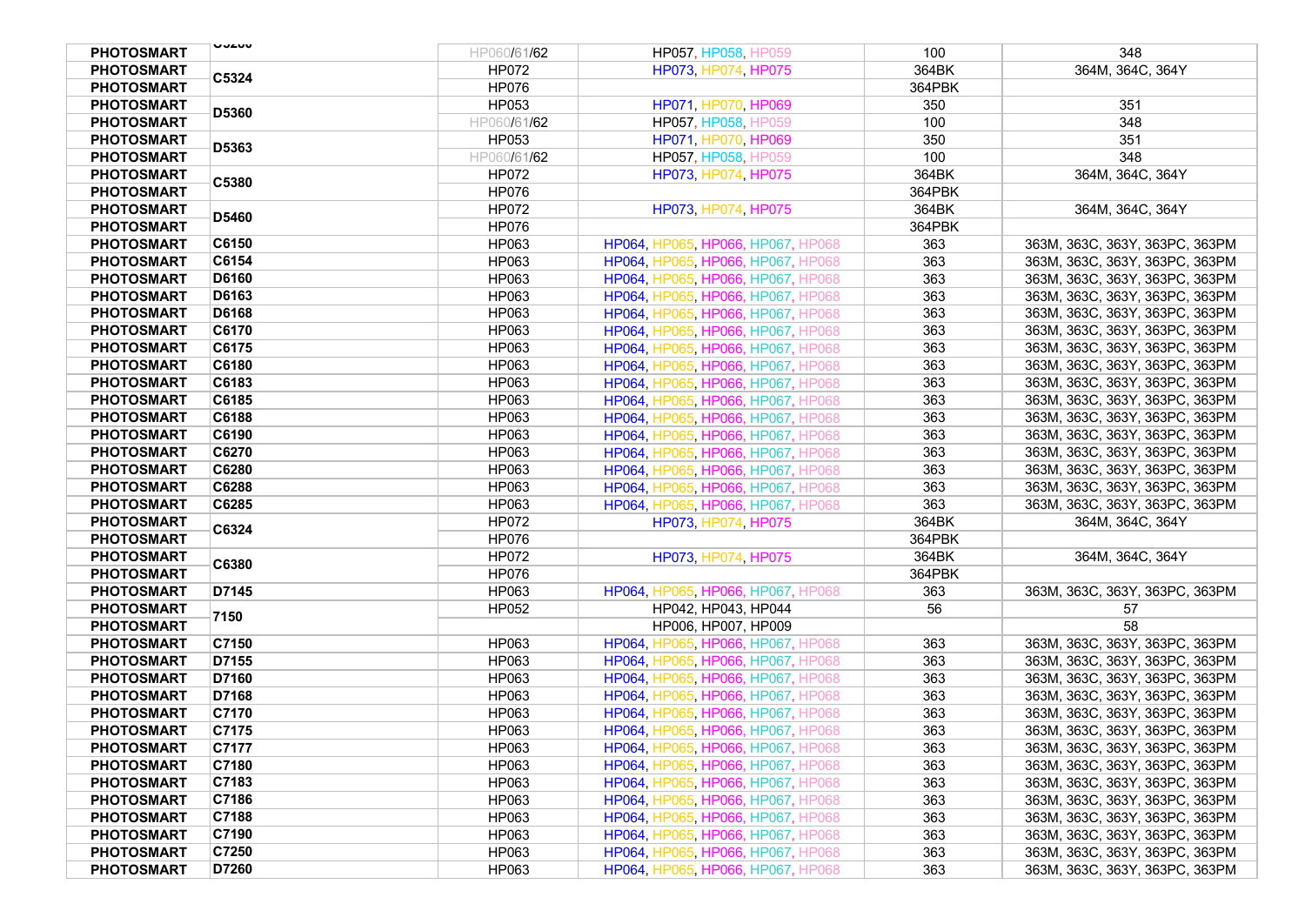| <b>PHOTOSMART</b> | UUAUU        | HP060/61/62  | HP057, HP058, HP059                      | 100    | 348                            |
|-------------------|--------------|--------------|------------------------------------------|--------|--------------------------------|
| <b>PHOTOSMART</b> |              | <b>HP072</b> | HP073, HP074, HP075                      | 364BK  | 364M, 364C, 364Y               |
| <b>PHOTOSMART</b> | C5324        | <b>HP076</b> |                                          | 364PBK |                                |
| <b>PHOTOSMART</b> |              | HP053        | HP071, HP070, HP069                      | 350    | 351                            |
| <b>PHOTOSMART</b> | D5360        | HP060/61/62  | HP057, HP058, HP059                      | 100    | 348                            |
| <b>PHOTOSMART</b> |              | HP053        | HP071, HP070, HP069                      | 350    | 351                            |
| <b>PHOTOSMART</b> | D5363        | HP060/61/62  | HP057, HP058, HP059                      | 100    | 348                            |
| <b>PHOTOSMART</b> |              | HP072        | HP073, HP074, HP075                      | 364BK  | 364M, 364C, 364Y               |
| <b>PHOTOSMART</b> | C5380        | <b>HP076</b> |                                          | 364PBK |                                |
| <b>PHOTOSMART</b> |              | <b>HP072</b> | HP073, HP074, HP075                      | 364BK  | 364M, 364C, 364Y               |
| <b>PHOTOSMART</b> | D5460        | <b>HP076</b> |                                          | 364PBK |                                |
| <b>PHOTOSMART</b> | C6150        | HP063        | HP064, HP065, HP066, HP067, HP068        | 363    | 363M, 363C, 363Y, 363PC, 363PM |
| <b>PHOTOSMART</b> | C6154        | HP063        | HP064, HP065, HP066, HP067, HP068        | 363    | 363M, 363C, 363Y, 363PC, 363PM |
| <b>PHOTOSMART</b> | D6160        | HP063        | HP064, HP065, HP066, HP067, HP068        | 363    | 363M, 363C, 363Y, 363PC, 363PM |
| <b>PHOTOSMART</b> | D6163        | HP063        | HP064, HP065, HP066, HP067, HP068        | 363    | 363M, 363C, 363Y, 363PC, 363PM |
| <b>PHOTOSMART</b> | <b>D6168</b> | HP063        | HP064, HP065, HP066, HP067, HP068        | 363    | 363M, 363C, 363Y, 363PC, 363PM |
| <b>PHOTOSMART</b> | C6170        | HP063        | HP064, HP065, HP066, HP067, HP068        | 363    | 363M, 363C, 363Y, 363PC, 363PM |
| <b>PHOTOSMART</b> | C6175        | HP063        | HP064, HP065, HP066, HP067, HP068        | 363    | 363M, 363C, 363Y, 363PC, 363PM |
| <b>PHOTOSMART</b> | C6180        | HP063        | HP064, HP065, HP066, HP067, HP068        | 363    | 363M, 363C, 363Y, 363PC, 363PM |
| <b>PHOTOSMART</b> | C6183        | HP063        | HP064, HP065, HP066, HP067, HP068        | 363    | 363M, 363C, 363Y, 363PC, 363PM |
| <b>PHOTOSMART</b> | C6185        | HP063        | HP064, HP065, HP066, HP067, HP068        | 363    | 363M, 363C, 363Y, 363PC, 363PM |
| <b>PHOTOSMART</b> | C6188        | HP063        | HP064, HP065, HP066, HP067, HP068        | 363    | 363M, 363C, 363Y, 363PC, 363PM |
| <b>PHOTOSMART</b> | C6190        | HP063        | HP064, HP065, HP066, HP067, HP068        | 363    | 363M, 363C, 363Y, 363PC, 363PM |
| <b>PHOTOSMART</b> | C6270        | HP063        | HP064, HP065, HP066, HP067, HP068        | 363    | 363M, 363C, 363Y, 363PC, 363PM |
| <b>PHOTOSMART</b> | C6280        | HP063        | HP064, HP065, HP066, HP067, HP068        | 363    | 363M, 363C, 363Y, 363PC, 363PM |
| <b>PHOTOSMART</b> | C6288        | HP063        | HP064, HP065, HP066, HP067, HP068        | 363    | 363M, 363C, 363Y, 363PC, 363PM |
| <b>PHOTOSMART</b> | C6285        | HP063        | HP064, HP065, HP066, HP067, HP068        | 363    | 363M, 363C, 363Y, 363PC, 363PM |
| <b>PHOTOSMART</b> |              | <b>HP072</b> | HP073, HP074, HP075                      | 364BK  | 364M, 364C, 364Y               |
| <b>PHOTOSMART</b> | C6324        | <b>HP076</b> |                                          | 364PBK |                                |
| <b>PHOTOSMART</b> |              | <b>HP072</b> | HP073, HP074, HP075                      | 364BK  | 364M, 364C, 364Y               |
| <b>PHOTOSMART</b> | C6380        | <b>HP076</b> |                                          | 364PBK |                                |
| <b>PHOTOSMART</b> | D7145        | HP063        | HP064, HP065, HP066, HP067, HP068        | 363    | 363M, 363C, 363Y, 363PC, 363PM |
| <b>PHOTOSMART</b> |              | HP052        | HP042, HP043, HP044                      | 56     | 57                             |
| <b>PHOTOSMART</b> | 7150         |              | HP006, HP007, HP009                      |        | 58                             |
| <b>PHOTOSMART</b> | C7150        | HP063        | HP064, HP065, HP066, HP067, HP068        | 363    | 363M, 363C, 363Y, 363PC, 363PM |
| <b>PHOTOSMART</b> | D7155        | HP063        | HP064, HP065, HP066, HP067, HP068        | 363    | 363M, 363C, 363Y, 363PC, 363PM |
| <b>PHOTOSMART</b> | D7160        | HP063        | HP064, HP065, HP066, HP067, HP068        | 363    | 363M, 363C, 363Y, 363PC, 363PM |
| <b>PHOTOSMART</b> | D7168        | HP063        | HP064, HP065, HP066, HP067, HP068        | 363    | 363M, 363C, 363Y, 363PC, 363PM |
| <b>PHOTOSMART</b> | C7170        | HP063        | HP064, HP065, HP066, HP067, HP068        | 363    | 363M, 363C, 363Y, 363PC, 363PM |
| <b>PHOTOSMART</b> | C7175        | HP063        | HP064, HP065, HP066, HP067, HP068        | 363    | 363M, 363C, 363Y, 363PC, 363PM |
| <b>PHOTOSMART</b> | C7177        | HP063        | HP064, HP065, HP066, HP067, HP068        | 363    | 363M, 363C, 363Y, 363PC, 363PM |
| <b>PHOTOSMART</b> | C7180        | HP063        | HP064, HP065, HP066, HP067, HP068        | 363    | 363M, 363C, 363Y, 363PC, 363PM |
| <b>PHOTOSMART</b> | C7183        | HP063        | <b>HP064, HP065, HP066, HP067, HP068</b> | 363    | 363M, 363C, 363Y, 363PC, 363PM |
| <b>PHOTOSMART</b> | C7186        | HP063        | HP064, HP065, HP066, HP067, HP068        | 363    | 363M, 363C, 363Y, 363PC, 363PM |
| <b>PHOTOSMART</b> | C7188        | HP063        | HP064, HP065, HP066, HP067, HP068        | 363    | 363M, 363C, 363Y, 363PC, 363PM |
| <b>PHOTOSMART</b> | C7190        | HP063        | HP064, HP065, HP066, HP067, HP068        | 363    | 363M, 363C, 363Y, 363PC, 363PM |
| <b>PHOTOSMART</b> | C7250        | HP063        | HP064, HP065, HP066, HP067, HP068        | 363    | 363M, 363C, 363Y, 363PC, 363PM |
| <b>PHOTOSMART</b> | D7260        | HP063        | HP064, HP065, HP066, HP067, HP068        | 363    | 363M, 363C, 363Y, 363PC, 363PM |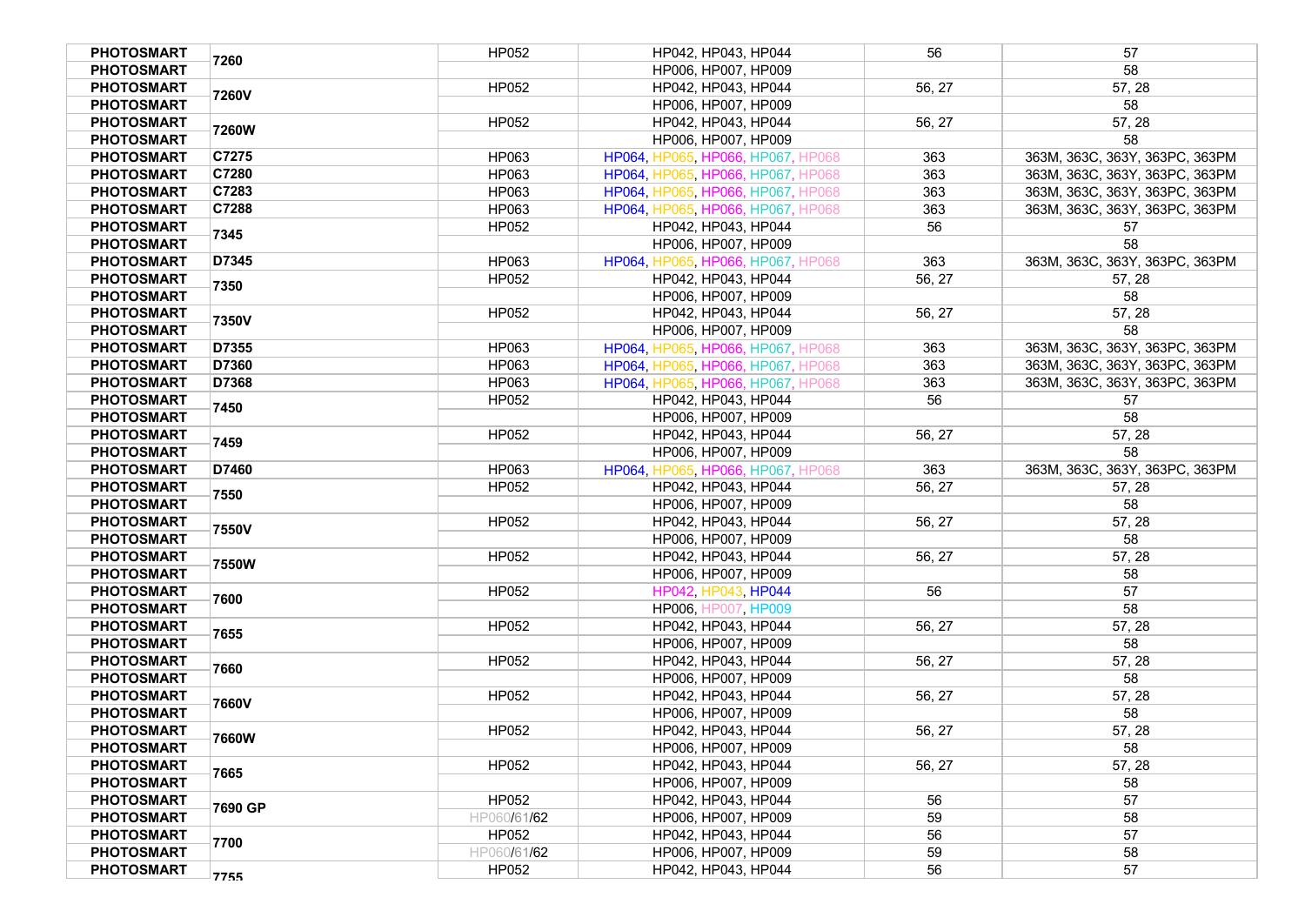| <b>PHOTOSMART</b>                      | 7260    | HP052        | HP042, HP043, HP044                        | 56     | 57                             |
|----------------------------------------|---------|--------------|--------------------------------------------|--------|--------------------------------|
| <b>PHOTOSMART</b>                      |         |              | HP006, HP007, HP009                        |        | 58                             |
| <b>PHOTOSMART</b>                      | 7260V   | HP052        | HP042, HP043, HP044                        | 56, 27 | 57, 28                         |
| <b>PHOTOSMART</b>                      |         |              | HP006, HP007, HP009                        |        | 58                             |
| <b>PHOTOSMART</b>                      | 7260W   | HP052        | HP042, HP043, HP044                        | 56, 27 | 57, 28                         |
| <b>PHOTOSMART</b>                      |         |              | HP006, HP007, HP009                        |        | 58                             |
| <b>PHOTOSMART</b>                      | C7275   | HP063        | HP064, HP065, HP066, HP067, HP068          | 363    | 363M, 363C, 363Y, 363PC, 363PM |
| <b>PHOTOSMART</b>                      | C7280   | HP063        | HP064, HP065, HP066, HP067, HP068          | 363    | 363M, 363C, 363Y, 363PC, 363PM |
| <b>PHOTOSMART</b>                      | C7283   | HP063        | HP064, HP065, HP066, HP067, HP068          | 363    | 363M, 363C, 363Y, 363PC, 363PM |
| <b>PHOTOSMART</b>                      | C7288   | HP063        | HP064, HP065, HP066, HP067, HP068          | 363    | 363M, 363C, 363Y, 363PC, 363PM |
| <b>PHOTOSMART</b>                      | 7345    | HP052        | HP042, HP043, HP044                        | 56     | 57                             |
| <b>PHOTOSMART</b>                      |         |              | HP006, HP007, HP009                        |        | 58                             |
| <b>PHOTOSMART</b>                      | D7345   | HP063        | HP064, HP065, HP066, HP067, HP068          | 363    | 363M, 363C, 363Y, 363PC, 363PM |
| <b>PHOTOSMART</b>                      | 7350    | HP052        | HP042, HP043, HP044                        | 56, 27 | 57, 28                         |
| <b>PHOTOSMART</b>                      |         |              | HP006, HP007, HP009                        |        | 58                             |
| <b>PHOTOSMART</b>                      | 7350V   | HP052        | HP042, HP043, HP044                        | 56, 27 | 57, 28                         |
| <b>PHOTOSMART</b>                      |         |              | HP006, HP007, HP009                        |        | 58                             |
| <b>PHOTOSMART</b>                      | D7355   | HP063        | HP064, HP065, HP066, HP067, HP068          | 363    | 363M, 363C, 363Y, 363PC, 363PM |
| <b>PHOTOSMART</b>                      | D7360   | HP063        | HP064, HP065, HP066, HP067, HP068          | 363    | 363M, 363C, 363Y, 363PC, 363PM |
| <b>PHOTOSMART</b>                      | D7368   | HP063        | HP064, HP065, HP066, HP067, HP068          | 363    | 363M, 363C, 363Y, 363PC, 363PM |
| <b>PHOTOSMART</b>                      | 7450    | HP052        | HP042, HP043, HP044                        | 56     | 57                             |
| <b>PHOTOSMART</b>                      |         |              | HP006, HP007, HP009                        |        | 58                             |
| <b>PHOTOSMART</b>                      | 7459    | HP052        | HP042, HP043, HP044                        | 56, 27 | 57, 28                         |
| <b>PHOTOSMART</b>                      |         |              | HP006, HP007, HP009                        |        | 58                             |
| <b>PHOTOSMART</b>                      | D7460   | HP063        | HP064, HP065, HP066, HP067, HP068          | 363    | 363M, 363C, 363Y, 363PC, 363PM |
| <b>PHOTOSMART</b>                      | 7550    | HP052        | HP042, HP043, HP044                        | 56, 27 | 57, 28<br>58                   |
| <b>PHOTOSMART</b>                      |         |              | HP006, HP007, HP009                        |        |                                |
| <b>PHOTOSMART</b><br><b>PHOTOSMART</b> | 7550V   | HP052        | HP042, HP043, HP044<br>HP006, HP007, HP009 | 56, 27 | 57, 28<br>58                   |
| <b>PHOTOSMART</b>                      |         | HP052        | HP042, HP043, HP044                        | 56, 27 | 57, 28                         |
| <b>PHOTOSMART</b>                      | 7550W   |              | HP006, HP007, HP009                        |        | 58                             |
| <b>PHOTOSMART</b>                      |         | <b>HP052</b> | HP042, HP043, HP044                        | 56     | 57                             |
| <b>PHOTOSMART</b>                      | 7600    |              | HP006, HP007, HP009                        |        | 58                             |
| <b>PHOTOSMART</b>                      |         | <b>HP052</b> | HP042, HP043, HP044                        | 56, 27 | 57, 28                         |
| <b>PHOTOSMART</b>                      | 7655    |              | HP006, HP007, HP009                        |        | 58                             |
| <b>PHOTOSMART</b>                      |         | HP052        | HP042, HP043, HP044                        | 56, 27 | 57, 28                         |
| <b>PHOTOSMART</b>                      | 7660    |              | HP006, HP007, HP009                        |        | 58                             |
| <b>PHOTOSMART</b>                      |         | HP052        | HP042, HP043, HP044                        | 56, 27 | 57, 28                         |
| <b>PHOTOSMART</b>                      | 7660V   |              | HP006, HP007, HP009                        |        | 58                             |
| <b>PHOTOSMART</b>                      |         | HP052        | HP042, HP043, HP044                        | 56, 27 | 57, 28                         |
| <b>PHOTOSMART</b>                      | 7660W   |              | HP006, HP007, HP009                        |        | 58                             |
| <b>PHOTOSMART</b>                      |         | <b>HP052</b> | HP042, HP043, HP044                        | 56, 27 | 57, 28                         |
| <b>PHOTOSMART</b>                      | 7665    |              | HP006. HP007. HP009                        |        | 58                             |
| <b>PHOTOSMART</b>                      |         | HP052        | HP042, HP043, HP044                        | 56     | 57                             |
| <b>PHOTOSMART</b>                      | 7690 GP | HP060/61/62  | HP006, HP007, HP009                        | 59     | 58                             |
| <b>PHOTOSMART</b>                      |         | HP052        | HP042. HP043. HP044                        | 56     | 57                             |
| <b>PHOTOSMART</b>                      | 7700    | HP060/61/62  | HP006, HP007, HP009                        | 59     | 58                             |
| <b>PHOTOSMART</b>                      | 7755    | HP052        | HP042, HP043, HP044                        | 56     | 57                             |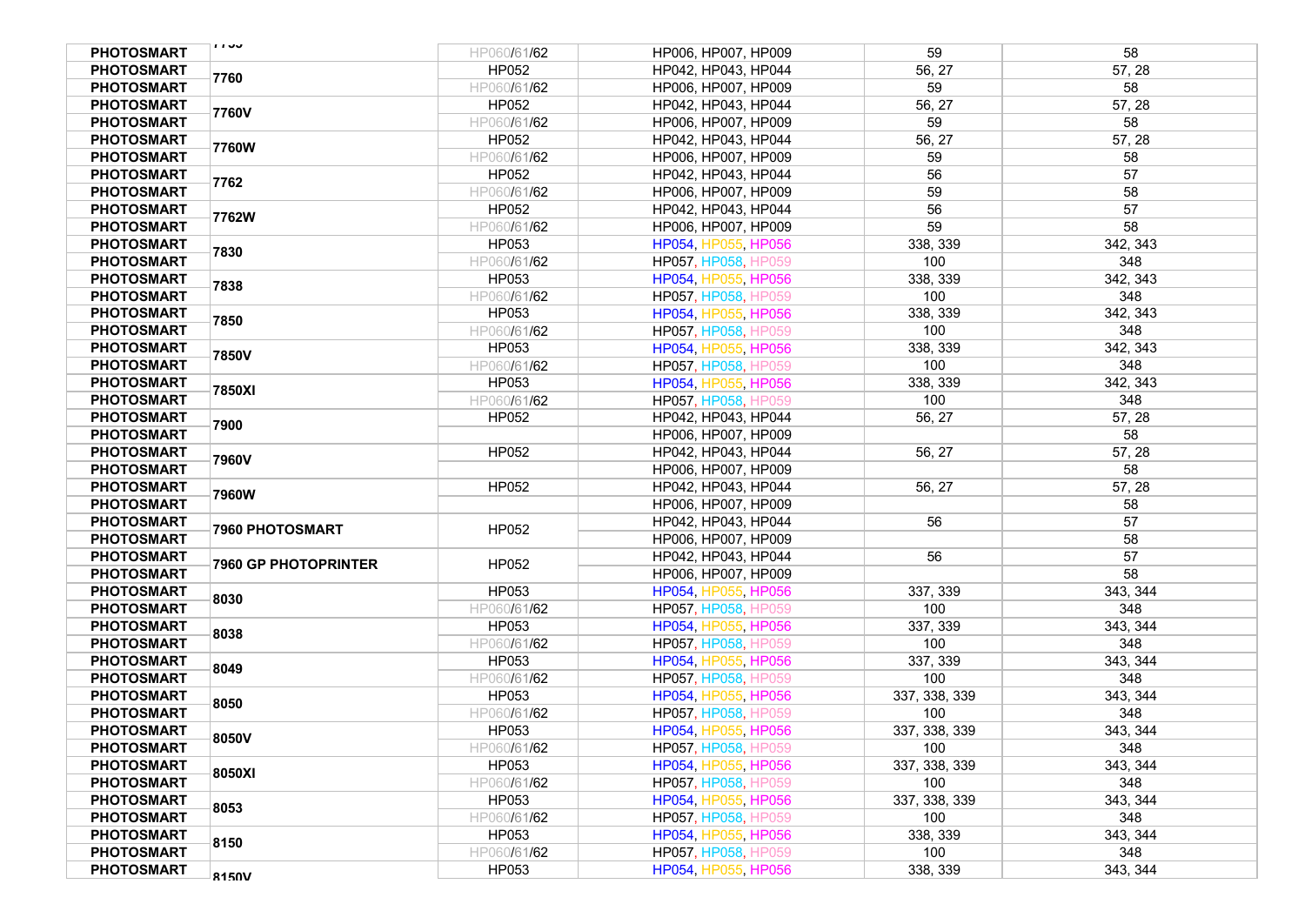| <b>PHOTOSMART</b> | 1130                        | HP060/61/62  | HP006, HP007, HP009        | 59            | 58       |
|-------------------|-----------------------------|--------------|----------------------------|---------------|----------|
| <b>PHOTOSMART</b> | 7760                        | HP052        | HP042, HP043, HP044        | 56, 27        | 57, 28   |
| <b>PHOTOSMART</b> |                             | HP060/61/62  | HP006, HP007, HP009        | 59            | 58       |
| <b>PHOTOSMART</b> |                             | HP052        | HP042, HP043, HP044        | 56, 27        | 57, 28   |
| <b>PHOTOSMART</b> | 7760V                       | HP060/61/62  | HP006, HP007, HP009        | 59            | 58       |
| <b>PHOTOSMART</b> |                             | HP052        | HP042, HP043, HP044        | 56, 27        | 57, 28   |
| <b>PHOTOSMART</b> | 7760W                       | HP060/61/62  | HP006, HP007, HP009        | 59            | 58       |
| <b>PHOTOSMART</b> |                             | HP052        | HP042, HP043, HP044        | 56            | 57       |
| <b>PHOTOSMART</b> | 7762                        | HP060/61/62  | HP006, HP007, HP009        | 59            | 58       |
| <b>PHOTOSMART</b> |                             | HP052        | HP042, HP043, HP044        | 56            | 57       |
| <b>PHOTOSMART</b> | 7762W                       | HP060/61/62  | HP006, HP007, HP009        | 59            | 58       |
| <b>PHOTOSMART</b> |                             | HP053        | HP054, HP055, HP056        | 338, 339      | 342, 343 |
| <b>PHOTOSMART</b> | 7830                        | HP060/61/62  | HP057, HP058, HP059        | 100           | 348      |
| <b>PHOTOSMART</b> |                             | HP053        | HP054, HP055, HP056        | 338, 339      | 342, 343 |
| <b>PHOTOSMART</b> | 7838                        | HP060/61/62  | HP057, HP058, HP059        | 100           | 348      |
| <b>PHOTOSMART</b> |                             | HP053        | HP054, HP055, HP056        | 338, 339      | 342, 343 |
| <b>PHOTOSMART</b> | 7850                        | HP060/61/62  | HP057, HP058, HP059        | 100           | 348      |
| <b>PHOTOSMART</b> |                             | HP053        | HP054, HP055, HP056        | 338, 339      | 342, 343 |
| <b>PHOTOSMART</b> | 7850V                       | HP060/61/62  | HP057, HP058, HP059        | 100           | 348      |
| <b>PHOTOSMART</b> |                             | HP053        | HP054, HP055, HP056        | 338, 339      | 342, 343 |
| <b>PHOTOSMART</b> | 7850XI                      | HP060/61/62  | HP057, HP058, HP059        | 100           | 348      |
| <b>PHOTOSMART</b> |                             | HP052        | HP042, HP043, HP044        | 56, 27        | 57, 28   |
| <b>PHOTOSMART</b> | 7900                        |              | HP006, HP007, HP009        |               | 58       |
| <b>PHOTOSMART</b> |                             | HP052        | HP042, HP043, HP044        | 56, 27        | 57, 28   |
| <b>PHOTOSMART</b> | 7960V                       |              | HP006, HP007, HP009        |               | 58       |
| <b>PHOTOSMART</b> | 7960W                       | HP052        | HP042, HP043, HP044        | 56, 27        | 57, 28   |
| <b>PHOTOSMART</b> |                             |              | HP006, HP007, HP009        |               | 58       |
| <b>PHOTOSMART</b> | 7960 PHOTOSMART             | <b>HP052</b> | HP042, HP043, HP044        | 56            | 57       |
| <b>PHOTOSMART</b> |                             |              | HP006, HP007, HP009        |               | 58       |
| <b>PHOTOSMART</b> | <b>7960 GP PHOTOPRINTER</b> | <b>HP052</b> | HP042, HP043, HP044        | 56            | 57       |
| <b>PHOTOSMART</b> |                             |              | HP006, HP007, HP009        |               | 58       |
| <b>PHOTOSMART</b> | 8030                        | HP053        | HP054, HP055, HP056        | 337, 339      | 343, 344 |
| <b>PHOTOSMART</b> |                             | HP060/61/62  | HP057, HP058, HP059        | 100           | 348      |
| <b>PHOTOSMART</b> | 8038                        | HP053        | HP054, HP055, HP056        | 337, 339      | 343, 344 |
| <b>PHOTOSMART</b> |                             | HP060/61/62  | HP057, HP058, HP059        | 100           | 348      |
| <b>PHOTOSMART</b> | 8049                        | HP053        | HP054, HP055, HP056        | 337, 339      | 343, 344 |
| <b>PHOTOSMART</b> |                             | HP060/61/62  | HP057, HP058, HP059        | 100           | 348      |
| <b>PHOTOSMART</b> | 8050                        | HP053        | HP054, HP055, HP056        | 337, 338, 339 | 343, 344 |
| <b>PHOTOSMART</b> |                             | HP060/61/62  | HP057, HP058, HP059        | 100           | 348      |
| <b>PHOTOSMART</b> | 8050V                       | HP053        | HP054, HP055, HP056        | 337, 338, 339 | 343, 344 |
| <b>PHOTOSMART</b> |                             | HP060/61/62  | HP057, HP058, HP059        | 100           | 348      |
| <b>PHOTOSMART</b> | 8050XI                      | HP053        | HP054, HP055, HP056        | 337, 338, 339 | 343, 344 |
| <b>PHOTOSMART</b> |                             | HP060/61/62  | <b>HP057, HP058, HP059</b> | 100           | 348      |
| <b>PHOTOSMART</b> | 8053                        | HP053        | HP054, HP055, HP056        | 337, 338, 339 | 343, 344 |
| <b>PHOTOSMART</b> |                             | HP060/61/62  | HP057, HP058, HP059        | 100           | 348      |
| <b>PHOTOSMART</b> | 8150                        | HP053        | HP054, HP055, HP056        | 338, 339      | 343, 344 |
| <b>PHOTOSMART</b> |                             | HP060/61/62  | HP057, HP058, HP059        | 100           | 348      |
| <b>PHOTOSMART</b> | 8150V                       | HP053        | HP054, HP055, HP056        | 338, 339      | 343, 344 |
|                   |                             |              |                            |               |          |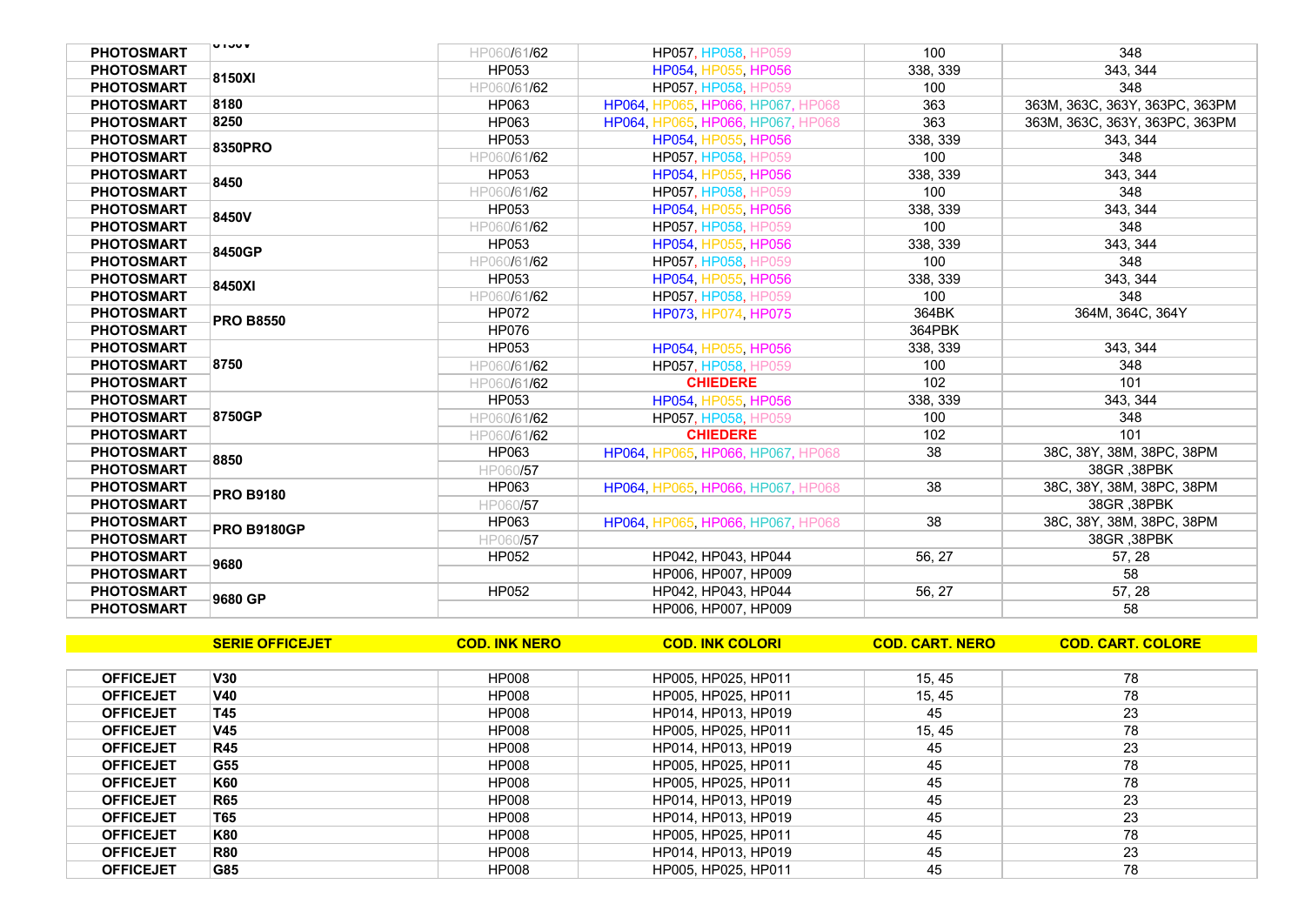| <b>PHOTOSMART</b> | <b>UIJUV</b>       | HP060/61/62  | HP057, HP058, HP059               | 100      | 348                            |
|-------------------|--------------------|--------------|-----------------------------------|----------|--------------------------------|
| <b>PHOTOSMART</b> | 8150XI             | HP053        | HP054, HP055, HP056               | 338, 339 | 343, 344                       |
| <b>PHOTOSMART</b> |                    | HP060/61/62  | HP057, HP058, HP059               | 100      | 348                            |
| <b>PHOTOSMART</b> | 8180               | HP063        | HP064, HP065, HP066, HP067, HP068 | 363      | 363M, 363C, 363Y, 363PC, 363PM |
| <b>PHOTOSMART</b> | 8250               | HP063        | HP064, HP065, HP066, HP067, HP068 | 363      | 363M, 363C, 363Y, 363PC, 363PM |
| <b>PHOTOSMART</b> | 8350PRO            | HP053        | HP054, HP055, HP056               | 338, 339 | 343, 344                       |
| <b>PHOTOSMART</b> |                    | HP060/61/62  | HP057, HP058, HP059               | 100      | 348                            |
| <b>PHOTOSMART</b> | 8450               | HP053        | HP054, HP055, HP056               | 338, 339 | 343, 344                       |
| <b>PHOTOSMART</b> |                    | HP060/61/62  | HP057, HP058, HP059               | 100      | 348                            |
| <b>PHOTOSMART</b> | 8450V              | HP053        | HP054, HP055, HP056               | 338, 339 | 343, 344                       |
| <b>PHOTOSMART</b> |                    | HP060/61/62  | <b>HP057, HP058, HP059</b>        | 100      | 348                            |
| <b>PHOTOSMART</b> | 8450GP             | HP053        | HP054, HP055, HP056               | 338, 339 | 343, 344                       |
| <b>PHOTOSMART</b> |                    | HP060/61/62  | <b>HP057, HP058, HP059</b>        | 100      | 348                            |
| <b>PHOTOSMART</b> | 8450XI             | HP053        | HP054, HP055, HP056               | 338, 339 | 343, 344                       |
| <b>PHOTOSMART</b> |                    | HP060/61/62  | HP057, HP058, HP059               | 100      | 348                            |
| <b>PHOTOSMART</b> | <b>PRO B8550</b>   | <b>HP072</b> | HP073, HP074, HP075               | 364BK    | 364M, 364C, 364Y               |
| <b>PHOTOSMART</b> |                    | <b>HP076</b> |                                   | 364PBK   |                                |
| <b>PHOTOSMART</b> |                    | HP053        | HP054, HP055, HP056               | 338, 339 | 343, 344                       |
| <b>PHOTOSMART</b> | 8750               | HP060/61/62  | <b>HP057, HP058, HP059</b>        | 100      | 348                            |
| <b>PHOTOSMART</b> |                    | HP060/61/62  | <b>CHIEDERE</b>                   | 102      | 101                            |
| <b>PHOTOSMART</b> |                    | HP053        | HP054, HP055, HP056               | 338, 339 | 343, 344                       |
| <b>PHOTOSMART</b> | 8750GP             | HP060/61/62  | HP057, HP058, HP059               | 100      | 348                            |
| <b>PHOTOSMART</b> |                    | HP060/61/62  | <b>CHIEDERE</b>                   | 102      | 101                            |
| <b>PHOTOSMART</b> | 8850               | HP063        | HP064, HP065, HP066, HP067, HP068 | 38       | 38C, 38Y, 38M, 38PC, 38PM      |
| <b>PHOTOSMART</b> |                    | HP060/57     |                                   |          | 38GR, 38PBK                    |
| <b>PHOTOSMART</b> | <b>PRO B9180</b>   | HP063        | HP064, HP065, HP066, HP067, HP068 | 38       | 38C, 38Y, 38M, 38PC, 38PM      |
| <b>PHOTOSMART</b> |                    | HP060/57     |                                   |          | 38GR .38PBK                    |
| <b>PHOTOSMART</b> | <b>PRO B9180GP</b> | HP063        | HP064, HP065, HP066, HP067, HP068 | 38       | 38C, 38Y, 38M, 38PC, 38PM      |
| <b>PHOTOSMART</b> |                    | HP060/57     |                                   |          | 38GR .38PBK                    |
| <b>PHOTOSMART</b> | 9680               | <b>HP052</b> | HP042, HP043, HP044               | 56, 27   | 57, 28                         |
| <b>PHOTOSMART</b> |                    |              | HP006, HP007, HP009               |          | 58                             |
| <b>PHOTOSMART</b> | 9680 GP            | HP052        | HP042, HP043, HP044               | 56, 27   | 57, 28                         |
| <b>PHOTOSMART</b> |                    |              | HP006. HP007. HP009               |          | 58                             |

|                  | <b>SERIE OFFICEJET</b> | <b>COD. INK NERO</b> | <b>COD. INK COLORI</b> | <b>COD. CART. NERO</b> | <b>COD. CART. COLORE</b> |
|------------------|------------------------|----------------------|------------------------|------------------------|--------------------------|
|                  |                        |                      |                        |                        |                          |
| <b>OFFICEJET</b> | V30                    | <b>HP008</b>         | HP005, HP025, HP011    | 15, 45                 | 78                       |
| <b>OFFICEJET</b> | V40                    | HP008                | HP005. HP025. HP011    | 15, 45                 | 78                       |
| <b>OFFICEJET</b> | T45                    | <b>HP008</b>         | HP014, HP013, HP019    | 45                     | 23                       |
| <b>OFFICEJET</b> | V45                    | <b>HP008</b>         | HP005, HP025, HP011    | 15, 45                 | 78                       |
| <b>OFFICEJET</b> | <b>R45</b>             | HP008                | HP014, HP013, HP019    | 45                     | 23                       |
| <b>OFFICEJET</b> | G55                    | <b>HP008</b>         | HP005. HP025. HP011    | 45                     | 78                       |
| <b>OFFICEJET</b> | K60                    | <b>HP008</b>         | HP005. HP025. HP011    | 45                     | 78                       |
| <b>OFFICEJET</b> | <b>R65</b>             | <b>HP008</b>         | HP014, HP013, HP019    | 45                     | 23                       |
| <b>OFFICEJET</b> | T65                    | HP008                | HP014, HP013, HP019    | 45                     | 23                       |
| <b>OFFICEJET</b> | K80                    | HP008                | HP005. HP025. HP011    | 45                     | 78                       |
| <b>OFFICEJET</b> | <b>R80</b>             | <b>HP008</b>         | HP014, HP013, HP019    | 45                     | 23                       |
| <b>OFFICEJET</b> | G85                    | HP008                | HP005, HP025, HP011    | 45                     | 78                       |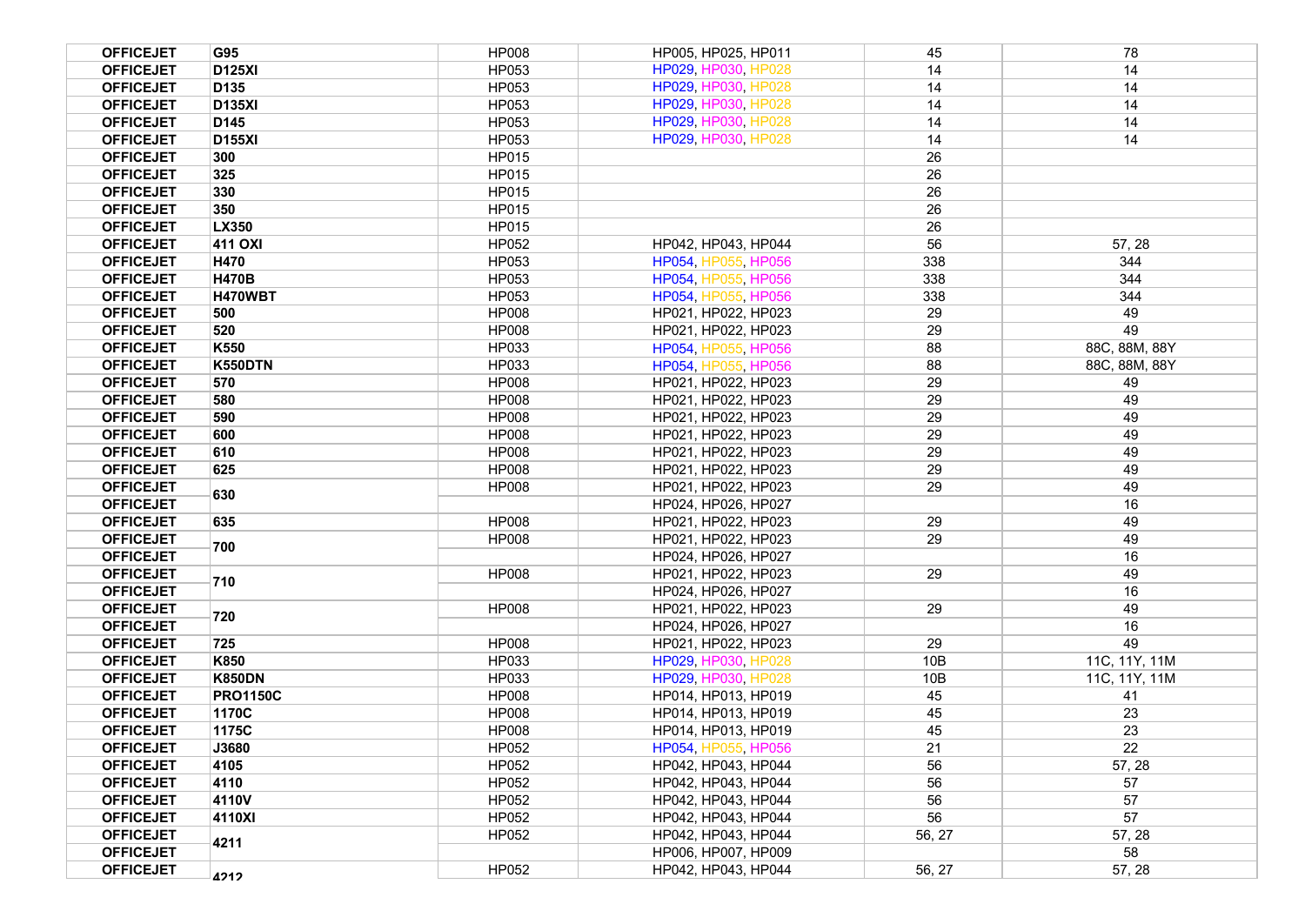| <b>OFFICEJET</b>                     | G95             | <b>HP008</b>          | HP005, HP025, HP011                        | 45       | 78            |
|--------------------------------------|-----------------|-----------------------|--------------------------------------------|----------|---------------|
| <b>OFFICEJET</b>                     | <b>D125XI</b>   | HP053                 | HP029, HP030, HP028                        | 14       | 14            |
| <b>OFFICEJET</b>                     | D135            | <b>HP053</b>          | HP029, HP030, HP028                        | 14       | 14            |
| <b>OFFICEJET</b>                     | <b>D135XI</b>   | HP053                 | HP029, HP030, HP028                        | 14       | 14            |
| <b>OFFICEJET</b>                     | D145            | HP053                 | HP029, HP030, HP028                        | 14       | 14            |
| <b>OFFICEJET</b>                     | <b>D155XI</b>   | HP053                 | HP029, HP030, HP028                        | 14       | 14            |
| <b>OFFICEJET</b>                     | 300             | HP015                 |                                            | 26       |               |
| <b>OFFICEJET</b>                     | 325             | HP015                 |                                            | 26       |               |
| <b>OFFICEJET</b>                     | 330             | HP015                 |                                            | 26       |               |
| <b>OFFICEJET</b>                     | 350             | <b>HP015</b>          |                                            | 26       |               |
| <b>OFFICEJET</b>                     | LX350           | <b>HP015</b>          |                                            | 26       |               |
| <b>OFFICEJET</b>                     | 411 OXI         | HP052                 | HP042, HP043, HP044                        | 56       | 57, 28        |
| <b>OFFICEJET</b>                     | H470            | HP053                 | HP054, HP055, HP056                        | 338      | 344           |
| <b>OFFICEJET</b>                     | <b>H470B</b>    | HP053                 | HP054, HP055, HP056                        | 338      | 344           |
| <b>OFFICEJET</b>                     | H470WBT         | HP053                 | HP054, HP055, HP056                        | 338      | 344           |
| <b>OFFICEJET</b>                     | 500             | <b>HP008</b>          | HP021, HP022, HP023                        | 29       | 49            |
| <b>OFFICEJET</b>                     | 520             | <b>HP008</b>          | HP021, HP022, HP023                        | 29       | 49            |
| <b>OFFICEJET</b>                     | K550            | HP033                 | HP054, HP055, HP056                        | 88       | 88C, 88M, 88Y |
| <b>OFFICEJET</b>                     | <b>K550DTN</b>  | HP033                 | HP054, HP055, HP056                        | 88       | 88C, 88M, 88Y |
| <b>OFFICEJET</b>                     | 570             | <b>HP008</b>          | HP021, HP022, HP023                        | 29       | 49            |
| <b>OFFICEJET</b>                     | 580             | <b>HP008</b>          | HP021, HP022, HP023                        | 29       | 49            |
| <b>OFFICEJET</b>                     | 590             | <b>HP008</b>          | HP021, HP022, HP023                        | 29       | 49            |
| <b>OFFICEJET</b>                     | 600             | <b>HP008</b>          | HP021, HP022, HP023                        | 29       | 49            |
| <b>OFFICEJET</b>                     | 610             | <b>HP008</b>          | HP021, HP022, HP023                        | 29       | 49            |
| <b>OFFICEJET</b>                     | 625             | <b>HP008</b>          | HP021, HP022, HP023                        | 29       | 49            |
| <b>OFFICEJET</b>                     | 630             | <b>HP008</b>          | HP021. HP022. HP023                        | 29       | 49            |
| <b>OFFICEJET</b>                     |                 |                       | HP024, HP026, HP027                        |          | 16            |
| <b>OFFICEJET</b>                     | 635             | <b>HP008</b>          | HP021, HP022, HP023                        | 29       | 49            |
| <b>OFFICEJET</b>                     | 700             | <b>HP008</b>          | HP021, HP022, HP023                        | 29       | 49            |
| <b>OFFICEJET</b>                     |                 |                       | HP024, HP026, HP027                        |          | 16            |
| <b>OFFICEJET</b>                     | 710             | <b>HP008</b>          | HP021, HP022, HP023                        | 29       | 49            |
| <b>OFFICEJET</b>                     |                 |                       | HP024, HP026, HP027                        |          | 16            |
| <b>OFFICEJET</b>                     | 720             | <b>HP008</b>          | HP021, HP022, HP023                        | 29       | 49            |
| <b>OFFICEJET</b>                     |                 |                       | HP024, HP026, HP027                        |          | 16            |
| <b>OFFICEJET</b>                     | 725             | <b>HP008</b>          | HP021, HP022, HP023                        | 29       | 49            |
| <b>OFFICEJET</b>                     | K850            | HP033                 | HP029, HP030, HP028                        | 10B      | 11C, 11Y, 11M |
| <b>OFFICEJET</b>                     | <b>K850DN</b>   | HP033                 | HP029, HP030, HP028                        | 10B      | 11C, 11Y, 11M |
| <b>OFFICEJET</b>                     | <b>PRO1150C</b> | <b>HP008</b>          | HP014, HP013, HP019                        | 45<br>45 | 41<br>23      |
| <b>OFFICEJET</b>                     | 1170C           | <b>HP008</b>          | HP014, HP013, HP019                        |          |               |
| <b>OFFICEJET</b><br><b>OFFICEJET</b> | 1175C           | <b>HP008</b><br>HP052 | HP014, HP013, HP019                        | 45<br>21 | 23<br>22      |
| <b>OFFICEJET</b>                     | J3680<br>4105   | HP052                 | HP054, HP055, HP056                        | 56       | 57, 28        |
| <b>OFFICEJET</b>                     | 4110            | HP052                 | HP042, HP043, HP044                        | 56       | 57            |
| <b>OFFICEJET</b>                     | 4110V           | HP052                 | HP042, HP043, HP044<br>HP042, HP043, HP044 | 56       | 57            |
| <b>OFFICEJET</b>                     |                 | HP052                 | HP042, HP043, HP044                        | 56       | 57            |
| <b>OFFICEJET</b>                     | 4110XI          | HP052                 | HP042, HP043, HP044                        | 56, 27   | 57, 28        |
| <b>OFFICEJET</b>                     | 4211            |                       | HP006, HP007, HP009                        |          | 58            |
| <b>OFFICEJET</b>                     |                 | HP052                 | HP042, HP043, HP044                        | 56, 27   | 57, 28        |
|                                      | 4212            |                       |                                            |          |               |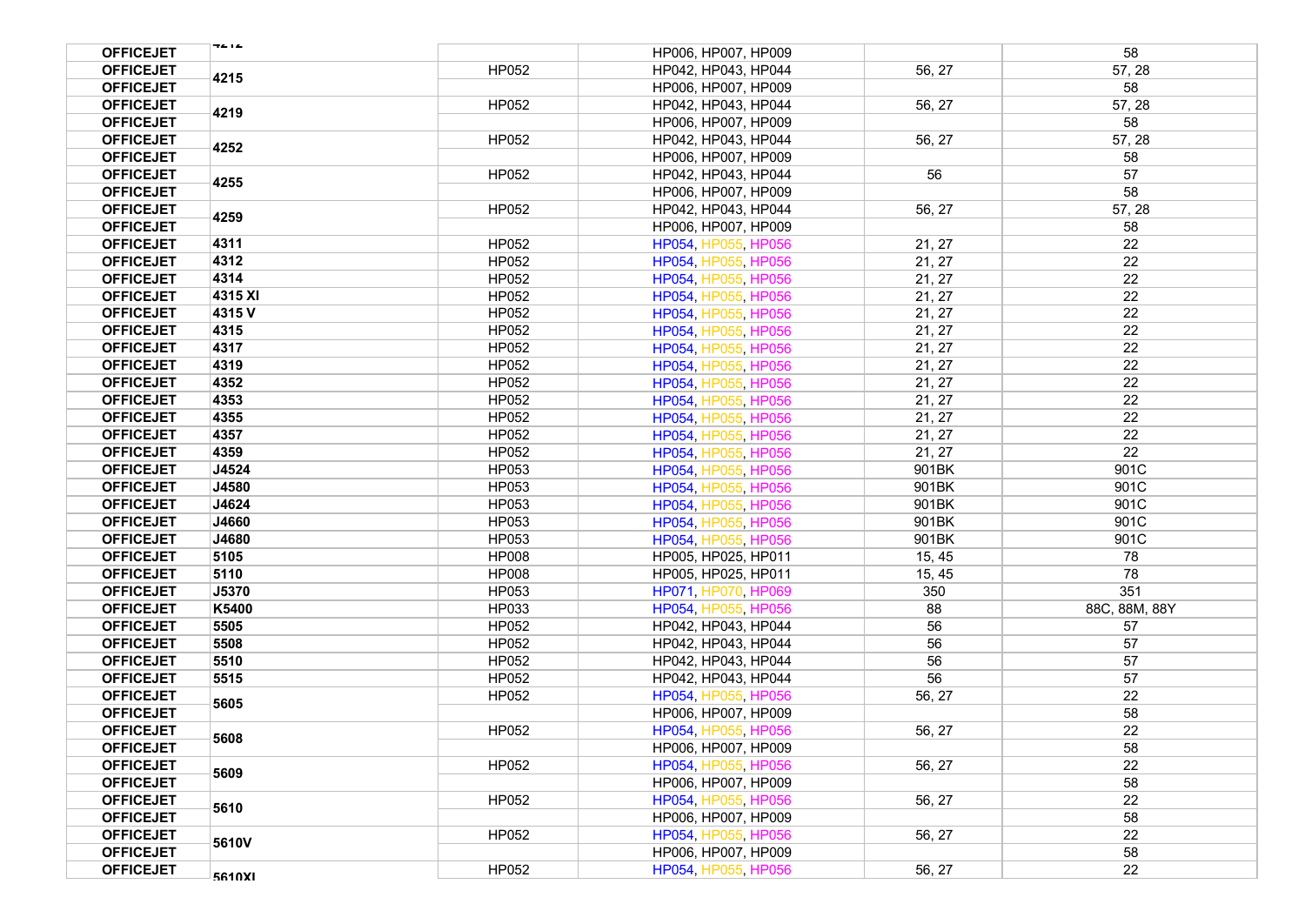| <b>OFFICEJET</b> | 74 I A       |              | HP006, HP007, HP009 |        | 58            |
|------------------|--------------|--------------|---------------------|--------|---------------|
| <b>OFFICEJET</b> |              | HP052        | HP042, HP043, HP044 | 56, 27 | 57, 28        |
| <b>OFFICEJET</b> | 4215         |              | HP006, HP007, HP009 |        | 58            |
| <b>OFFICEJET</b> |              | HP052        | HP042, HP043, HP044 | 56, 27 | 57, 28        |
| <b>OFFICEJET</b> | 4219         |              | HP006, HP007, HP009 |        | 58            |
| <b>OFFICEJET</b> | 4252<br>4255 | HP052        | HP042, HP043, HP044 | 56, 27 | 57, 28        |
| <b>OFFICEJET</b> |              |              | HP006, HP007, HP009 |        | 58            |
| <b>OFFICEJET</b> |              | HP052        | HP042, HP043, HP044 | 56     | 57            |
| <b>OFFICEJET</b> |              |              | HP006, HP007, HP009 |        | 58            |
| <b>OFFICEJET</b> |              | HP052        | HP042, HP043, HP044 | 56, 27 | 57, 28        |
| <b>OFFICEJET</b> | 4259         |              | HP006, HP007, HP009 |        | 58            |
| <b>OFFICEJET</b> | 4311         | HP052        | HP054, HP055, HP056 | 21, 27 | 22            |
| <b>OFFICEJET</b> | 4312         | HP052        | HP054, HP055, HP056 | 21, 27 | 22            |
| <b>OFFICEJET</b> | 4314         | HP052        | HP054, HP055, HP056 | 21, 27 | 22            |
| <b>OFFICEJET</b> | 4315 XI      | HP052        | HP054, HP055, HP056 | 21, 27 | 22            |
| <b>OFFICEJET</b> | 4315V        | HP052        | HP054, HP055, HP056 | 21, 27 | 22            |
| <b>OFFICEJET</b> | 4315         | HP052        | HP054, HP055, HP056 | 21, 27 | 22            |
| <b>OFFICEJET</b> | 4317         | HP052        | HP054, HP055, HP056 | 21, 27 | 22            |
| <b>OFFICEJET</b> | 4319         | HP052        | HP054, HP055, HP056 | 21, 27 | 22            |
| <b>OFFICEJET</b> | 4352         | HP052        | HP054, HP055, HP056 | 21, 27 | 22            |
| <b>OFFICEJET</b> | 4353         | HP052        | HP054, HP055, HP056 | 21, 27 | 22            |
| <b>OFFICEJET</b> | 4355         | HP052        | HP054, HP055, HP056 | 21, 27 | 22            |
| <b>OFFICEJET</b> | 4357         | HP052        | HP054, HP055, HP056 | 21, 27 | 22            |
| <b>OFFICEJET</b> | 4359         | HP052        | HP054, HP055, HP056 | 21, 27 | 22            |
| <b>OFFICEJET</b> | J4524        | HP053        | HP054, HP055, HP056 | 901BK  | 901C          |
| <b>OFFICEJET</b> | J4580        | HP053        | HP054, HP055, HP056 | 901BK  | 901C          |
| <b>OFFICEJET</b> | J4624        | HP053        | HP054, HP055, HP056 | 901BK  | 901C          |
| <b>OFFICEJET</b> | J4660        | HP053        | HP054, HP055, HP056 | 901BK  | 901C          |
| <b>OFFICEJET</b> | J4680        | HP053        | HP054, HP055, HP056 | 901BK  | 901C          |
| <b>OFFICEJET</b> | 5105         | <b>HP008</b> | HP005, HP025, HP011 | 15, 45 | 78            |
| <b>OFFICEJET</b> | 5110         | <b>HP008</b> | HP005, HP025, HP011 | 15, 45 | 78            |
| <b>OFFICEJET</b> | J5370        | HP053        | HP071, HP070, HP069 | 350    | 351           |
| <b>OFFICEJET</b> | K5400        | HP033        | HP054, HP055, HP056 | 88     | 88C, 88M, 88Y |
| <b>OFFICEJET</b> | 5505         | HP052        | HP042, HP043, HP044 | 56     | 57            |
| <b>OFFICEJET</b> | 5508         | HP052        | HP042, HP043, HP044 | 56     | 57            |
| <b>OFFICEJET</b> | 5510         | HP052        | HP042, HP043, HP044 | 56     | 57            |
| <b>OFFICEJET</b> | 5515         | HP052        | HP042, HP043, HP044 | 56     | 57            |
| <b>OFFICEJET</b> | 5605         | HP052        | HP054, HP055, HP056 | 56, 27 | 22            |
| <b>OFFICEJET</b> |              |              | HP006, HP007, HP009 |        | 58            |
| <b>OFFICEJET</b> | 5608         | HP052        | HP054, HP055, HP056 | 56, 27 | 22            |
| <b>OFFICEJET</b> |              |              | HP006, HP007, HP009 |        | 58            |
| <b>OFFICEJET</b> | 5609         | HP052        | HP054, HP055, HP056 | 56, 27 | 22            |
| <b>OFFICEJET</b> |              |              | HP006, HP007, HP009 |        | 58            |
| <b>OFFICEJET</b> | 5610         | HP052        | HP054, HP055, HP056 | 56, 27 | 22            |
| <b>OFFICEJET</b> |              |              | HP006, HP007, HP009 |        | 58            |
| <b>OFFICEJET</b> | 5610V        | HP052        | HP054, HP055, HP056 | 56, 27 | 22            |
| <b>OFFICEJET</b> |              |              | HP006, HP007, HP009 |        | 58            |
| <b>OFFICEJET</b> | 5610XI       | HP052        | HP054, HP055, HP056 | 56, 27 | 22            |
|                  |              |              |                     |        |               |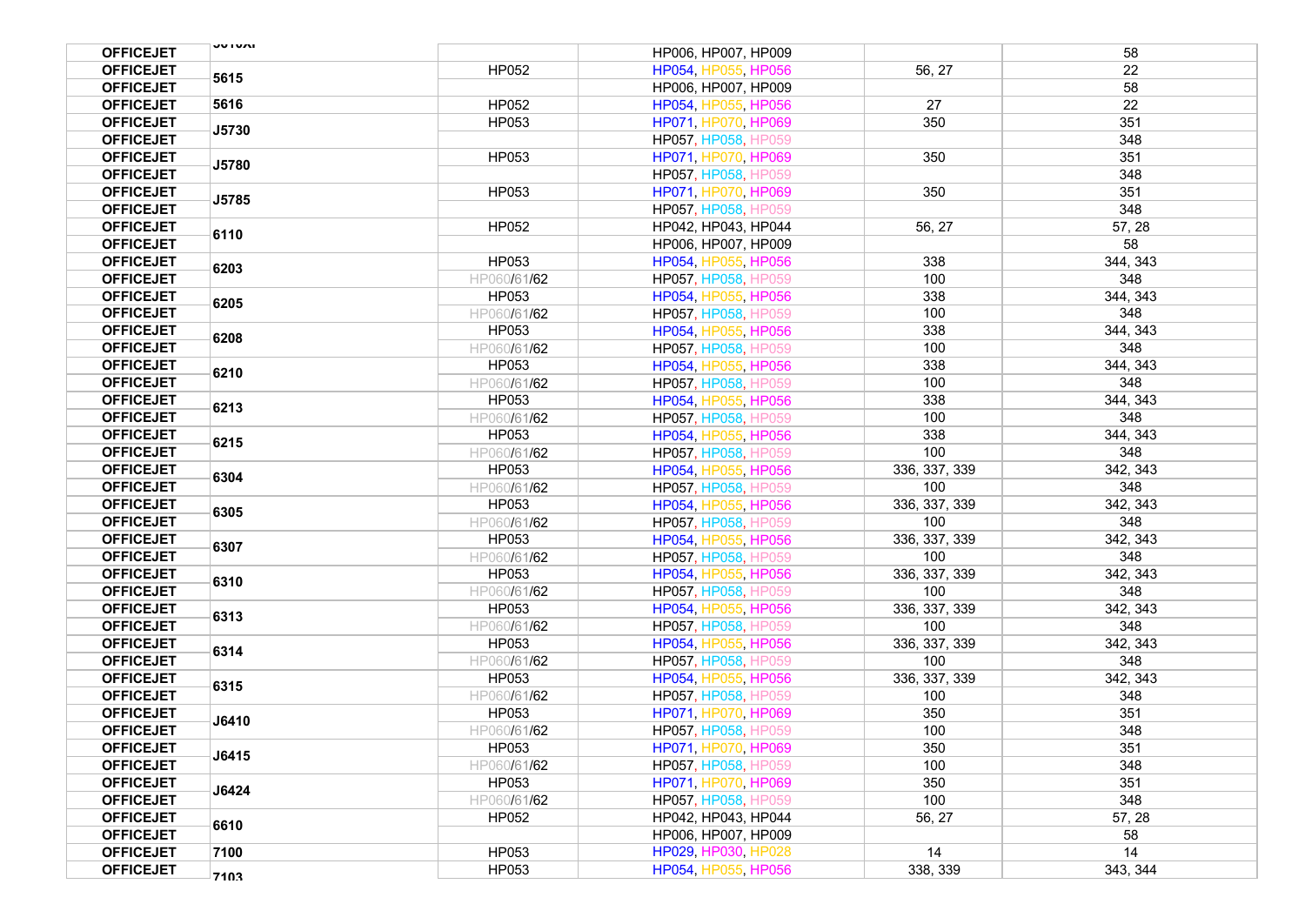| <b>OFFICEJET</b> | <b>UUIUAI</b> |             | HP006, HP007, HP009 |               | 58       |
|------------------|---------------|-------------|---------------------|---------------|----------|
| <b>OFFICEJET</b> |               | HP052       | HP054, HP055, HP056 | 56, 27        | 22       |
| <b>OFFICEJET</b> | 5615          |             | HP006, HP007, HP009 |               | 58       |
| <b>OFFICEJET</b> | 5616          | HP052       | HP054, HP055, HP056 | 27            | 22       |
| <b>OFFICEJET</b> |               | HP053       | HP071, HP070, HP069 | 350           | 351      |
| <b>OFFICEJET</b> | J5730         |             | HP057, HP058, HP059 |               | 348      |
| <b>OFFICEJET</b> |               | HP053       | HP071, HP070, HP069 | 350           | 351      |
| <b>OFFICEJET</b> | J5780         |             | HP057, HP058, HP059 |               | 348      |
| <b>OFFICEJET</b> |               | HP053       | HP071, HP070, HP069 | 350           | 351      |
| <b>OFFICEJET</b> | J5785         |             | HP057, HP058, HP059 |               | 348      |
| <b>OFFICEJET</b> |               | HP052       | HP042, HP043, HP044 | 56, 27        | 57, 28   |
| <b>OFFICEJET</b> | 6110          |             | HP006, HP007, HP009 |               | 58       |
| <b>OFFICEJET</b> |               | HP053       | HP054, HP055, HP056 | 338           | 344, 343 |
| <b>OFFICEJET</b> | 6203          | HP060/61/62 | HP057, HP058, HP059 | 100           | 348      |
| <b>OFFICEJET</b> |               | HP053       | HP054, HP055, HP056 | 338           | 344, 343 |
| <b>OFFICEJET</b> | 6205          | HP060/61/62 | HP057, HP058, HP059 | 100           | 348      |
| <b>OFFICEJET</b> |               | HP053       | HP054, HP055, HP056 | 338           | 344, 343 |
| <b>OFFICEJET</b> | 6208          | HP060/61/62 | HP057, HP058, HP059 | 100           | 348      |
| <b>OFFICEJET</b> |               | HP053       | HP054, HP055, HP056 | 338           | 344, 343 |
| <b>OFFICEJET</b> | 6210          | HP060/61/62 | HP057, HP058, HP059 | 100           | 348      |
| <b>OFFICEJET</b> |               | HP053       | HP054, HP055, HP056 | 338           | 344, 343 |
| <b>OFFICEJET</b> | 6213          | HP060/61/62 | HP057, HP058, HP059 | 100           | 348      |
| <b>OFFICEJET</b> |               | HP053       | HP054, HP055, HP056 | 338           | 344, 343 |
| <b>OFFICEJET</b> | 6215          | HP060/61/62 | HP057, HP058, HP059 | 100           | 348      |
| <b>OFFICEJET</b> |               | HP053       | HP054, HP055, HP056 | 336, 337, 339 | 342, 343 |
| <b>OFFICEJET</b> | 6304          | HP060/61/62 | HP057, HP058, HP059 | 100           | 348      |
| <b>OFFICEJET</b> |               | HP053       | HP054, HP055, HP056 | 336, 337, 339 | 342, 343 |
| <b>OFFICEJET</b> | 6305          | HP060/61/62 | HP057, HP058, HP059 | 100           | 348      |
| <b>OFFICEJET</b> |               | HP053       | HP054, HP055, HP056 | 336, 337, 339 | 342, 343 |
| <b>OFFICEJET</b> | 6307          | HP060/61/62 | HP057, HP058, HP059 | 100           | 348      |
| <b>OFFICEJET</b> |               | HP053       | HP054, HP055, HP056 | 336, 337, 339 | 342, 343 |
| <b>OFFICEJET</b> | 6310          | HP060/61/62 | HP057, HP058, HP059 | 100           | 348      |
| <b>OFFICEJET</b> |               | HP053       | HP054, HP055, HP056 | 336, 337, 339 | 342, 343 |
| <b>OFFICEJET</b> | 6313          | HP060/61/62 | HP057, HP058, HP059 | 100           | 348      |
| <b>OFFICEJET</b> | 6314          | HP053       | HP054, HP055, HP056 | 336, 337, 339 | 342, 343 |
| <b>OFFICEJET</b> |               | HP060/61/62 | HP057, HP058, HP059 | 100           | 348      |
| <b>OFFICEJET</b> |               | HP053       | HP054, HP055, HP056 | 336, 337, 339 | 342, 343 |
| <b>OFFICEJET</b> | 6315          | HP060/61/62 | HP057, HP058, HP059 | 100           | 348      |
| <b>OFFICEJET</b> | J6410         | HP053       | HP071, HP070, HP069 | 350           | 351      |
| <b>OFFICEJET</b> |               | HP060/61/62 | HP057, HP058, HP059 | 100           | 348      |
| <b>OFFICEJET</b> | J6415         | HP053       | HP071, HP070, HP069 | 350           | 351      |
| <b>OFFICEJET</b> |               | HP060/61/62 | HP057, HP058, HP059 | 100           | 348      |
| <b>OFFICEJET</b> | <b>J6424</b>  | HP053       | HP071, HP070, HP069 | 350           | 351      |
| <b>OFFICEJET</b> |               | HP060/61/62 | HP057, HP058, HP059 | 100           | 348      |
| <b>OFFICEJET</b> |               | HP052       | HP042, HP043, HP044 | 56, 27        | 57, 28   |
| <b>OFFICEJET</b> | 6610          |             | HP006, HP007, HP009 |               | 58       |
| <b>OFFICEJET</b> | 7100          | HP053       | HP029, HP030, HP028 | 14            | 14       |
| <b>OFFICEJET</b> | 7103          | HP053       | HP054, HP055, HP056 | 338, 339      | 343, 344 |
|                  |               |             |                     |               |          |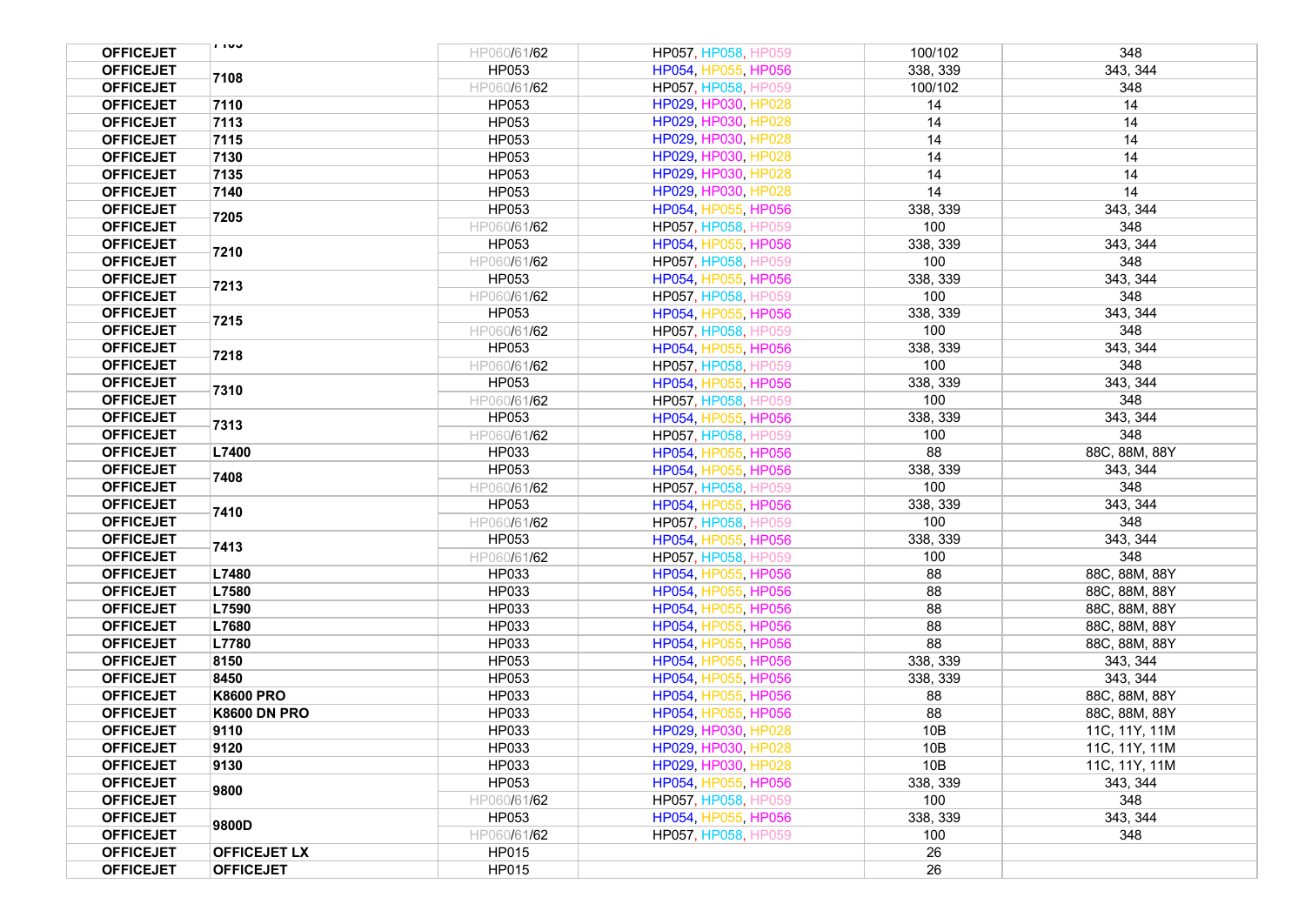| <b>OFFICEJET</b> | 1100                | HP060/61/62 | HP057, HP058, HP059 | 100/102  | 348           |
|------------------|---------------------|-------------|---------------------|----------|---------------|
| <b>OFFICEJET</b> | 7108                | HP053       | HP054, HP055, HP056 | 338, 339 | 343, 344      |
| <b>OFFICEJET</b> |                     | HP060/61/62 | HP057, HP058, HP059 | 100/102  | 348           |
| <b>OFFICEJET</b> | 7110                | HP053       | HP029, HP030, HP028 | 14       | 14            |
| <b>OFFICEJET</b> | 7113                | HP053       | HP029, HP030, HP028 | 14       | 14            |
| <b>OFFICEJET</b> | 7115                | HP053       | HP029, HP030, HP028 | 14       | 14            |
| <b>OFFICEJET</b> | 7130                | HP053       | HP029, HP030, HP028 | 14       | 14            |
| <b>OFFICEJET</b> | 7135                | HP053       | HP029, HP030, HP028 | 14       | 14            |
| <b>OFFICEJET</b> | 7140                | HP053       | HP029, HP030, HP028 | 14       | 14            |
| <b>OFFICEJET</b> |                     | HP053       | HP054, HP055, HP056 | 338, 339 | 343, 344      |
| <b>OFFICEJET</b> | 7205                | HP060/61/62 | HP057, HP058, HP059 | 100      | 348           |
| <b>OFFICEJET</b> |                     | HP053       | HP054, HP055, HP056 | 338, 339 | 343, 344      |
| <b>OFFICEJET</b> | 7210                | HP060/61/62 | HP057, HP058, HP059 | 100      | 348           |
| <b>OFFICEJET</b> |                     | HP053       | HP054, HP055, HP056 | 338, 339 | 343, 344      |
| <b>OFFICEJET</b> | 7213                | HP060/61/62 | HP057, HP058, HP059 | 100      | 348           |
| <b>OFFICEJET</b> |                     | HP053       | HP054, HP055, HP056 | 338, 339 | 343, 344      |
| <b>OFFICEJET</b> | 7215                | HP060/61/62 | HP057, HP058, HP059 | 100      | 348           |
| <b>OFFICEJET</b> |                     | HP053       | HP054, HP055, HP056 | 338, 339 | 343, 344      |
| <b>OFFICEJET</b> | 7218                | HP060/61/62 | HP057, HP058, HP059 | 100      | 348           |
| <b>OFFICEJET</b> |                     | HP053       | HP054, HP055, HP056 | 338, 339 | 343, 344      |
| <b>OFFICEJET</b> | 7310                | HP060/61/62 | HP057, HP058, HP059 | 100      | 348           |
| <b>OFFICEJET</b> |                     | HP053       | HP054, HP055, HP056 | 338, 339 | 343, 344      |
| <b>OFFICEJET</b> | 7313                | HP060/61/62 | HP057, HP058, HP059 | 100      | 348           |
| <b>OFFICEJET</b> | L7400               | HP033       | HP054, HP055, HP056 | 88       | 88C, 88M, 88Y |
| <b>OFFICEJET</b> |                     | HP053       | HP054, HP055, HP056 | 338, 339 | 343, 344      |
| <b>OFFICEJET</b> | 7408                | HP060/61/62 | HP057, HP058, HP059 | 100      | 348           |
| <b>OFFICEJET</b> |                     | HP053       | HP054, HP055, HP056 | 338, 339 | 343, 344      |
| <b>OFFICEJET</b> | 7410                | HP060/61/62 | HP057, HP058, HP059 | 100      | 348           |
| <b>OFFICEJET</b> | 7413                | HP053       | HP054, HP055, HP056 | 338, 339 | 343, 344      |
| <b>OFFICEJET</b> |                     | HP060/61/62 | HP057, HP058, HP059 | 100      | 348           |
| <b>OFFICEJET</b> | L7480               | HP033       | HP054, HP055, HP056 | 88       | 88C, 88M, 88Y |
| <b>OFFICEJET</b> | L7580               | HP033       | HP054, HP055, HP056 | 88       | 88C, 88M, 88Y |
| <b>OFFICEJET</b> | L7590               | HP033       | HP054, HP055, HP056 | 88       | 88C, 88M, 88Y |
| <b>OFFICEJET</b> | L7680               | HP033       | HP054, HP055, HP056 | 88       | 88C, 88M, 88Y |
| <b>OFFICEJET</b> | L7780               | HP033       | HP054, HP055, HP056 | 88       | 88C, 88M, 88Y |
| <b>OFFICEJET</b> | 8150                | HP053       | HP054, HP055, HP056 | 338, 339 | 343, 344      |
| <b>OFFICEJET</b> | 8450                | HP053       | HP054, HP055, HP056 | 338, 339 | 343, 344      |
| <b>OFFICEJET</b> | <b>K8600 PRO</b>    | HP033       | HP054, HP055, HP056 | 88       | 88C, 88M, 88Y |
| <b>OFFICEJET</b> | <b>K8600 DN PRO</b> | HP033       | HP054, HP055, HP056 | 88       | 88C, 88M, 88Y |
| <b>OFFICEJET</b> | 9110                | HP033       | HP029, HP030, HP028 | 10B      | 11C, 11Y, 11M |
| <b>OFFICEJET</b> | 9120                | HP033       | HP029, HP030, HP028 | 10B      | 11C, 11Y, 11M |
| <b>OFFICEJET</b> | 9130                | HP033       | HP029, HP030, HP028 | 10B      | 11C, 11Y, 11M |
| <b>OFFICEJET</b> | 9800                | HP053       | HP054, HP055, HP056 | 338, 339 | 343, 344      |
| <b>OFFICEJET</b> |                     | HP060/61/62 | HP057, HP058, HP059 | 100      | 348           |
| <b>OFFICEJET</b> | 9800D               | HP053       | HP054, HP055, HP056 | 338, 339 | 343, 344      |
| <b>OFFICEJET</b> |                     | HP060/61/62 | HP057, HP058, HP059 | 100      | 348           |
| <b>OFFICEJET</b> | <b>OFFICEJET LX</b> | HP015       |                     | 26       |               |
| <b>OFFICEJET</b> | <b>OFFICEJET</b>    | HP015       |                     | 26       |               |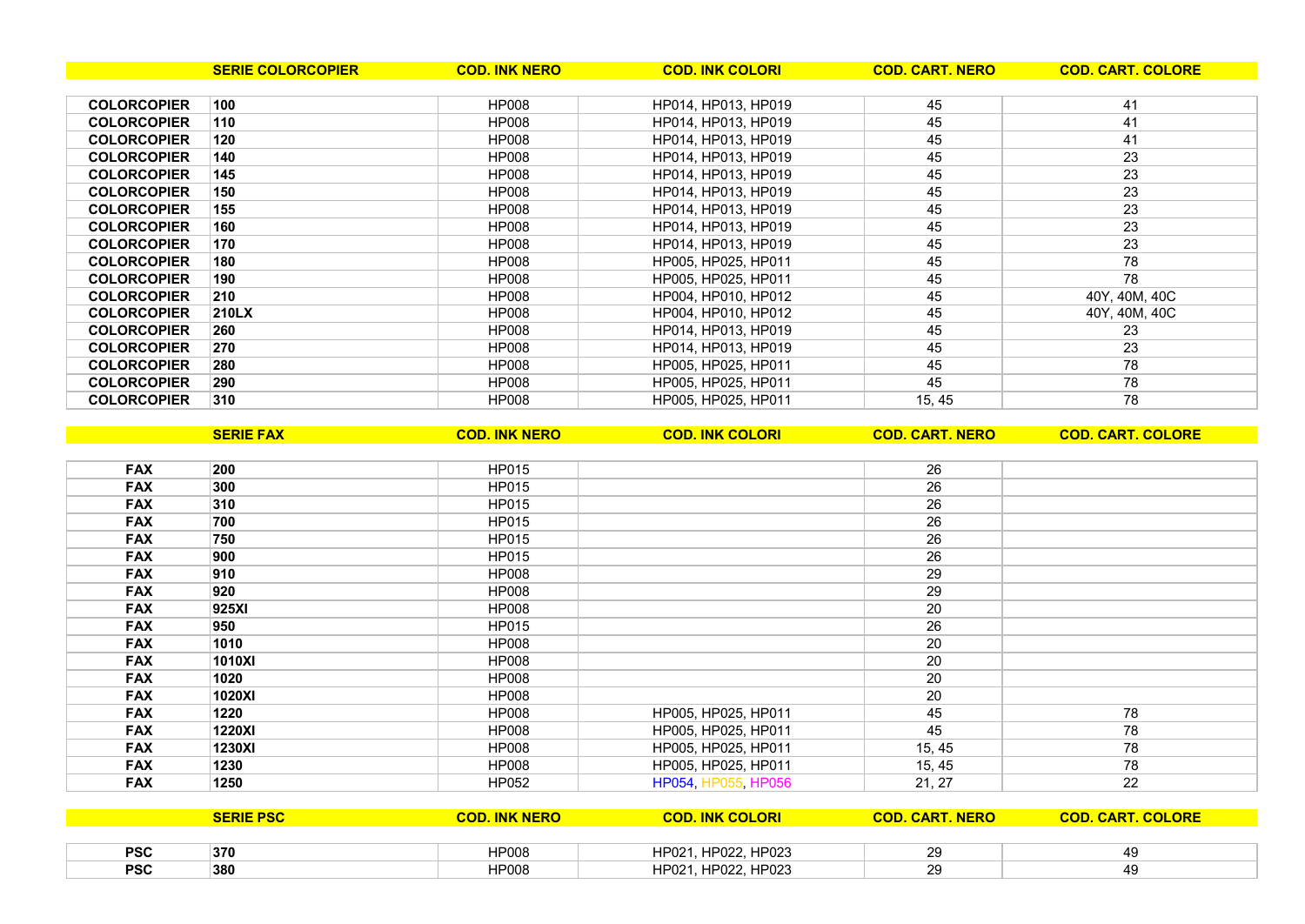| <b>PSC</b> | 370 | HP008 | HP023<br>HP021<br>IIDOM<br>HPUZZ, | ററ |  |
|------------|-----|-------|-----------------------------------|----|--|
| <b>PSC</b> | 380 | HP008 | IIDOO<br>HP023<br>HP021<br>HPUZZ, | ററ |  |

**SERIE PSC COD. INK NERO COD. INK COLORI COD. CART. NERO COD. CART. COLORE**

| <b>FAX</b> | 200           | <b>HP015</b> |                     | 26     |    |
|------------|---------------|--------------|---------------------|--------|----|
| <b>FAX</b> | 300           | <b>HP015</b> |                     | 26     |    |
| <b>FAX</b> | 310           | <b>HP015</b> |                     | 26     |    |
| <b>FAX</b> | 700           | HP015        |                     | 26     |    |
| <b>FAX</b> | 750           | HP015        |                     | 26     |    |
| <b>FAX</b> | 900           | <b>HP015</b> |                     | 26     |    |
| <b>FAX</b> | 910           | <b>HP008</b> |                     | 29     |    |
| <b>FAX</b> | 920           | <b>HP008</b> |                     | 29     |    |
| <b>FAX</b> | 925XI         | <b>HP008</b> |                     | 20     |    |
| <b>FAX</b> | 950           | <b>HP015</b> |                     | 26     |    |
| <b>FAX</b> | 1010          | <b>HP008</b> |                     | 20     |    |
| <b>FAX</b> | 1010XI        | <b>HP008</b> |                     | 20     |    |
| <b>FAX</b> | 1020          | <b>HP008</b> |                     | 20     |    |
| <b>FAX</b> | 1020XI        | <b>HP008</b> |                     | 20     |    |
| <b>FAX</b> | 1220          | <b>HP008</b> | HP005, HP025, HP011 | 45     | 78 |
| <b>FAX</b> | <b>1220XI</b> | <b>HP008</b> | HP005, HP025, HP011 | 45     | 78 |
| <b>FAX</b> | 1230XI        | <b>HP008</b> | HP005, HP025, HP011 | 15, 45 | 78 |
| <b>FAX</b> | 1230          | <b>HP008</b> | HP005, HP025, HP011 | 15, 45 | 78 |
| <b>FAX</b> | 1250          | <b>HP052</b> | HP054, HP055, HP056 | 21, 27 | 22 |

|                    | <b>SERIE COLORCOPIER</b> | <b>COD. INK NERO</b> | <b>COD. INK COLORI</b> | <b>COD. CART. NERO</b> | <b>COD. CART. COLORE</b> |
|--------------------|--------------------------|----------------------|------------------------|------------------------|--------------------------|
|                    |                          |                      |                        |                        |                          |
| <b>COLORCOPIER</b> | 100                      | <b>HP008</b>         | HP014, HP013, HP019    | 45                     | 41                       |
| <b>COLORCOPIER</b> | 110                      | <b>HP008</b>         | HP014, HP013, HP019    | 45                     | 41                       |
| <b>COLORCOPIER</b> | 120                      | <b>HP008</b>         | HP014. HP013. HP019    | 45                     | 41                       |
| <b>COLORCOPIER</b> | 140                      | <b>HP008</b>         | HP014, HP013, HP019    | 45                     | 23                       |
| <b>COLORCOPIER</b> | 145                      | <b>HP008</b>         | HP014, HP013, HP019    | 45                     | 23                       |
| <b>COLORCOPIER</b> | 150                      | HP008                | HP014, HP013, HP019    | 45                     | 23                       |
| <b>COLORCOPIER</b> | 155                      | HP008                | HP014, HP013, HP019    | 45                     | 23                       |
| <b>COLORCOPIER</b> | 160                      | HP008                | HP014, HP013, HP019    | 45                     | 23                       |
| <b>COLORCOPIER</b> | 170                      | <b>HP008</b>         | HP014. HP013. HP019    | 45                     | 23                       |
| <b>COLORCOPIER</b> | 180                      | <b>HP008</b>         | HP005. HP025. HP011    | 45                     | 78                       |
| <b>COLORCOPIER</b> | 190                      | <b>HP008</b>         | HP005. HP025. HP011    | 45                     | 78                       |
| <b>COLORCOPIER</b> | 210                      | HP008                | HP004, HP010, HP012    | 45                     | 40Y, 40M, 40C            |
| <b>COLORCOPIER</b> | 210LX                    | HP008                | HP004, HP010, HP012    | 45                     | 40Y, 40M, 40C            |
| <b>COLORCOPIER</b> | 260                      | <b>HP008</b>         | HP014, HP013, HP019    | 45                     | 23                       |
| <b>COLORCOPIER</b> | 270                      | <b>HP008</b>         | HP014. HP013. HP019    | 45                     | 23                       |
| <b>COLORCOPIER</b> | 280                      | <b>HP008</b>         | HP005, HP025, HP011    | 45                     | 78                       |
| <b>COLORCOPIER</b> | 290                      | <b>HP008</b>         | HP005, HP025, HP011    | 45                     | 78                       |
| <b>COLORCOPIER</b> | 310                      | <b>HP008</b>         | HP005, HP025, HP011    | 15, 45                 | 78                       |
|                    |                          |                      |                        |                        |                          |

**SERIE FAX COD. INK NERO COD. INK COLORI COD. CART. NERO COD. CART. COLORE**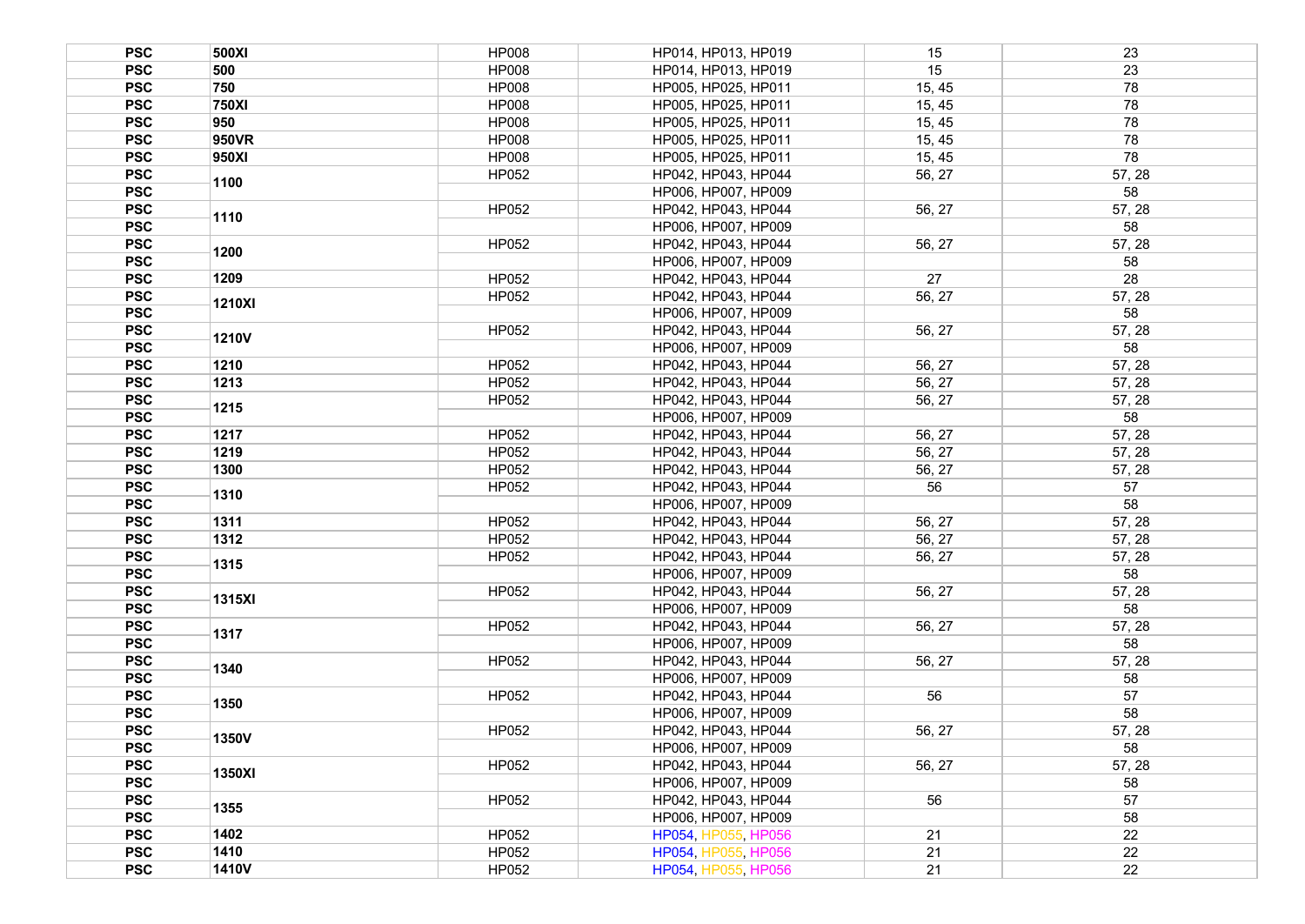| <b>PSC</b> | 500XI        | <b>HP008</b> | HP014, HP013, HP019 | 15     | 23     |
|------------|--------------|--------------|---------------------|--------|--------|
| <b>PSC</b> | 500          | <b>HP008</b> | HP014, HP013, HP019 | 15     | 23     |
| <b>PSC</b> | 750          | <b>HP008</b> | HP005, HP025, HP011 | 15, 45 | 78     |
| <b>PSC</b> | <b>750XI</b> | <b>HP008</b> | HP005, HP025, HP011 | 15, 45 | 78     |
| <b>PSC</b> | 950          | <b>HP008</b> | HP005, HP025, HP011 | 15, 45 | 78     |
| <b>PSC</b> | 950VR        | <b>HP008</b> | HP005, HP025, HP011 | 15, 45 | 78     |
| <b>PSC</b> | 950XI        | <b>HP008</b> | HP005, HP025, HP011 | 15, 45 | 78     |
| <b>PSC</b> |              | HP052        | HP042, HP043, HP044 | 56, 27 | 57, 28 |
| <b>PSC</b> | 1100         |              | HP006, HP007, HP009 |        | 58     |
| <b>PSC</b> |              | HP052        | HP042, HP043, HP044 | 56, 27 | 57, 28 |
| <b>PSC</b> | 1110         |              | HP006, HP007, HP009 |        | 58     |
| <b>PSC</b> |              | HP052        | HP042, HP043, HP044 | 56, 27 | 57, 28 |
| <b>PSC</b> | 1200         |              | HP006, HP007, HP009 |        | 58     |
| <b>PSC</b> | 1209         | HP052        | HP042, HP043, HP044 | 27     | 28     |
| <b>PSC</b> |              | HP052        | HP042, HP043, HP044 | 56, 27 | 57, 28 |
| <b>PSC</b> | 1210XI       |              | HP006, HP007, HP009 |        | 58     |
| <b>PSC</b> |              | HP052        | HP042, HP043, HP044 | 56, 27 | 57, 28 |
| <b>PSC</b> | <b>1210V</b> |              | HP006, HP007, HP009 |        | 58     |
| <b>PSC</b> | 1210         | HP052        | HP042, HP043, HP044 | 56, 27 | 57, 28 |
|            | 1213         |              |                     |        |        |
| <b>PSC</b> |              | HP052        | HP042, HP043, HP044 | 56, 27 | 57, 28 |
| <b>PSC</b> | 1215         | HP052        | HP042, HP043, HP044 | 56, 27 | 57, 28 |
| <b>PSC</b> |              |              | HP006, HP007, HP009 |        | 58     |
| <b>PSC</b> | 1217         | HP052        | HP042, HP043, HP044 | 56, 27 | 57, 28 |
| <b>PSC</b> | 1219         | HP052        | HP042, HP043, HP044 | 56, 27 | 57, 28 |
| <b>PSC</b> | 1300         | HP052        | HP042, HP043, HP044 | 56, 27 | 57, 28 |
| <b>PSC</b> | 1310         | HP052        | HP042, HP043, HP044 | 56     | 57     |
| <b>PSC</b> |              |              | HP006, HP007, HP009 |        | 58     |
| <b>PSC</b> | 1311         | HP052        | HP042, HP043, HP044 | 56, 27 | 57, 28 |
| <b>PSC</b> | 1312         | HP052        | HP042, HP043, HP044 | 56, 27 | 57, 28 |
| <b>PSC</b> | 1315         | HP052        | HP042, HP043, HP044 | 56, 27 | 57, 28 |
| <b>PSC</b> |              |              | HP006, HP007, HP009 |        | 58     |
| <b>PSC</b> | 1315XI       | HP052        | HP042, HP043, HP044 | 56, 27 | 57, 28 |
| <b>PSC</b> |              |              | HP006, HP007, HP009 |        | 58     |
| <b>PSC</b> | 1317         | HP052        | HP042, HP043, HP044 | 56, 27 | 57, 28 |
| <b>PSC</b> |              |              | HP006, HP007, HP009 |        | 58     |
| <b>PSC</b> | 1340         | HP052        | HP042, HP043, HP044 | 56, 27 | 57, 28 |
| <b>PSC</b> |              |              | HP006, HP007, HP009 |        | 58     |
| <b>PSC</b> | 1350         | HP052        | HP042. HP043. HP044 | 56     | 57     |
| <b>PSC</b> |              |              | HP006, HP007, HP009 |        | 58     |
| <b>PSC</b> | 1350V        | HP052        | HP042, HP043, HP044 | 56, 27 | 57, 28 |
| <b>PSC</b> |              |              | HP006, HP007, HP009 |        | 58     |
| <b>PSC</b> | 1350XI       | HP052        | HP042, HP043, HP044 | 56, 27 | 57, 28 |
| <b>PSC</b> |              |              | HP006, HP007, HP009 |        | 58     |
| <b>PSC</b> |              | HP052        | HP042, HP043, HP044 | 56     | 57     |
| <b>PSC</b> | 1355         |              | HP006, HP007, HP009 |        | 58     |
| <b>PSC</b> | 1402         | HP052        | HP054, HP055, HP056 | 21     | 22     |
| <b>PSC</b> | 1410         | <b>HP052</b> | HP054, HP055, HP056 | 21     | 22     |
| <b>PSC</b> | <b>1410V</b> | HP052        | HP054, HP055, HP056 | 21     | 22     |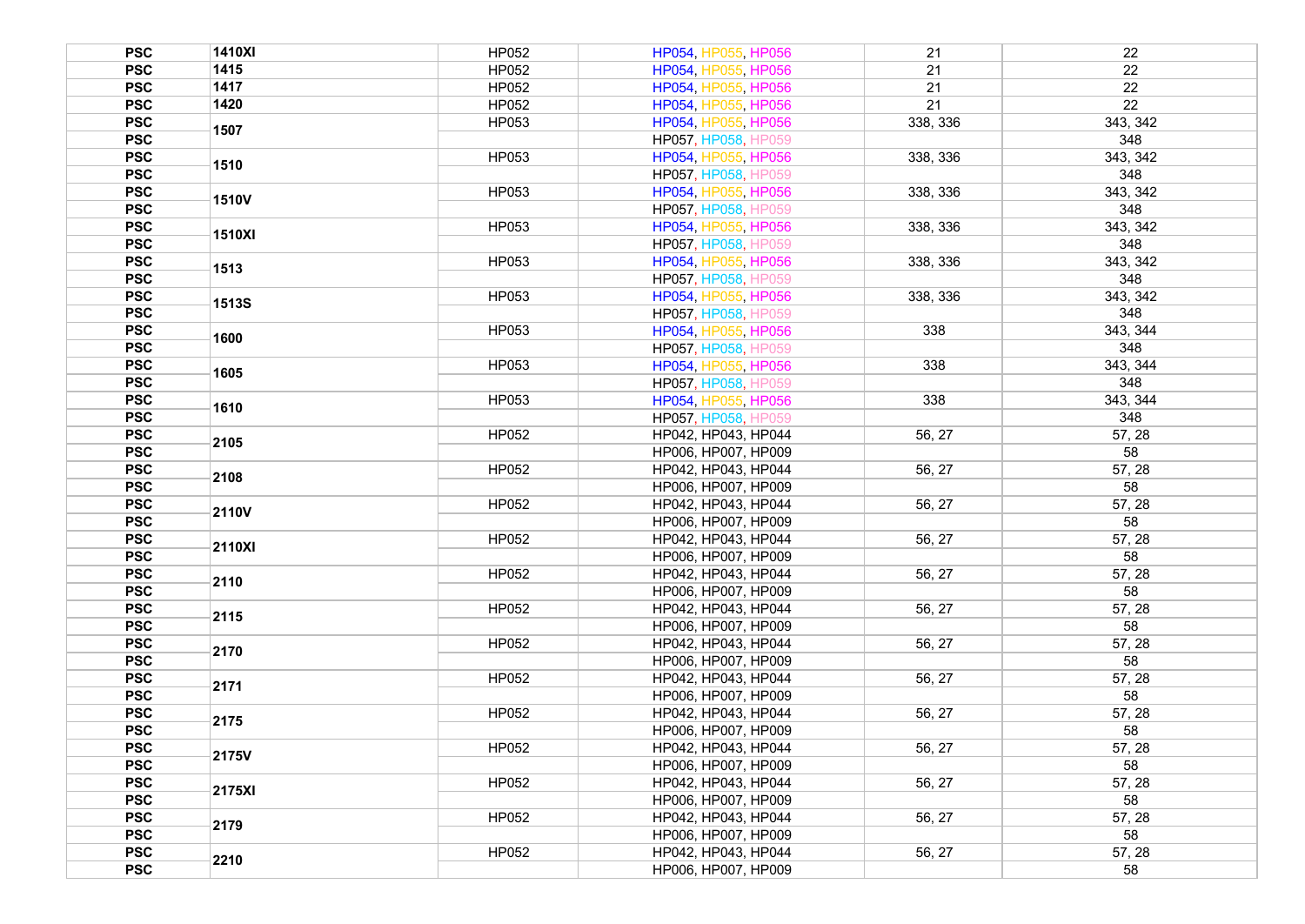| <b>PSC</b> | 1410XI       | HP052        | HP054, HP055, HP056        | 21       | 22       |
|------------|--------------|--------------|----------------------------|----------|----------|
| <b>PSC</b> | 1415         | HP052        | HP054, HP055, HP056        | 21       | 22       |
| <b>PSC</b> | 1417         | HP052        | HP054, HP055, HP056        | 21       | 22       |
| <b>PSC</b> | 1420         | HP052        | HP054, HP055, HP056        | 21       | 22       |
| <b>PSC</b> |              | HP053        | HP054, HP055, HP056        | 338, 336 | 343, 342 |
| <b>PSC</b> | 1507         |              | <b>HP057, HP058, HP059</b> |          | 348      |
| <b>PSC</b> |              | HP053        | HP054, HP055, HP056        | 338, 336 | 343, 342 |
| <b>PSC</b> | 1510         |              | HP057, HP058, HP059        |          | 348      |
| <b>PSC</b> |              | HP053        | HP054, HP055, HP056        | 338, 336 | 343, 342 |
| <b>PSC</b> | <b>1510V</b> |              | HP057, HP058, HP059        |          | 348      |
| <b>PSC</b> |              | HP053        | HP054, HP055, HP056        | 338, 336 | 343, 342 |
| <b>PSC</b> | 1510XI       |              | <b>HP057, HP058, HP059</b> |          | 348      |
| <b>PSC</b> |              | HP053        | HP054, HP055, HP056        | 338, 336 | 343, 342 |
| <b>PSC</b> | 1513         |              | <b>HP057, HP058, HP059</b> |          | 348      |
| <b>PSC</b> |              | HP053        | HP054, HP055, HP056        | 338, 336 | 343, 342 |
| <b>PSC</b> | <b>1513S</b> |              | <b>HP057, HP058, HP059</b> |          | 348      |
| <b>PSC</b> |              | HP053        | HP054, HP055, HP056        | 338      | 343, 344 |
| <b>PSC</b> | 1600         |              | HP057, HP058, HP059        |          | 348      |
| <b>PSC</b> |              | HP053        | HP054, HP055, HP056        | 338      | 343, 344 |
| <b>PSC</b> | 1605         |              | HP057, HP058, HP059        |          | 348      |
| <b>PSC</b> |              | HP053        | HP054, HP055, HP056        | 338      | 343, 344 |
| <b>PSC</b> | 1610         |              | <b>HP057, HP058, HP059</b> |          | 348      |
| <b>PSC</b> |              | HP052        | HP042, HP043, HP044        | 56, 27   | 57, 28   |
| <b>PSC</b> | 2105         |              | HP006, HP007, HP009        |          | 58       |
| <b>PSC</b> |              | HP052        | HP042, HP043, HP044        | 56, 27   | 57, 28   |
| <b>PSC</b> | 2108         |              | HP006, HP007, HP009        |          | 58       |
| <b>PSC</b> |              | HP052        | HP042, HP043, HP044        | 56, 27   | 57, 28   |
| <b>PSC</b> | 2110V        |              | HP006, HP007, HP009        |          | 58       |
| <b>PSC</b> |              | HP052        | HP042, HP043, HP044        | 56, 27   | 57, 28   |
| <b>PSC</b> | 2110XI       |              | HP006, HP007, HP009        |          | 58       |
| <b>PSC</b> |              | HP052        | HP042, HP043, HP044        | 56, 27   | 57, 28   |
| <b>PSC</b> | 2110         |              |                            |          | 58       |
| <b>PSC</b> |              | <b>HP052</b> | HP006, HP007, HP009        |          |          |
|            | 2115         |              | HP042, HP043, HP044        | 56, 27   | 57, 28   |
| <b>PSC</b> |              |              | HP006, HP007, HP009        |          | 58       |
| <b>PSC</b> | 2170         | HP052        | HP042, HP043, HP044        | 56, 27   | 57, 28   |
| <b>PSC</b> |              |              | HP006, HP007, HP009        |          | 58       |
| <b>PSC</b> | 2171         | HP052        | HP042, HP043, HP044        | 56, 27   | 57, 28   |
| <b>PSC</b> |              |              | HP006. HP007. HP009        |          | 58       |
| <b>PSC</b> | 2175         | HP052        | HP042, HP043, HP044        | 56, 27   | 57, 28   |
| <b>PSC</b> |              |              | HP006, HP007, HP009        |          | 58       |
| <b>PSC</b> | 2175V        | HP052        | HP042, HP043, HP044        | 56, 27   | 57, 28   |
| <b>PSC</b> |              |              | HP006, HP007, HP009        |          | 58       |
| <b>PSC</b> | 2175XI       | HP052        | HP042, HP043, HP044        | 56, 27   | 57, 28   |
| <b>PSC</b> |              |              | HP006, HP007, HP009        |          | 58       |
| <b>PSC</b> | 2179         | HP052        | HP042, HP043, HP044        | 56, 27   | 57, 28   |
| <b>PSC</b> |              |              | HP006, HP007, HP009        |          | 58       |
| <b>PSC</b> | 2210         | HP052        | HP042, HP043, HP044        | 56, 27   | 57, 28   |
| <b>PSC</b> |              |              | HP006, HP007, HP009        |          | 58       |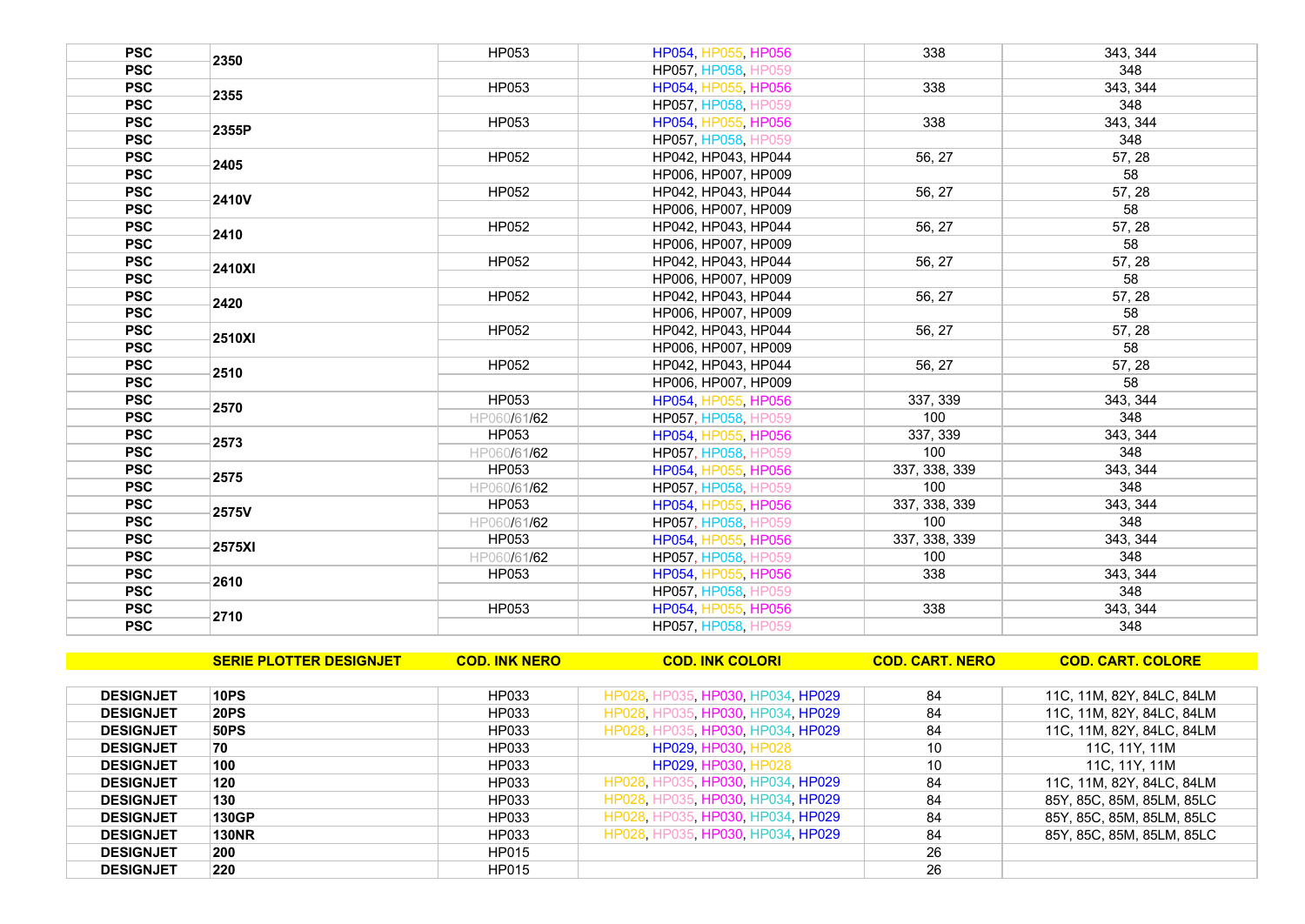| <b>PSC</b> | 2350          | HP053        | HP054, HP055, HP056        | 338           | 343, 344 |
|------------|---------------|--------------|----------------------------|---------------|----------|
| <b>PSC</b> |               |              | HP057, HP058, HP059        |               | 348      |
| <b>PSC</b> | 2355          | <b>HP053</b> | HP054, HP055, HP056        | 338           | 343, 344 |
| <b>PSC</b> |               |              | HP057, HP058, HP059        |               | 348      |
| <b>PSC</b> | 2355P         | HP053        | HP054, HP055, HP056        | 338           | 343, 344 |
| <b>PSC</b> |               |              | HP057, HP058, HP059        |               | 348      |
| <b>PSC</b> | 2405          | <b>HP052</b> | HP042, HP043, HP044        | 56, 27        | 57, 28   |
| <b>PSC</b> |               |              | HP006, HP007, HP009        |               | 58       |
| <b>PSC</b> | 2410V         | HP052        | HP042, HP043, HP044        | 56, 27        | 57, 28   |
| <b>PSC</b> |               |              | HP006, HP007, HP009        |               | 58       |
| <b>PSC</b> | 2410          | <b>HP052</b> | HP042, HP043, HP044        | 56, 27        | 57, 28   |
| <b>PSC</b> |               |              | HP006, HP007, HP009        |               | 58       |
| <b>PSC</b> | <b>2410XI</b> | <b>HP052</b> | HP042, HP043, HP044        | 56, 27        | 57, 28   |
| <b>PSC</b> |               |              | HP006, HP007, HP009        |               | 58       |
| <b>PSC</b> | 2420          | <b>HP052</b> | HP042, HP043, HP044        | 56, 27        | 57, 28   |
| <b>PSC</b> |               |              | HP006, HP007, HP009        |               | 58       |
| <b>PSC</b> | 2510XI        | HP052        | HP042, HP043, HP044        | 56, 27        | 57, 28   |
| <b>PSC</b> |               |              | HP006, HP007, HP009        |               | 58       |
| <b>PSC</b> | 2510          | HP052        | HP042. HP043. HP044        | 56, 27        | 57.28    |
| <b>PSC</b> |               |              | HP006. HP007. HP009        |               | 58       |
| <b>PSC</b> | 2570          | HP053        | HP054, HP055, HP056        | 337, 339      | 343.344  |
| <b>PSC</b> |               | HP060/61/62  | <b>HP057, HP058, HP059</b> | 100           | 348      |
| <b>PSC</b> | 2573          | HP053        | HP054, HP055, HP056        | 337, 339      | 343, 344 |
| <b>PSC</b> |               | HP060/61/62  | HP057, HP058, HP059        | 100           | 348      |
| <b>PSC</b> | 2575          | <b>HP053</b> | HP054, HP055, HP056        | 337, 338, 339 | 343, 344 |
| <b>PSC</b> |               | HP060/61/62  | HP057, HP058, HP059        | 100           | 348      |
| <b>PSC</b> | 2575V         | HP053        | HP054, HP055, HP056        | 337, 338, 339 | 343.344  |
| <b>PSC</b> |               | HP060/61/62  | <b>HP057, HP058, HP059</b> | 100           | 348      |
| <b>PSC</b> | <b>2575XI</b> | HP053        | HP054, HP055, HP056        | 337, 338, 339 | 343, 344 |
| <b>PSC</b> |               | HP060/61/62  | HP057, HP058, HP059        | 100           | 348      |
| <b>PSC</b> | 2610          | HP053        | HP054, HP055, HP056        | 338           | 343, 344 |
| <b>PSC</b> |               |              | <b>HP057, HP058, HP059</b> |               | 348      |
| <b>PSC</b> | 2710          | <b>HP053</b> | HP054, HP055, HP056        | 338           | 343, 344 |
| <b>PSC</b> |               |              | <b>HP057, HP058, HP059</b> |               | 348      |

|                  | <b>SERIE PLOTTER DESIGNJET</b> | <b>COD. INK NERO</b> | <b>COD. INK COLORI</b>            | <b>COD. CART. NERO</b> | <b>COD. CART. COLORE</b>  |
|------------------|--------------------------------|----------------------|-----------------------------------|------------------------|---------------------------|
|                  |                                |                      |                                   |                        |                           |
| <b>DESIGNJET</b> | 10PS                           | HP033                | HP028, HP035, HP030, HP034, HP029 | 84                     | 11C, 11M, 82Y, 84LC, 84LM |
| <b>DESIGNJET</b> | <b>20PS</b>                    | HP033                | HP028, HP035, HP030, HP034, HP029 | 84                     | 11C, 11M, 82Y, 84LC, 84LM |
| <b>DESIGNJET</b> | <b>50PS</b>                    | HP033                | HP028, HP035, HP030, HP034, HP029 | 84                     | 11C, 11M, 82Y, 84LC, 84LM |
| <b>DESIGNJET</b> | 70                             | HP033                | <b>HP029 HP030 HP028</b>          | 10                     | 11C, 11Y, 11M             |
| <b>DESIGNJET</b> | 100                            | HP033                | <b>HP029 HP030 HP028</b>          | 10                     | 11C, 11Y, 11M             |
| <b>DESIGNJET</b> | 120                            | HP033                | HP028 HP035 HP030 HP034 HP029     | 84                     | 11C, 11M, 82Y, 84LC, 84LM |
| <b>DESIGNJET</b> | 130                            | HP033                | HP028 HP035 HP030 HP034 HP029     | 84                     | 85Y, 85C, 85M, 85LM, 85LC |
| <b>DESIGNJET</b> | 130GP                          | HP033                | HP028, HP035, HP030, HP034, HP029 | 84                     | 85Y, 85C, 85M, 85LM, 85LC |
| <b>DESIGNJET</b> | <b>130NR</b>                   | HP033                | HP028 HP035 HP030 HP034 HP029     | 84                     | 85Y, 85C, 85M, 85LM, 85LC |
| <b>DESIGNJET</b> | 200                            | <b>HP015</b>         |                                   | 26                     |                           |
| <b>DESIGNJET</b> | 220                            | <b>HP015</b>         |                                   | 26                     |                           |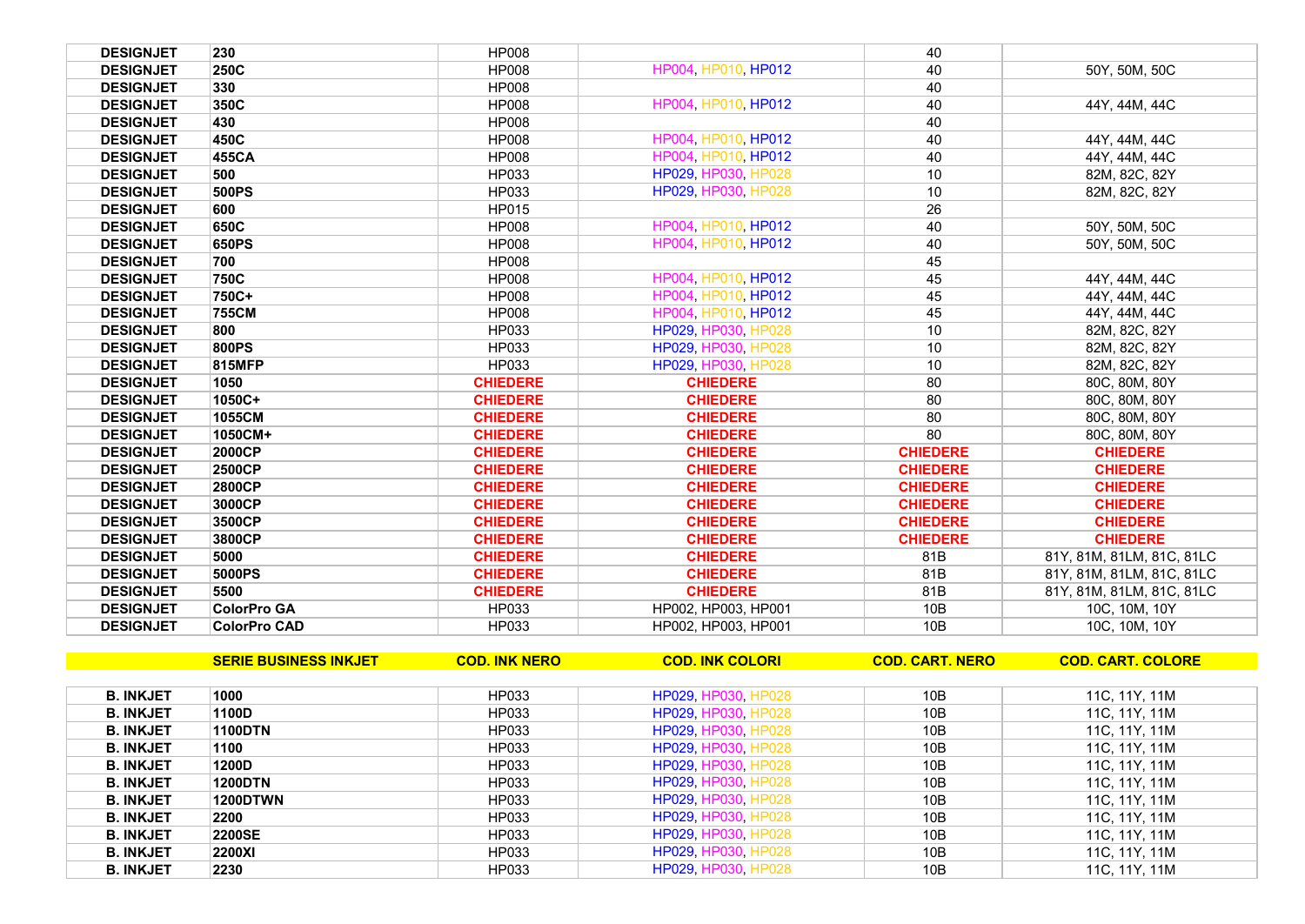| <b>DESIGNJET</b> | 230                 | <b>HP008</b>    |                     | 40              |                           |
|------------------|---------------------|-----------------|---------------------|-----------------|---------------------------|
| <b>DESIGNJET</b> | 250C                | <b>HP008</b>    | HP004, HP010, HP012 | 40              | 50Y, 50M, 50C             |
| <b>DESIGNJET</b> | 330                 | <b>HP008</b>    |                     | 40              |                           |
| <b>DESIGNJET</b> | 350C                | <b>HP008</b>    | HP004, HP010, HP012 | 40              | 44Y, 44M, 44C             |
| <b>DESIGNJET</b> | 430                 | <b>HP008</b>    |                     | 40              |                           |
| <b>DESIGNJET</b> | 450C                | <b>HP008</b>    | HP004, HP010, HP012 | 40              | 44Y, 44M, 44C             |
| <b>DESIGNJET</b> | 455CA               | <b>HP008</b>    | HP004, HP010, HP012 | 40              | 44Y, 44M, 44C             |
| <b>DESIGNJET</b> | 500                 | HP033           | HP029, HP030, HP028 | 10              | 82M, 82C, 82Y             |
| <b>DESIGNJET</b> | 500PS               | HP033           | HP029, HP030, HP028 | 10              | 82M, 82C, 82Y             |
| <b>DESIGNJET</b> | 600                 | <b>HP015</b>    |                     | 26              |                           |
| <b>DESIGNJET</b> | 650C                | <b>HP008</b>    | HP004, HP010, HP012 | 40              | 50Y, 50M, 50C             |
| <b>DESIGNJET</b> | 650PS               | <b>HP008</b>    | HP004, HP010, HP012 | 40              | 50Y, 50M, 50C             |
| <b>DESIGNJET</b> | 700                 | <b>HP008</b>    |                     | 45              |                           |
| <b>DESIGNJET</b> | 750C                | <b>HP008</b>    | HP004, HP010, HP012 | 45              | 44Y, 44M, 44C             |
| <b>DESIGNJET</b> | 750C+               | <b>HP008</b>    | HP004 HP010 HP012   | 45              | 44Y, 44M, 44C             |
| <b>DESIGNJET</b> | <b>755CM</b>        | <b>HP008</b>    | HP004, HP010, HP012 | 45              | 44Y, 44M, 44C             |
| <b>DESIGNJET</b> | 800                 | HP033           | HP029, HP030, HP028 | 10              | 82M, 82C, 82Y             |
| <b>DESIGNJET</b> | 800PS               | HP033           | HP029, HP030, HP028 | 10              | 82M, 82C, 82Y             |
| <b>DESIGNJET</b> | 815MFP              | HP033           | HP029, HP030, HP028 | 10              | 82M, 82C, 82Y             |
| <b>DESIGNJET</b> | 1050                | <b>CHIEDERE</b> | <b>CHIEDERE</b>     | 80              | 80C, 80M, 80Y             |
| <b>DESIGNJET</b> | $1050C +$           | <b>CHIEDERE</b> | <b>CHIEDERE</b>     | 80              | 80C, 80M, 80Y             |
| <b>DESIGNJET</b> | 1055CM              | <b>CHIEDERE</b> | <b>CHIEDERE</b>     | 80              | 80C, 80M, 80Y             |
| <b>DESIGNJET</b> | 1050CM+             | <b>CHIEDERE</b> | <b>CHIEDERE</b>     | 80              | 80C, 80M, 80Y             |
| <b>DESIGNJET</b> | 2000CP              | <b>CHIEDERE</b> | <b>CHIEDERE</b>     | <b>CHIEDERE</b> | <b>CHIEDERE</b>           |
| <b>DESIGNJET</b> | 2500CP              | <b>CHIEDERE</b> | <b>CHIEDERE</b>     | <b>CHIEDERE</b> | <b>CHIEDERE</b>           |
| <b>DESIGNJET</b> | <b>2800CP</b>       | <b>CHIEDERE</b> | <b>CHIEDERE</b>     | <b>CHIEDERE</b> | <b>CHIEDERE</b>           |
| <b>DESIGNJET</b> | 3000CP              | <b>CHIEDERE</b> | <b>CHIEDERE</b>     | <b>CHIEDERE</b> | <b>CHIEDERE</b>           |
| <b>DESIGNJET</b> | 3500CP              | <b>CHIEDERE</b> | <b>CHIEDERE</b>     | <b>CHIEDERE</b> | <b>CHIEDERE</b>           |
| <b>DESIGNJET</b> | 3800CP              | <b>CHIEDERE</b> | <b>CHIEDERE</b>     | <b>CHIEDERE</b> | <b>CHIEDERE</b>           |
| <b>DESIGNJET</b> | 5000                | <b>CHIEDERE</b> | <b>CHIEDERE</b>     | 81B             | 81Y, 81M, 81LM, 81C, 81LC |
| <b>DESIGNJET</b> | 5000PS              | <b>CHIEDERE</b> | <b>CHIEDERE</b>     | 81B             | 81Y, 81M, 81LM, 81C, 81LC |
| <b>DESIGNJET</b> | 5500                | <b>CHIEDERE</b> | <b>CHIEDERE</b>     | 81B             | 81Y, 81M, 81LM, 81C, 81LC |
| <b>DESIGNJET</b> | <b>ColorPro GA</b>  | HP033           | HP002, HP003, HP001 | 10B             | 10C, 10M, 10Y             |
| <b>DESIGNJET</b> | <b>ColorPro CAD</b> | HP033           | HP002. HP003. HP001 | 10B             | 10C, 10M, 10Y             |

|                  | <b>SERIE BUSINESS INKJET</b> | <b>COD. INK NERO</b> | <b>COD. INK COLORI</b>     | <b>COD. CART. NERO</b> | <b>COD. CART. COLORE</b> |
|------------------|------------------------------|----------------------|----------------------------|------------------------|--------------------------|
|                  |                              |                      |                            |                        |                          |
| <b>B. INKJET</b> | 1000                         | HP033                | <b>HP029, HP030, HP028</b> | 10B                    | 11C, 11Y, 11M            |
| <b>B. INKJET</b> | 1100D                        | HP033                | HP029, HP030, HP028        | 10B                    | 11C, 11Y, 11M            |
| <b>B. INKJET</b> | 1100DTN                      | HP033                | <b>HP029 HP030 HP028</b>   | 10B                    | 11C, 11Y, 11M            |
| <b>B. INKJET</b> | 1100                         | HP033                | <b>HP029 HP030 HP028</b>   | 10B                    | 11C, 11Y, 11M            |
| <b>B. INKJET</b> | 1200D                        | HP033                | <b>HP029 HP030 HP028</b>   | 10B                    | 11C, 11Y, 11M            |
| <b>B. INKJET</b> | 1200DTN                      | HP033                | <b>HP029 HP030 HP028</b>   | 10B                    | 11C, 11Y, 11M            |
| <b>B. INKJET</b> | 1200DTWN                     | HP033                | <b>HP029 HP030 HP028</b>   | 10B                    | 11C, 11Y, 11M            |
| <b>B. INKJET</b> | 2200                         | HP033                | <b>HP029 HP030 HP028</b>   | 10B                    | 11C, 11Y, 11M            |
| <b>B. INKJET</b> | <b>2200SE</b>                | HP033                | HP029, HP030, HP028        | 10B                    | 11C, 11Y, 11M            |
| <b>B. INKJET</b> | <b>2200XI</b>                | HP033                | HP029, HP030, HP028        | 10B                    | 11C, 11Y, 11M            |
| <b>B. INKJET</b> | 2230                         | HP033                | <b>HP029, HP030, HP028</b> | 10B                    | 11C, 11Y, 11M            |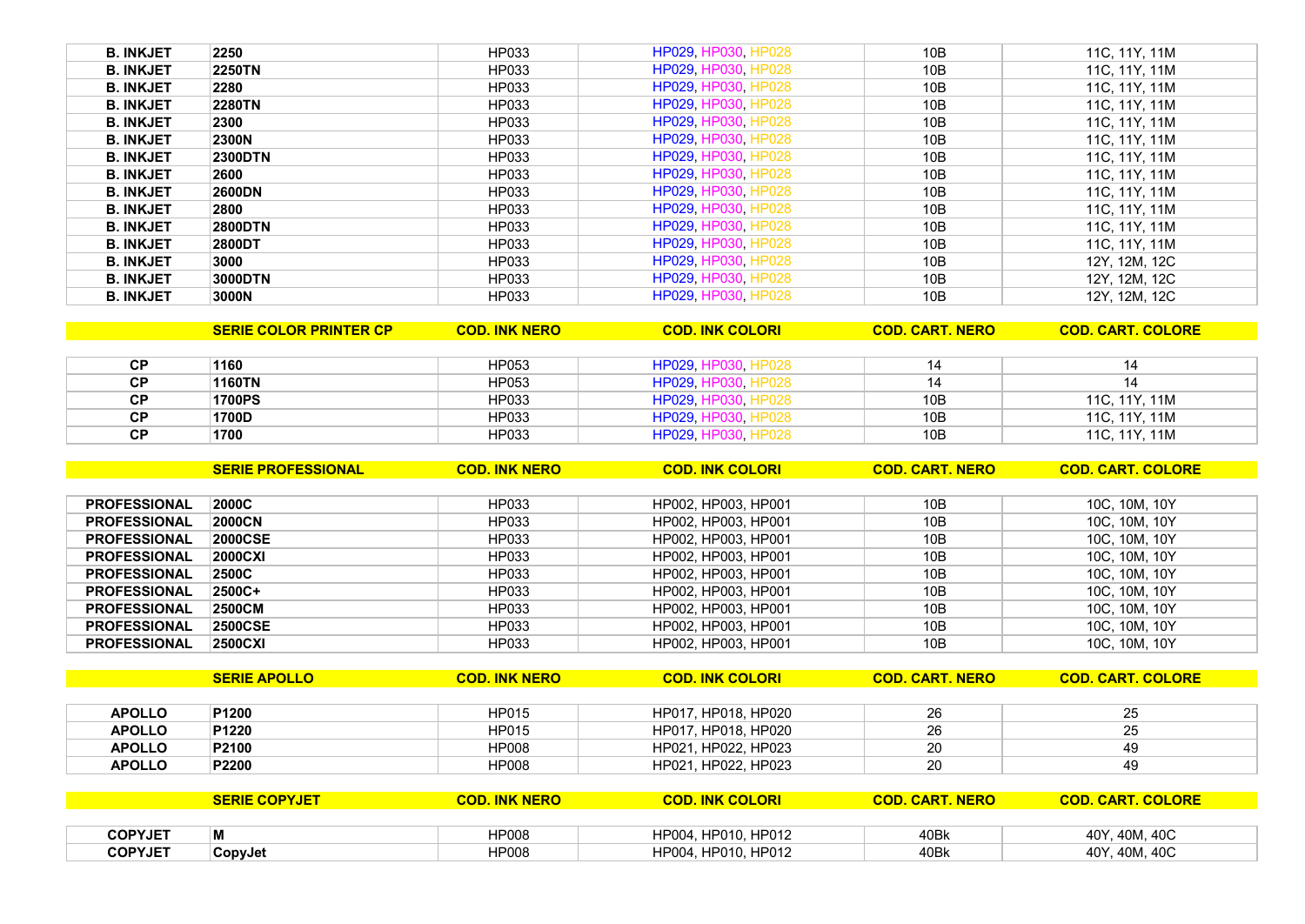| <b>B. INKJET</b> | 2250           | HP033 | <b>HP029, HP030, HP028</b> | 10B | 11C, 11Y, 11M |
|------------------|----------------|-------|----------------------------|-----|---------------|
| <b>B. INKJET</b> | <b>2250TN</b>  | HP033 | HP029, HP030, HP028        | 10B | 11C, 11Y, 11M |
| <b>B. INKJET</b> | 2280           | HP033 | <b>HP029, HP030, HP028</b> | 10B | 11C, 11Y, 11M |
| <b>B. INKJET</b> | <b>2280TN</b>  | HP033 | HP029, HP030, HP028        | 10B | 11C, 11Y, 11M |
| <b>B. INKJET</b> | 2300           | HP033 | <b>HP029, HP030, HP028</b> | 10B | 11C, 11Y, 11M |
| <b>B. INKJET</b> | <b>2300N</b>   | HP033 | HP029, HP030, HP028        | 10B | 11C, 11Y, 11M |
| <b>B. INKJET</b> | <b>2300DTN</b> | HP033 | HP029, HP030, HP028        | 10B | 11C, 11Y, 11M |
| <b>B. INKJET</b> | 2600           | HP033 | HP029, HP030, HP028        | 10B | 11C, 11Y, 11M |
| <b>B. INKJET</b> | 2600DN         | HP033 | HP029, HP030, HP028        | 10B | 11C, 11Y, 11M |
| <b>B. INKJET</b> | 2800           | HP033 | HP029, HP030, HP028        | 10B | 11C, 11Y, 11M |
| <b>B. INKJET</b> | <b>2800DTN</b> | HP033 | HP029, HP030, HP028        | 10B | 11C, 11Y, 11M |
| <b>B. INKJET</b> | 2800DT         | HP033 | HP029, HP030, HP028        | 10B | 11C, 11Y, 11M |
| <b>B. INKJET</b> | 3000           | HP033 | <b>HP029, HP030, HP028</b> | 10B | 12Y, 12M, 12C |
| <b>B. INKJET</b> | 3000DTN        | HP033 | HP029, HP030, HP028        | 10B | 12Y, 12M, 12C |
| <b>B. INKJET</b> | 3000N          | HP033 | <b>HP029, HP030, HP028</b> | 10B | 12Y, 12M, 12C |

| <b>CP</b> | 1160          | HP053 | HP029 HP030 HP028   | 14  |               |
|-----------|---------------|-------|---------------------|-----|---------------|
| <b>CP</b> | 1160TN        | HP053 | HP029 HP030 HP028   | 14  |               |
| <b>CP</b> | <b>1700PS</b> | HP033 | HP029 HP030 HP028   | 10B | 11C. 11Y. 11M |
| <b>CP</b> | 1700D         | HP033 | HP029, HP030, HP028 | 10B | 11C. 11Y. 11M |
| <b>CP</b> | 1700          | HP033 | HP029, HP030, HP028 | 10B | 11C, 11Y, 11M |

**SERIE COLOR PRINTER CP COD. INK NERO COD. INK COLORI COD. CART. NERO COD. CART. COLORE**

|                     | <b>SERIE PROFESSIONAL</b> | <b>COD. INK NERO</b> | <b>COD. INK COLORI</b> | <b>COD. CART. NERO</b> | <b>COD. CART. COLORE</b> |
|---------------------|---------------------------|----------------------|------------------------|------------------------|--------------------------|
|                     |                           |                      |                        |                        |                          |
| <b>PROFESSIONAL</b> | 2000C                     | HP033                | HP002, HP003, HP001    | 10B                    | 10C, 10M, 10Y            |
| <b>PROFESSIONAL</b> | 2000CN                    | HP033                | HP002, HP003, HP001    | 10B                    | 10C, 10M, 10Y            |
| <b>PROFESSIONAL</b> | <b>2000CSE</b>            | HP033                | HP002, HP003, HP001    | 10B                    | 10C, 10M, 10Y            |
| <b>PROFESSIONAL</b> | 2000CXI                   | HP033                | HP002, HP003, HP001    | 10B                    | 10C, 10M, 10Y            |
| <b>PROFESSIONAL</b> | <b>2500C</b>              | HP033                | HP002, HP003, HP001    | 10B                    | 10C, 10M, 10Y            |
| <b>PROFESSIONAL</b> | $ 2500C+$                 | HP033                | HP002, HP003, HP001    | 10B                    | 10C, 10M, 10Y            |
| <b>PROFESSIONAL</b> | 2500CM                    | HP033                | HP002, HP003, HP001    | 10B                    | 10C, 10M, 10Y            |
| <b>PROFESSIONAL</b> | <b>2500CSE</b>            | HP033                | HP002, HP003, HP001    | 10B                    | 10C, 10M, 10Y            |
| <b>PROFESSIONAL</b> | 2500CXI                   | HP033                | HP002. HP003. HP001    | 10B                    | 10C. 10M. 10Y            |

|               | <b>SERIE APOLLO</b> | <b>COD. INK NERO</b> | <b>COD. INK COLORI</b> | <b>COD. CART. NERO</b> | <b>COD. CART. COLORE</b> |
|---------------|---------------------|----------------------|------------------------|------------------------|--------------------------|
|               |                     |                      |                        |                        |                          |
| <b>APOLLO</b> | <b>P1200</b>        | HP015                | HP017, HP018, HP020    | 26                     | 25                       |
| <b>APOLLO</b> | <b>P1220</b>        | HP015                | HP017, HP018, HP020    | 26                     | 25                       |
| <b>APOLLO</b> | P2100               | <b>HP008</b>         | HP021, HP022, HP023    | 20                     | 49                       |
| <b>APOLLO</b> | P2200               | <b>HP008</b>         | HP021, HP022, HP023    | 20                     | 49                       |

|                | SERIE COPYJET  | <b>INK NERO</b> | <b>INK COLORI</b><br>COD. | COD. CART<br><b>NERO</b> | <b>COLORE</b><br><b>CART</b><br>COD. |
|----------------|----------------|-----------------|---------------------------|--------------------------|--------------------------------------|
|                |                |                 |                           |                          |                                      |
| <b>COPYJET</b> | M              | <b>HP008</b>    | HP004. HP010. HP012       | 40Bk                     | 40Y, 40M, 40C                        |
| <b>COPYJET</b> | <b>CopyJet</b> | <b>HP008</b>    | HP004, HP010, HP012       | 40Bk                     | 40Y, 40M, 40C                        |